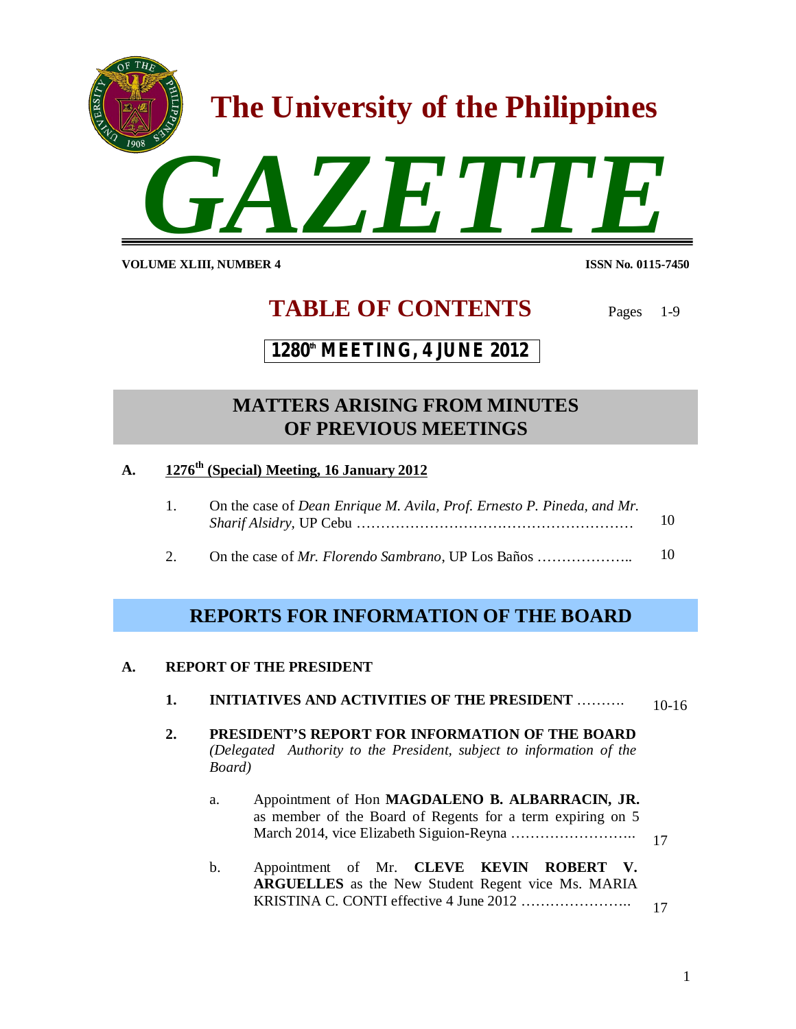

**VOLUME XLIII, NUMBER 4** 

**ISSN No. 0115-7450** 

# **TABLE OF CONTENTS** Pages 1-9

# **1280th MEETING, 4 JUNE 2012**

# **xxxxxxxxxxxxxxxxxxxxxxxxxxxxxxxxxxx OF PREVIOUS MEETINGS MATTERS ARISING FROM MINUTES**

- **A. 1276th (Special) Meeting, 16 January 2012**
	- 1. On the case of *Dean Enrique M. Avila, Prof. Ernesto P. Pineda, and Mr. Sharif Alsidry,* UP Cebu ………………………………………………… 10
	- 2. On the case of *Mr. Florendo Sambrano*, UP Los Baños ……………….. 10

# **REPORTS FOR INFORMATION OF THE BOARD**

# **A. REPORT OF THE PRESIDENT**

| <b>INITIATIVES AND ACTIVITIES OF THE PRESIDENT </b><br>ı. | $10-16$ |
|-----------------------------------------------------------|---------|
|-----------------------------------------------------------|---------|

- **2. PRESIDENT'S REPORT FOR INFORMATION OF THE BOARD**  *(Delegated Authority to the President, subject to information of the Board)*
	- a. Appointment of Hon **MAGDALENO B. ALBARRACIN, JR.** as member of the Board of Regents for a term expiring on 5 March 2014, vice Elizabeth Siguion-Reyna …………………….. 17
	- b. Appointment of Mr. **CLEVE KEVIN ROBERT V. ARGUELLES** as the New Student Regent vice Ms. MARIA KRISTINA C. CONTI effective 4 June 2012 ………………….. 17

1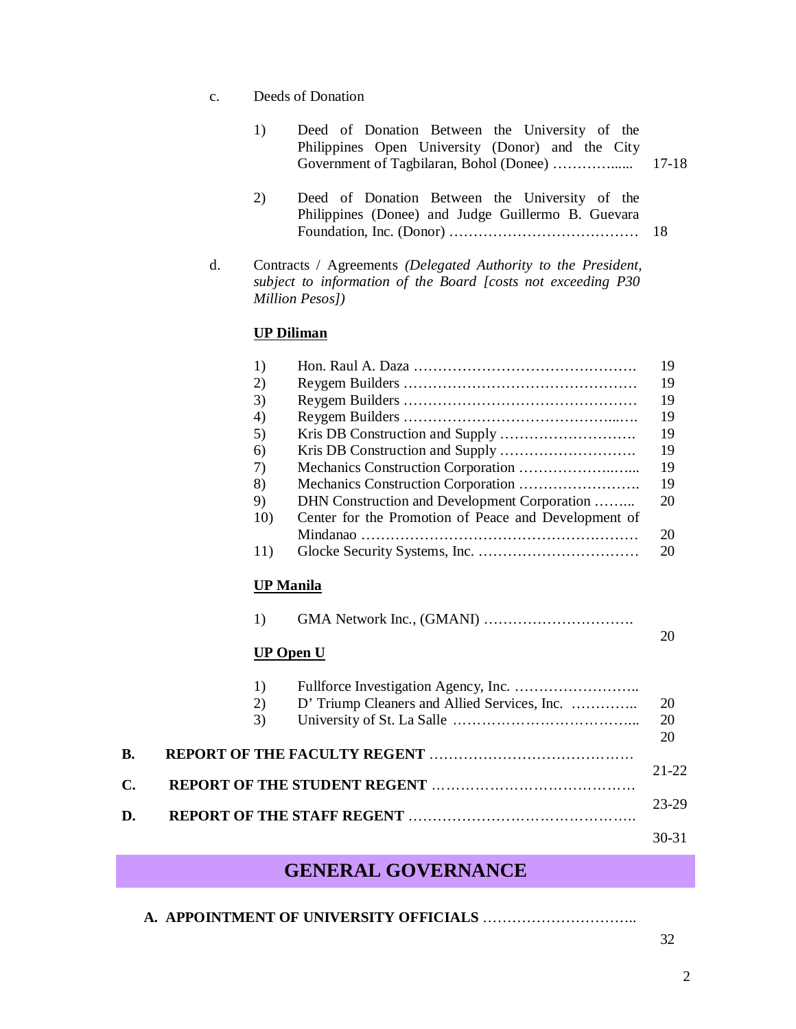c. Deeds of Donation

| 1) | Deed of Donation Between the University of the   |       |
|----|--------------------------------------------------|-------|
|    | Philippines Open University (Donor) and the City |       |
|    |                                                  | 17-18 |

- 2) Deed of Donation Between the University of the Philippines (Donee) and Judge Guillermo B. Guevara Foundation, Inc. (Donor) ………………………………… 18
- d. Contracts / Agreements *(Delegated Authority to the President, subject to information of the Board [costs not exceeding P30 Million Pesos])*

#### **UP Diliman**

|    | 1)               |                                                      | 19      |
|----|------------------|------------------------------------------------------|---------|
|    | 2)               |                                                      | 19      |
|    | 3)               |                                                      | 19      |
|    | 4)               |                                                      | 19      |
|    | 5)               |                                                      | 19      |
|    | 6)               |                                                      | 19      |
|    | 7)               |                                                      | 19      |
|    | 8)               |                                                      | 19      |
|    | 9)               | DHN Construction and Development Corporation         | 20      |
|    | 10)              | Center for the Promotion of Peace and Development of |         |
|    |                  |                                                      | 20      |
|    | 11)              |                                                      | 20      |
|    | <b>UP Manila</b> |                                                      |         |
|    | 1)               |                                                      | 20      |
|    | <b>UP Open U</b> |                                                      |         |
|    | 1)               |                                                      |         |
|    | 2)               | D' Triump Cleaners and Allied Services, Inc.         | 20      |
|    | 3)               |                                                      | 20      |
|    |                  |                                                      | 20      |
| B. |                  |                                                      |         |
|    |                  |                                                      | $21-22$ |
| C. |                  |                                                      |         |
| D. |                  |                                                      | $23-29$ |
|    |                  |                                                      | 30-31   |

# **GENERAL GOVERNANCE**

**A. APPOINTMENT OF UNIVERSITY OFFICIALS** …………………………..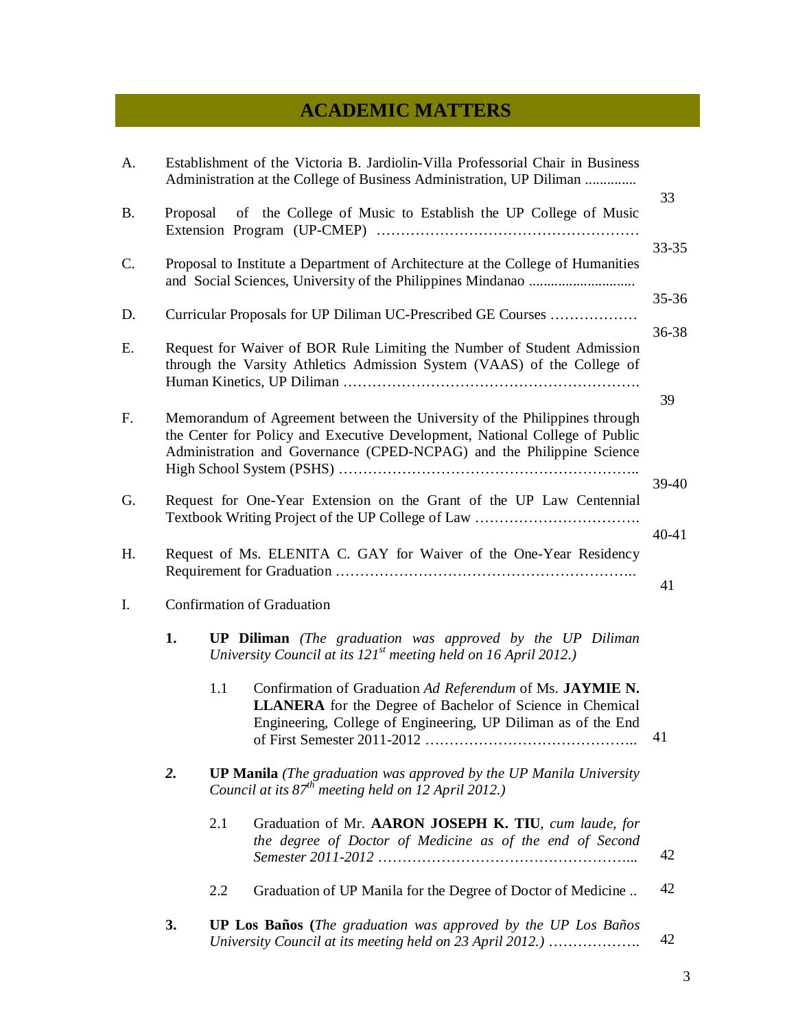# **ACADEMIC MATTERS**

| A.        |          |                                                                               | Establishment of the Victoria B. Jardiolin-Villa Professorial Chair in Business<br>Administration at the College of Business Administration, UP Diliman                                                                           |           |  |
|-----------|----------|-------------------------------------------------------------------------------|-----------------------------------------------------------------------------------------------------------------------------------------------------------------------------------------------------------------------------------|-----------|--|
| <b>B.</b> | Proposal |                                                                               | of the College of Music to Establish the UP College of Music                                                                                                                                                                      | 33        |  |
| C.        |          |                                                                               | Proposal to Institute a Department of Architecture at the College of Humanities                                                                                                                                                   | $33 - 35$ |  |
| D.        |          |                                                                               | Curricular Proposals for UP Diliman UC-Prescribed GE Courses                                                                                                                                                                      | $35 - 36$ |  |
| Ε.        |          |                                                                               | Request for Waiver of BOR Rule Limiting the Number of Student Admission<br>through the Varsity Athletics Admission System (VAAS) of the College of                                                                                | 36-38     |  |
| F.        |          |                                                                               | Memorandum of Agreement between the University of the Philippines through<br>the Center for Policy and Executive Development, National College of Public<br>Administration and Governance (CPED-NCPAG) and the Philippine Science | 39        |  |
| G.        |          | 39-40<br>Request for One-Year Extension on the Grant of the UP Law Centennial |                                                                                                                                                                                                                                   |           |  |
| H.        |          |                                                                               | Request of Ms. ELENITA C. GAY for Waiver of the One-Year Residency                                                                                                                                                                | $40 - 41$ |  |
| I.        |          |                                                                               | <b>Confirmation of Graduation</b>                                                                                                                                                                                                 | 41        |  |
|           | 1.       |                                                                               | <b>UP Diliman</b> (The graduation was approved by the UP Diliman<br>University Council at its $121st$ meeting held on 16 April 2012.)                                                                                             |           |  |
|           |          | 1.1                                                                           | Confirmation of Graduation Ad Referendum of Ms. JAYMIE N.<br><b>LLANERA</b> for the Degree of Bachelor of Science in Chemical<br>Engineering, College of Engineering, UP Diliman as of the End                                    | 41        |  |
|           | 2.       |                                                                               | <b>UP Manila</b> (The graduation was approved by the UP Manila University<br>Council at its $87^{th}$ meeting held on 12 April 2012.)                                                                                             |           |  |
|           |          | 2.1                                                                           | Graduation of Mr. AARON JOSEPH K. TIU, cum laude, for<br>the degree of Doctor of Medicine as of the end of Second                                                                                                                 | 42        |  |
|           |          | 2.2                                                                           | Graduation of UP Manila for the Degree of Doctor of Medicine                                                                                                                                                                      | 42        |  |
|           | 3.       |                                                                               | UP Los Baños (The graduation was approved by the UP Los Baños<br>University Council at its meeting held on 23 April 2012.)                                                                                                        | 42        |  |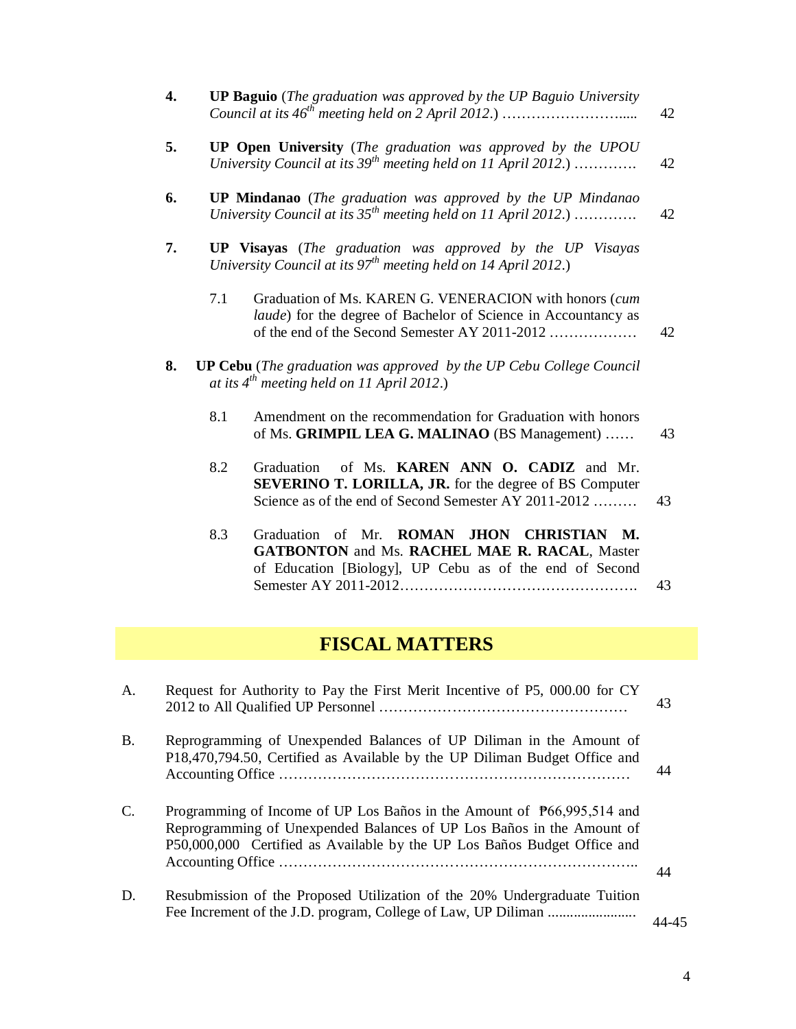|    | $\overline{4}$ . |     | <b>UP Baguio</b> (The graduation was approved by the UP Baguio University                                                                                                  | 42 |
|----|------------------|-----|----------------------------------------------------------------------------------------------------------------------------------------------------------------------------|----|
|    | 5.               |     | <b>UP Open University</b> (The graduation was approved by the UPOU<br>University Council at its 39 <sup>th</sup> meeting held on 11 April 2012.)                           | 42 |
|    | 6.               |     | <b>UP Mindanao</b> (The graduation was approved by the UP Mindanao<br>University Council at its $35^{th}$ meeting held on 11 April 2012.)                                  | 42 |
|    | 7.               |     | <b>UP Visayas</b> (The graduation was approved by the UP Visayas<br>University Council at its $97th$ meeting held on 14 April 2012.)                                       |    |
|    |                  | 7.1 | Graduation of Ms. KAREN G. VENERACION with honors (cum<br>laude) for the degree of Bachelor of Science in Accountancy as<br>of the end of the Second Semester AY 2011-2012 | 42 |
|    | 8.               |     | UP Cebu (The graduation was approved by the UP Cebu College Council<br>at its $4^{th}$ meeting held on 11 April 2012.)                                                     |    |
|    |                  | 8.1 | Amendment on the recommendation for Graduation with honors<br>of Ms. GRIMPIL LEA G. MALINAO (BS Management)                                                                | 43 |
|    |                  | 8.2 | of Ms. KAREN ANN O. CADIZ and Mr.<br>Graduation<br><b>SEVERINO T. LORILLA, JR.</b> for the degree of BS Computer<br>Science as of the end of Second Semester AY 2011-2012  | 43 |
|    |                  | 8.3 | Graduation of Mr. ROMAN JHON CHRISTIAN M.<br>GATBONTON and Ms. RACHEL MAE R. RACAL, Master<br>of Education [Biology], UP Cebu as of the end of Second                      | 43 |
|    |                  |     | <b>FISCAL MATTERS</b>                                                                                                                                                      |    |
| A. |                  |     | Request for Authority to Pay the First Merit Incentive of P5, 000.00 for CY                                                                                                | 43 |

- B. Reprogramming of Unexpended Balances of UP Diliman in the Amount of P18,470,794.50, Certified as Available by the UP Diliman Budget Office and Accounting Office ……………………………………………………………… 44
- C. Programming of Income of UP Los Baños in the Amount of ₱66,995,514 and Reprogramming of Unexpended Balances of UP Los Baños in the Amount of P50,000,000 Certified as Available by the UP Los Baños Budget Office and Accounting Office ……………………………………………………………….. 44
- D. Resubmission of the Proposed Utilization of the 20% Undergraduate Tuition Fee Increment of the J.D. program, College of Law, UP Diliman ........................ 44-45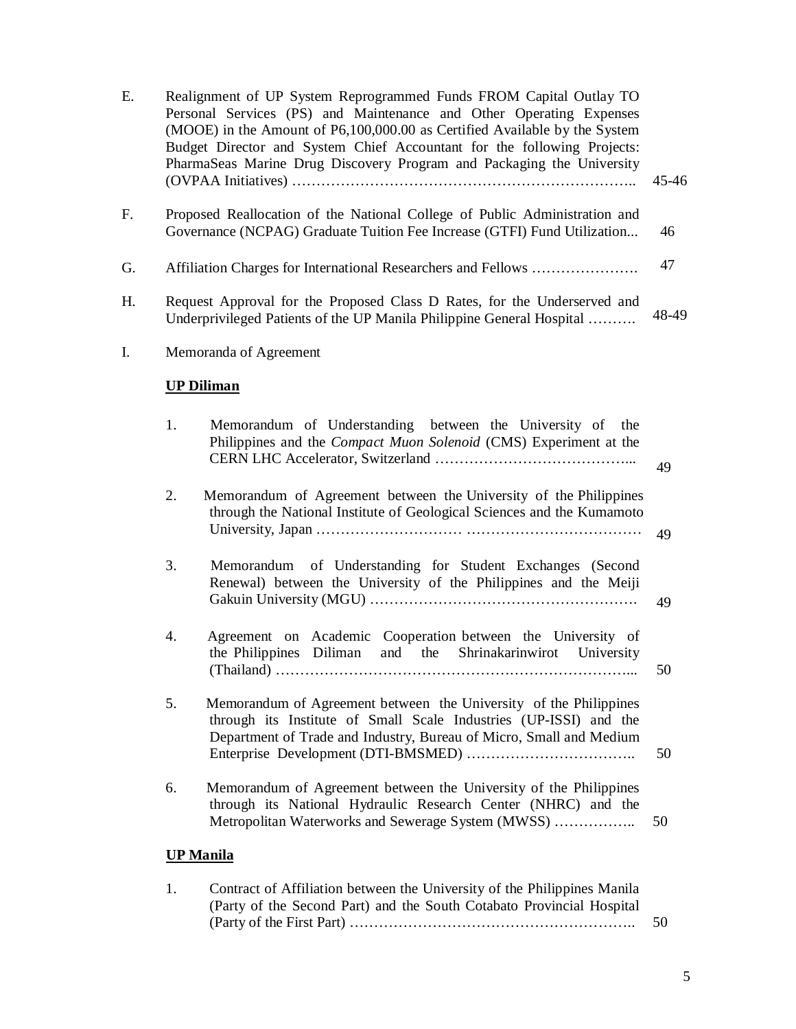| Е. |    | Realignment of UP System Reprogrammed Funds FROM Capital Outlay TO<br>Personal Services (PS) and Maintenance and Other Operating Expenses<br>(MOOE) in the Amount of P6,100,000.00 as Certified Available by the System<br>Budget Director and System Chief Accountant for the following Projects:<br>PharmaSeas Marine Drug Discovery Program and Packaging the University | 45-46 |
|----|----|-----------------------------------------------------------------------------------------------------------------------------------------------------------------------------------------------------------------------------------------------------------------------------------------------------------------------------------------------------------------------------|-------|
| F. |    | Proposed Reallocation of the National College of Public Administration and<br>Governance (NCPAG) Graduate Tuition Fee Increase (GTFI) Fund Utilization                                                                                                                                                                                                                      | 46    |
| G. |    | Affiliation Charges for International Researchers and Fellows                                                                                                                                                                                                                                                                                                               | 47    |
| Н. |    | Request Approval for the Proposed Class D Rates, for the Underserved and<br>Underprivileged Patients of the UP Manila Philippine General Hospital                                                                                                                                                                                                                           | 48-49 |
| I. |    | Memoranda of Agreement                                                                                                                                                                                                                                                                                                                                                      |       |
|    |    | <b>UP Diliman</b>                                                                                                                                                                                                                                                                                                                                                           |       |
|    | 1. | Memorandum of Understanding between the University of the<br>Philippines and the <i>Compact Muon Solenoid</i> (CMS) Experiment at the                                                                                                                                                                                                                                       | 49    |
|    | 2. | Memorandum of Agreement between the University of the Philippines<br>through the National Institute of Geological Sciences and the Kumamoto                                                                                                                                                                                                                                 | 49    |
|    | 3. | Memorandum of Understanding for Student Exchanges (Second<br>Renewal) between the University of the Philippines and the Meiji                                                                                                                                                                                                                                               | 49    |
|    | 4. | Agreement on Academic Cooperation between the University of<br>the Philippines Diliman<br>and the Shrinakarinwirot University                                                                                                                                                                                                                                               | 50    |
|    | 5. | Memorandum of Agreement between the University of the Philippines<br>through its Institute of Small Scale Industries (UP-ISSI) and the<br>Department of Trade and Industry, Bureau of Micro, Small and Medium                                                                                                                                                               | 50    |
|    | 6. | Memorandum of Agreement between the University of the Philippines<br>through its National Hydraulic Research Center (NHRC) and the<br>Metropolitan Waterworks and Sewerage System (MWSS)                                                                                                                                                                                    | 50    |
|    |    | <b>UP Manila</b>                                                                                                                                                                                                                                                                                                                                                            |       |
|    | 1. | Contract of Affiliation between the University of the Philippines Manila<br>(Party of the Second Part) and the South Cotabato Provincial Hospital                                                                                                                                                                                                                           |       |

(Party of the First Part) ………………………………………………….. 50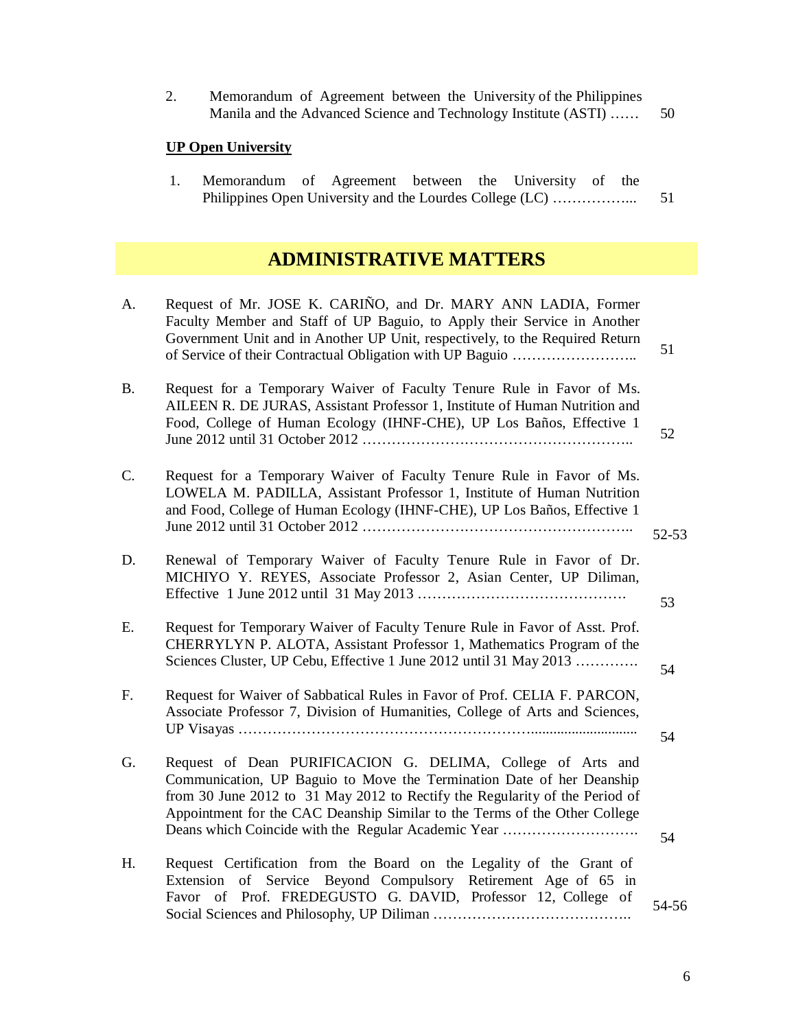| Memorandum of Agreement between the University of the Philippines |    |
|-------------------------------------------------------------------|----|
| Manila and the Advanced Science and Technology Institute (ASTI)   | 50 |

# **UP Open University**

| Memorandum of Agreement between the University of the |  |  |  |  |
|-------------------------------------------------------|--|--|--|--|
|                                                       |  |  |  |  |

# **ADMINISTRATIVE MATTERS**

| A.             | Request of Mr. JOSE K. CARIÑO, and Dr. MARY ANN LADIA, Former<br>Faculty Member and Staff of UP Baguio, to Apply their Service in Another<br>Government Unit and in Another UP Unit, respectively, to the Required Return                                                                                                                                | 51        |
|----------------|----------------------------------------------------------------------------------------------------------------------------------------------------------------------------------------------------------------------------------------------------------------------------------------------------------------------------------------------------------|-----------|
| <b>B.</b>      | Request for a Temporary Waiver of Faculty Tenure Rule in Favor of Ms.<br>AILEEN R. DE JURAS, Assistant Professor 1, Institute of Human Nutrition and<br>Food, College of Human Ecology (IHNF-CHE), UP Los Baños, Effective 1                                                                                                                             | 52        |
| $\mathbf{C}$ . | Request for a Temporary Waiver of Faculty Tenure Rule in Favor of Ms.<br>LOWELA M. PADILLA, Assistant Professor 1, Institute of Human Nutrition<br>and Food, College of Human Ecology (IHNF-CHE), UP Los Baños, Effective 1                                                                                                                              | $52 - 53$ |
| D.             | Renewal of Temporary Waiver of Faculty Tenure Rule in Favor of Dr.<br>MICHIYO Y. REYES, Associate Professor 2, Asian Center, UP Diliman,                                                                                                                                                                                                                 | 53        |
| Е.             | Request for Temporary Waiver of Faculty Tenure Rule in Favor of Asst. Prof.<br>CHERRYLYN P. ALOTA, Assistant Professor 1, Mathematics Program of the<br>Sciences Cluster, UP Cebu, Effective 1 June 2012 until 31 May 2013                                                                                                                               | 54        |
| F.             | Request for Waiver of Sabbatical Rules in Favor of Prof. CELIA F. PARCON,<br>Associate Professor 7, Division of Humanities, College of Arts and Sciences,                                                                                                                                                                                                |           |
| G.             | Request of Dean PURIFICACION G. DELIMA, College of Arts and<br>Communication, UP Baguio to Move the Termination Date of her Deanship<br>from 30 June 2012 to 31 May 2012 to Rectify the Regularity of the Period of<br>Appointment for the CAC Deanship Similar to the Terms of the Other College<br>Deans which Coincide with the Regular Academic Year | 54<br>54  |
| Η.             | Request Certification from the Board on the Legality of the Grant of<br>Extension of Service Beyond Compulsory Retirement Age of 65 in<br>Favor of Prof. FREDEGUSTO G. DAVID, Professor 12, College of                                                                                                                                                   | 54-56     |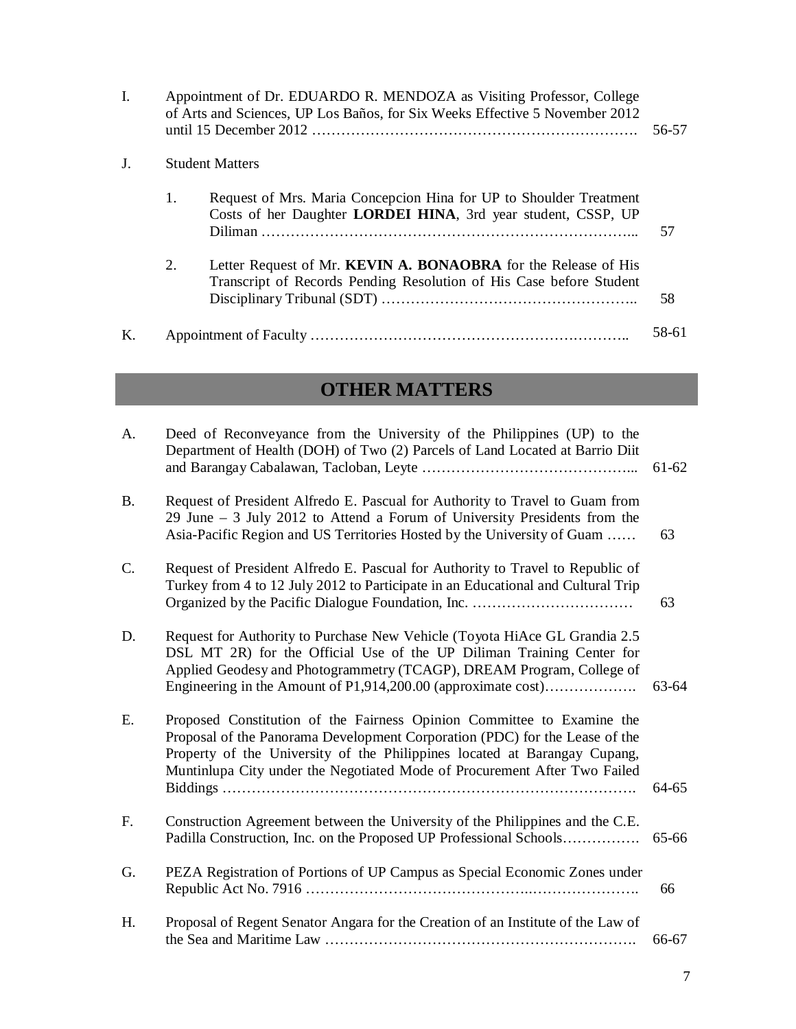| $\mathbf{I}$ . |    | Appointment of Dr. EDUARDO R. MENDOZA as Visiting Professor, College<br>of Arts and Sciences, UP Los Baños, for Six Weeks Effective 5 November 2012   | 56-57 |
|----------------|----|-------------------------------------------------------------------------------------------------------------------------------------------------------|-------|
| J.             |    | <b>Student Matters</b>                                                                                                                                |       |
|                | 1. | Request of Mrs. Maria Concepcion Hina for UP to Shoulder Treatment<br>Costs of her Daughter LORDEI HINA, 3rd year student, CSSP, UP<br><b>Diliman</b> | 57    |
|                | 2. | Letter Request of Mr. KEVIN A. BONAOBRA for the Release of His<br>Transcript of Records Pending Resolution of His Case before Student                 | 58    |
| K.             |    |                                                                                                                                                       | 58-61 |

# **OTHER MATTERS**

| A.        | Deed of Reconveyance from the University of the Philippines (UP) to the<br>Department of Health (DOH) of Two (2) Parcels of Land Located at Barrio Diit                                                                                                                                                         | 61-62 |
|-----------|-----------------------------------------------------------------------------------------------------------------------------------------------------------------------------------------------------------------------------------------------------------------------------------------------------------------|-------|
| <b>B.</b> | Request of President Alfredo E. Pascual for Authority to Travel to Guam from<br>29 June – 3 July 2012 to Attend a Forum of University Presidents from the<br>Asia-Pacific Region and US Territories Hosted by the University of Guam                                                                            | 63    |
| C.        | Request of President Alfredo E. Pascual for Authority to Travel to Republic of<br>Turkey from 4 to 12 July 2012 to Participate in an Educational and Cultural Trip                                                                                                                                              | 63    |
| D.        | Request for Authority to Purchase New Vehicle (Toyota HiAce GL Grandia 2.5)<br>DSL MT 2R) for the Official Use of the UP Diliman Training Center for<br>Applied Geodesy and Photogrammetry (TCAGP), DREAM Program, College of<br>Engineering in the Amount of P1,914,200.00 (approximate cost)                  | 63-64 |
| Ε.        | Proposed Constitution of the Fairness Opinion Committee to Examine the<br>Proposal of the Panorama Development Corporation (PDC) for the Lease of the<br>Property of the University of the Philippines located at Barangay Cupang,<br>Muntinlupa City under the Negotiated Mode of Procurement After Two Failed | 64-65 |
| F.        | Construction Agreement between the University of the Philippines and the C.E.<br>Padilla Construction, Inc. on the Proposed UP Professional Schools                                                                                                                                                             | 65-66 |
| G.        | PEZA Registration of Portions of UP Campus as Special Economic Zones under                                                                                                                                                                                                                                      | 66    |
| H.        | Proposal of Regent Senator Angara for the Creation of an Institute of the Law of                                                                                                                                                                                                                                | 66-67 |

58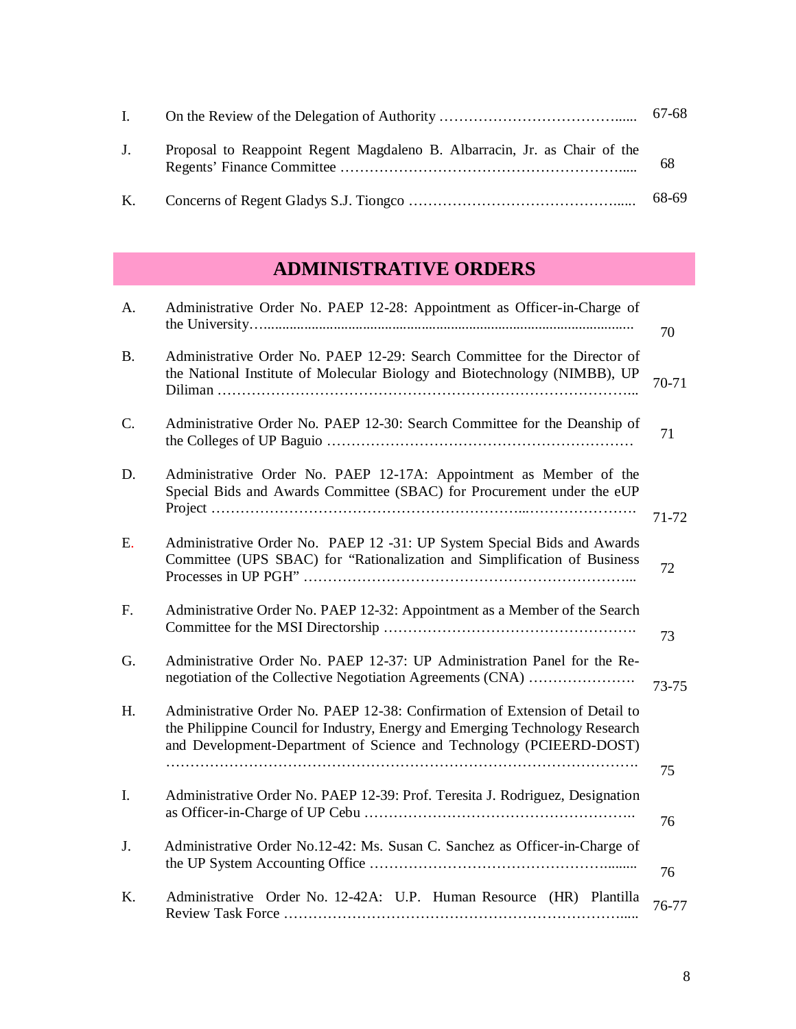| $\mathbf{L}$ |                                                                           |       |
|--------------|---------------------------------------------------------------------------|-------|
| $J_{\perp}$  | Proposal to Reappoint Regent Magdaleno B. Albarracin, Jr. as Chair of the | 68    |
|              |                                                                           | 68-69 |

# **ADMINISTRATIVE ORDERS**

| A.        | Administrative Order No. PAEP 12-28: Appointment as Officer-in-Charge of                                                                                                                                                           | 70    |
|-----------|------------------------------------------------------------------------------------------------------------------------------------------------------------------------------------------------------------------------------------|-------|
| <b>B.</b> | Administrative Order No. PAEP 12-29: Search Committee for the Director of<br>the National Institute of Molecular Biology and Biotechnology (NIMBB), UP                                                                             | 70-71 |
| C.        | Administrative Order No. PAEP 12-30: Search Committee for the Deanship of                                                                                                                                                          | 71    |
| D.        | Administrative Order No. PAEP 12-17A: Appointment as Member of the<br>Special Bids and Awards Committee (SBAC) for Procurement under the eUP                                                                                       |       |
|           |                                                                                                                                                                                                                                    | 71-72 |
| Ε.        | Administrative Order No. PAEP 12 -31: UP System Special Bids and Awards<br>Committee (UPS SBAC) for "Rationalization and Simplification of Business                                                                                | 72    |
| F.        | Administrative Order No. PAEP 12-32: Appointment as a Member of the Search                                                                                                                                                         | 73    |
| G.        | Administrative Order No. PAEP 12-37: UP Administration Panel for the Re-<br>negotiation of the Collective Negotiation Agreements (CNA)                                                                                             | 73-75 |
| H.        | Administrative Order No. PAEP 12-38: Confirmation of Extension of Detail to<br>the Philippine Council for Industry, Energy and Emerging Technology Research<br>and Development-Department of Science and Technology (PCIEERD-DOST) |       |
|           |                                                                                                                                                                                                                                    | 75    |
| I.        | Administrative Order No. PAEP 12-39: Prof. Teresita J. Rodriguez, Designation                                                                                                                                                      | 76    |
| J.        | Administrative Order No.12-42: Ms. Susan C. Sanchez as Officer-in-Charge of                                                                                                                                                        | 76    |
| K.        | Administrative Order No. 12-42A: U.P. Human Resource (HR) Plantilla                                                                                                                                                                | 76-77 |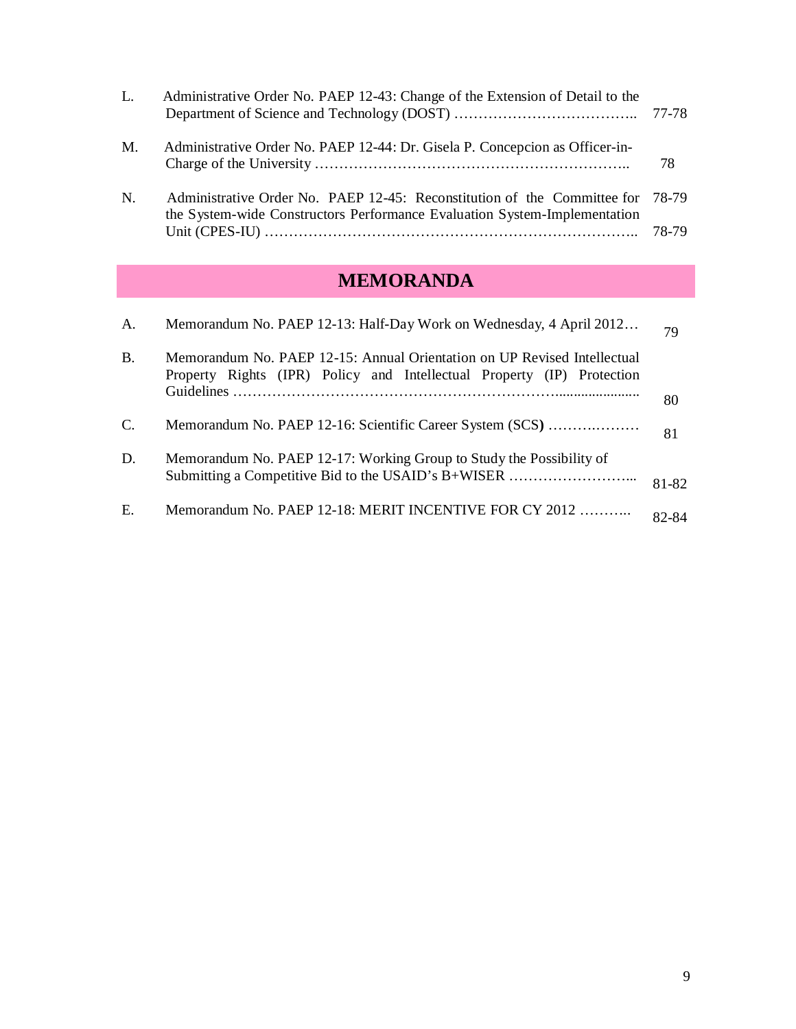| L.          | Administrative Order No. PAEP 12-43: Change of the Extension of Detail to the                                                                         |       |
|-------------|-------------------------------------------------------------------------------------------------------------------------------------------------------|-------|
| M.          | Administrative Order No. PAEP 12-44: Dr. Gisela P. Concepcion as Officer-in-                                                                          | 78    |
| $N_{\cdot}$ | Administrative Order No. PAEP 12-45: Reconstitution of the Committee for<br>the System-wide Constructors Performance Evaluation System-Implementation | 78-79 |
|             |                                                                                                                                                       |       |

# **MEMORANDA**

| A.              | Memorandum No. PAEP 12-13: Half-Day Work on Wednesday, 4 April 2012                                                                                | 79    |
|-----------------|----------------------------------------------------------------------------------------------------------------------------------------------------|-------|
| <b>B.</b>       | Memorandum No. PAEP 12-15: Annual Orientation on UP Revised Intellectual<br>Property Rights (IPR) Policy and Intellectual Property (IP) Protection |       |
|                 |                                                                                                                                                    | 80    |
| $\mathcal{C}$ . | Memorandum No. PAEP 12-16: Scientific Career System (SCS)                                                                                          | 81    |
| D.              | Memorandum No. PAEP 12-17: Working Group to Study the Possibility of<br>Submitting a Competitive Bid to the USAID's B+WISER                        | 81-82 |
| Ε.              | Memorandum No. PAEP 12-18: MERIT INCENTIVE FOR CY 2012                                                                                             | 82-84 |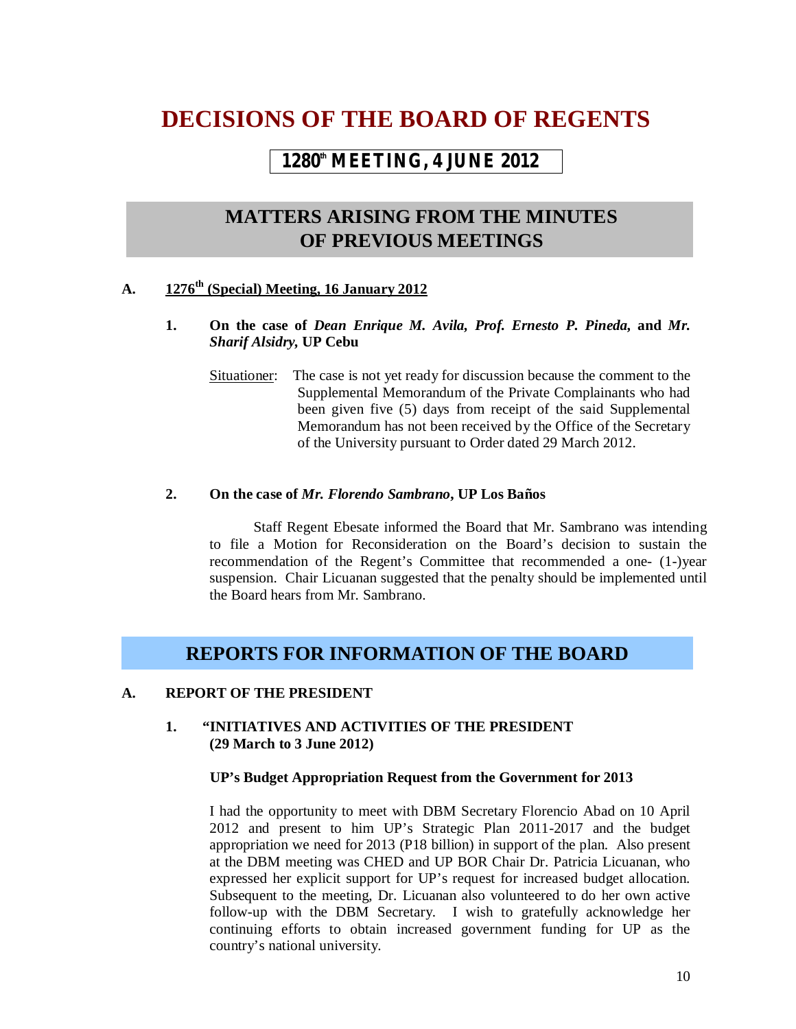# **DECISIONS OF THE BOARD OF REGENTS**

# **1280th MEETING, 4 JUNE 2012**

# **MATTERS ARISING FROM THE MINUTES OF PREVIOUS MEETINGS**

# **A. 1276th (Special) Meeting, 16 January 2012**

- **1. On the case of** *Dean Enrique M. Avila, Prof. Ernesto P. Pineda,* **and** *Mr. Sharif Alsidry,* **UP Cebu** 
	- Situationer: The case is not yet ready for discussion because the comment to the Supplemental Memorandum of the Private Complainants who had been given five (5) days from receipt of the said Supplemental Memorandum has not been received by the Office of the Secretary of the University pursuant to Order dated 29 March 2012.

### **2. On the case of** *Mr. Florendo Sambrano***, UP Los Baños**

Staff Regent Ebesate informed the Board that Mr. Sambrano was intending to file a Motion for Reconsideration on the Board's decision to sustain the recommendation of the Regent's Committee that recommended a one- (1-)year suspension. Chair Licuanan suggested that the penalty should be implemented until the Board hears from Mr. Sambrano.

# **REPORTS FOR INFORMATION OF THE BOARD**

# **A. REPORT OF THE PRESIDENT**

# **1. "INITIATIVES AND ACTIVITIES OF THE PRESIDENT (29 March to 3 June 2012)**

#### **UP's Budget Appropriation Request from the Government for 2013**

I had the opportunity to meet with DBM Secretary Florencio Abad on 10 April 2012 and present to him UP's Strategic Plan 2011-2017 and the budget appropriation we need for 2013 (P18 billion) in support of the plan. Also present at the DBM meeting was CHED and UP BOR Chair Dr. Patricia Licuanan, who expressed her explicit support for UP's request for increased budget allocation. Subsequent to the meeting, Dr. Licuanan also volunteered to do her own active follow-up with the DBM Secretary. I wish to gratefully acknowledge her continuing efforts to obtain increased government funding for UP as the country's national university.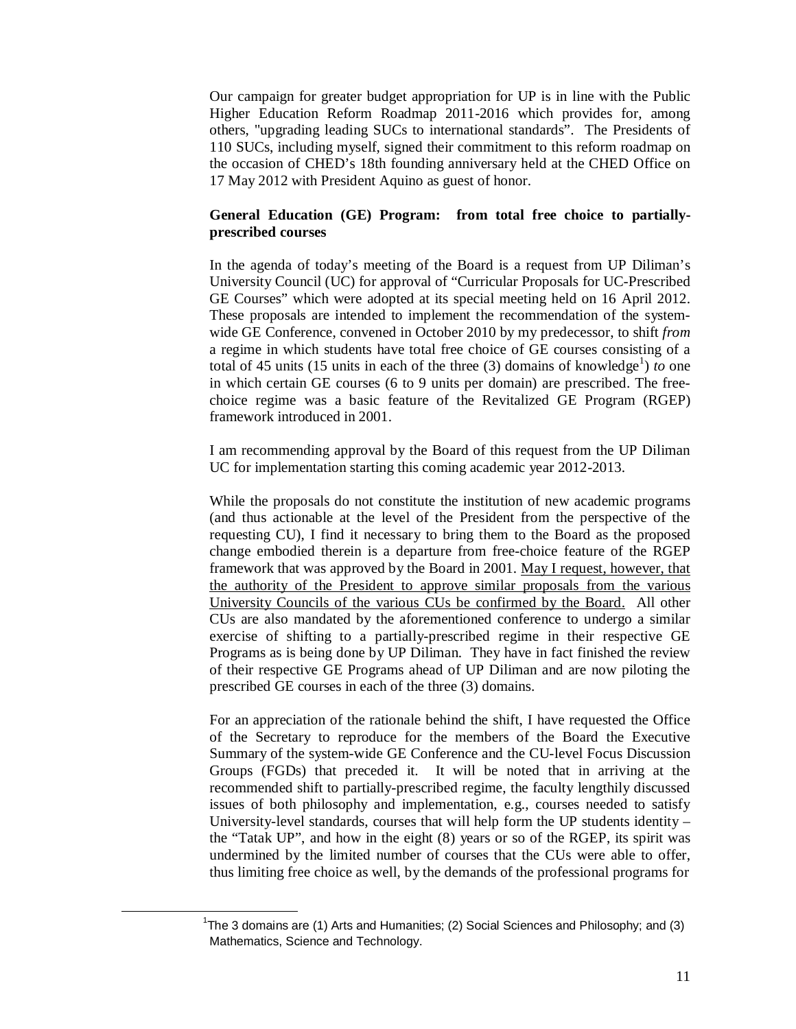Our campaign for greater budget appropriation for UP is in line with the Public Higher Education Reform Roadmap 2011-2016 which provides for, among others, "upgrading leading SUCs to international standards". The Presidents of 110 SUCs, including myself, signed their commitment to this reform roadmap on the occasion of CHED's 18th founding anniversary held at the CHED Office on 17 May 2012 with President Aquino as guest of honor.

# **General Education (GE) Program: from total free choice to partiallyprescribed courses**

In the agenda of today's meeting of the Board is a request from UP Diliman's University Council (UC) for approval of "Curricular Proposals for UC-Prescribed GE Courses" which were adopted at its special meeting held on 16 April 2012. These proposals are intended to implement the recommendation of the systemwide GE Conference, convened in October 2010 by my predecessor, to shift *from* a regime in which students have total free choice of GE courses consisting of a total of 45 units (15 units in each of the three  $(3)$  domains of knowledge<sup>1</sup>) *to* one in which certain GE courses (6 to 9 units per domain) are prescribed. The freechoice regime was a basic feature of the Revitalized GE Program (RGEP) framework introduced in 2001.

I am recommending approval by the Board of this request from the UP Diliman UC for implementation starting this coming academic year 2012-2013.

While the proposals do not constitute the institution of new academic programs (and thus actionable at the level of the President from the perspective of the requesting CU), I find it necessary to bring them to the Board as the proposed change embodied therein is a departure from free-choice feature of the RGEP framework that was approved by the Board in 2001. May I request, however, that the authority of the President to approve similar proposals from the various University Councils of the various CUs be confirmed by the Board. All other CUs are also mandated by the aforementioned conference to undergo a similar exercise of shifting to a partially-prescribed regime in their respective GE Programs as is being done by UP Diliman. They have in fact finished the review of their respective GE Programs ahead of UP Diliman and are now piloting the prescribed GE courses in each of the three (3) domains.

For an appreciation of the rationale behind the shift, I have requested the Office of the Secretary to reproduce for the members of the Board the Executive Summary of the system-wide GE Conference and the CU-level Focus Discussion Groups (FGDs) that preceded it. It will be noted that in arriving at the recommended shift to partially-prescribed regime, the faculty lengthily discussed issues of both philosophy and implementation, e.g., courses needed to satisfy University-level standards, courses that will help form the UP students identity – the "Tatak UP", and how in the eight (8) years or so of the RGEP, its spirit was undermined by the limited number of courses that the CUs were able to offer, thus limiting free choice as well, by the demands of the professional programs for

 $\overline{a}$ 

<sup>&</sup>lt;sup>1</sup>The 3 domains are (1) Arts and Humanities; (2) Social Sciences and Philosophy; and (3) Mathematics, Science and Technology.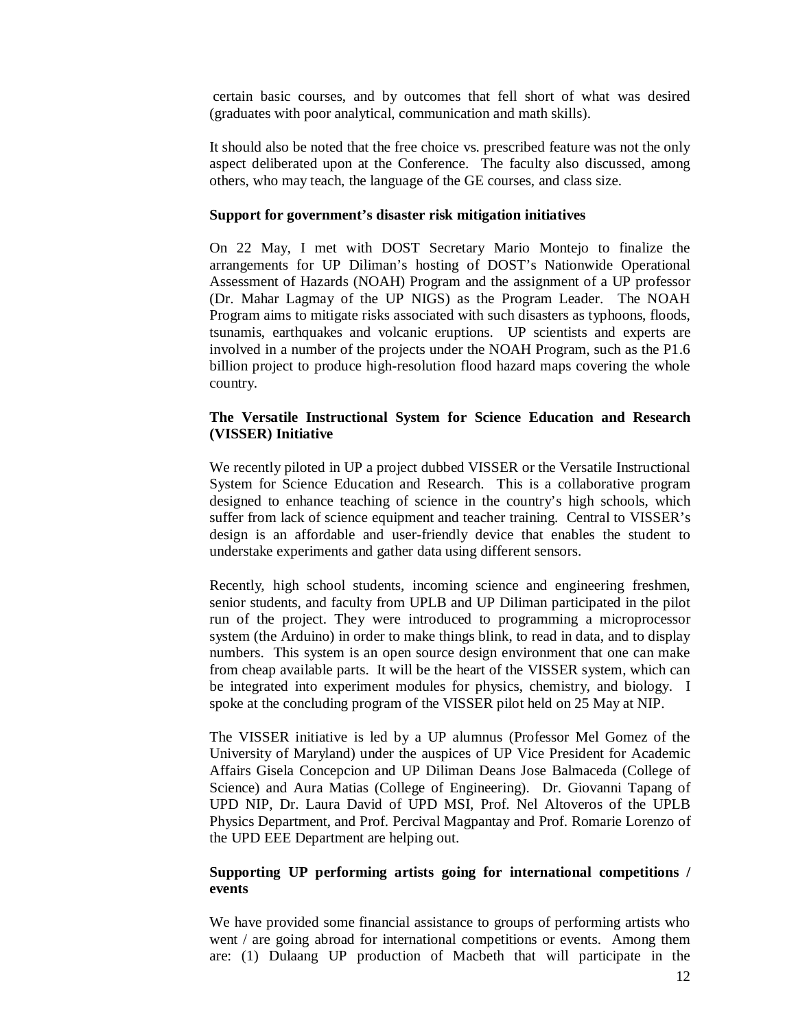certain basic courses, and by outcomes that fell short of what was desired (graduates with poor analytical, communication and math skills).

It should also be noted that the free choice vs. prescribed feature was not the only aspect deliberated upon at the Conference. The faculty also discussed, among others, who may teach, the language of the GE courses, and class size.

#### **Support for government's disaster risk mitigation initiatives**

On 22 May, I met with DOST Secretary Mario Montejo to finalize the arrangements for UP Diliman's hosting of DOST's Nationwide Operational Assessment of Hazards (NOAH) Program and the assignment of a UP professor (Dr. Mahar Lagmay of the UP NIGS) as the Program Leader. The NOAH Program aims to mitigate risks associated with such disasters as typhoons, floods, tsunamis, earthquakes and volcanic eruptions. UP scientists and experts are involved in a number of the projects under the NOAH Program, such as the P1.6 billion project to produce high-resolution flood hazard maps covering the whole country.

#### **The Versatile Instructional System for Science Education and Research (VISSER) Initiative**

We recently piloted in UP a project dubbed VISSER or the Versatile Instructional System for Science Education and Research. This is a collaborative program designed to enhance teaching of science in the country's high schools, which suffer from lack of science equipment and teacher training. Central to VISSER's design is an affordable and user-friendly device that enables the student to understake experiments and gather data using different sensors.

Recently, high school students, incoming science and engineering freshmen, senior students, and faculty from UPLB and UP Diliman participated in the pilot run of the project. They were introduced to programming a microprocessor system (the Arduino) in order to make things blink, to read in data, and to display numbers. This system is an open source design environment that one can make from cheap available parts. It will be the heart of the VISSER system, which can be integrated into experiment modules for physics, chemistry, and biology. I spoke at the concluding program of the VISSER pilot held on 25 May at NIP.

The VISSER initiative is led by a UP alumnus (Professor Mel Gomez of the University of Maryland) under the auspices of UP Vice President for Academic Affairs Gisela Concepcion and UP Diliman Deans Jose Balmaceda (College of Science) and Aura Matias (College of Engineering). Dr. Giovanni Tapang of UPD NIP, Dr. Laura David of UPD MSI, Prof. Nel Altoveros of the UPLB Physics Department, and Prof. Percival Magpantay and Prof. Romarie Lorenzo of the UPD EEE Department are helping out.

#### **Supporting UP performing artists going for international competitions / events**

We have provided some financial assistance to groups of performing artists who went / are going abroad for international competitions or events. Among them are: (1) Dulaang UP production of Macbeth that will participate in the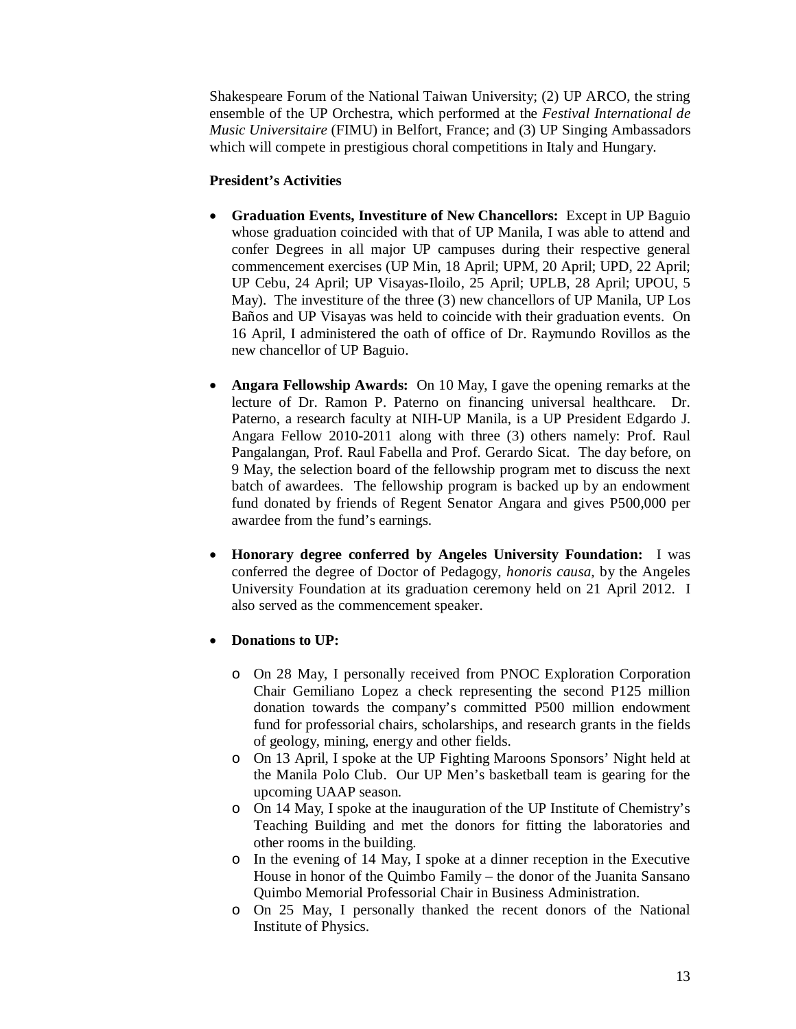Shakespeare Forum of the National Taiwan University; (2) UP ARCO, the string ensemble of the UP Orchestra, which performed at the *Festival International de Music Universitaire* (FIMU) in Belfort, France; and (3) UP Singing Ambassadors which will compete in prestigious choral competitions in Italy and Hungary.

### **President's Activities**

- **Graduation Events, Investiture of New Chancellors:** Except in UP Baguio whose graduation coincided with that of UP Manila, I was able to attend and confer Degrees in all major UP campuses during their respective general commencement exercises (UP Min, 18 April; UPM, 20 April; UPD, 22 April; UP Cebu, 24 April; UP Visayas-Iloilo, 25 April; UPLB, 28 April; UPOU, 5 May). The investiture of the three (3) new chancellors of UP Manila, UP Los Baños and UP Visayas was held to coincide with their graduation events. On 16 April, I administered the oath of office of Dr. Raymundo Rovillos as the new chancellor of UP Baguio.
- **Angara Fellowship Awards:** On 10 May, I gave the opening remarks at the lecture of Dr. Ramon P. Paterno on financing universal healthcare. Dr. Paterno, a research faculty at NIH-UP Manila, is a UP President Edgardo J. Angara Fellow 2010-2011 along with three (3) others namely: Prof. Raul Pangalangan, Prof. Raul Fabella and Prof. Gerardo Sicat. The day before, on 9 May, the selection board of the fellowship program met to discuss the next batch of awardees. The fellowship program is backed up by an endowment fund donated by friends of Regent Senator Angara and gives P500,000 per awardee from the fund's earnings.
- **Honorary degree conferred by Angeles University Foundation:** I was conferred the degree of Doctor of Pedagogy, *honoris causa,* by the Angeles University Foundation at its graduation ceremony held on 21 April 2012. I also served as the commencement speaker.

# **Donations to UP:**

- o On 28 May, I personally received from PNOC Exploration Corporation Chair Gemiliano Lopez a check representing the second P125 million donation towards the company's committed P500 million endowment fund for professorial chairs, scholarships, and research grants in the fields of geology, mining, energy and other fields.
- o On 13 April, I spoke at the UP Fighting Maroons Sponsors' Night held at the Manila Polo Club. Our UP Men's basketball team is gearing for the upcoming UAAP season.
- o On 14 May, I spoke at the inauguration of the UP Institute of Chemistry's Teaching Building and met the donors for fitting the laboratories and other rooms in the building.
- o In the evening of 14 May, I spoke at a dinner reception in the Executive House in honor of the Quimbo Family – the donor of the Juanita Sansano Quimbo Memorial Professorial Chair in Business Administration.
- o On 25 May, I personally thanked the recent donors of the National Institute of Physics.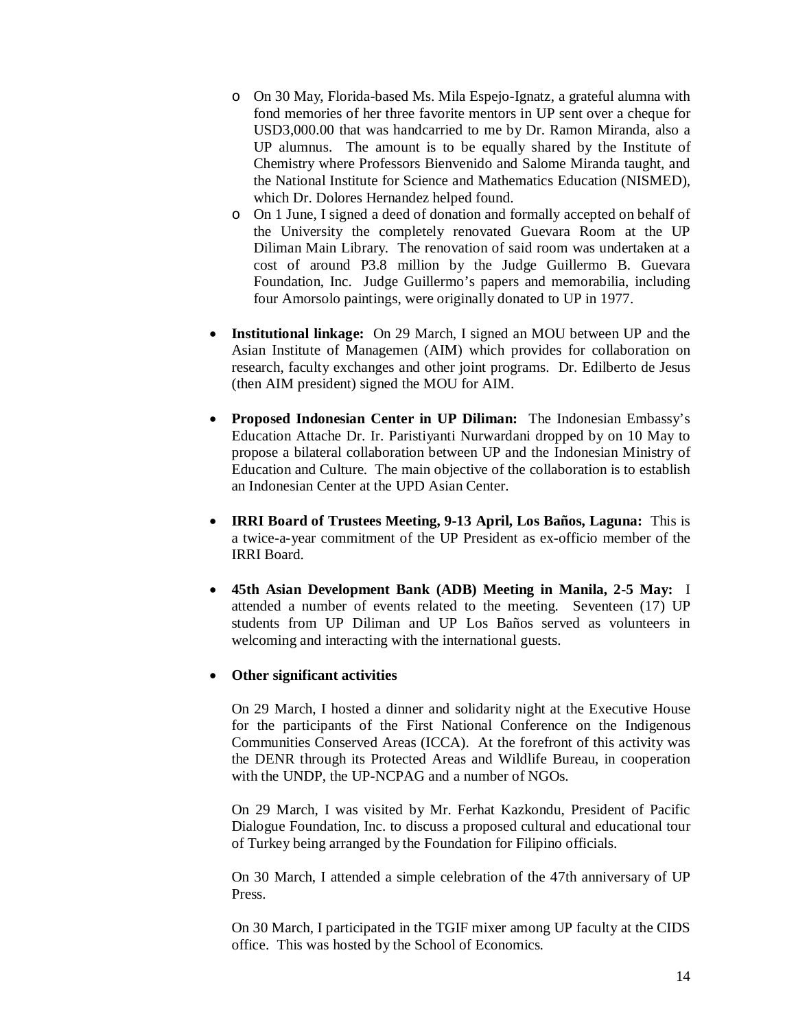- o On 30 May, Florida-based Ms. Mila Espejo-Ignatz, a grateful alumna with fond memories of her three favorite mentors in UP sent over a cheque for USD3,000.00 that was handcarried to me by Dr. Ramon Miranda, also a UP alumnus. The amount is to be equally shared by the Institute of Chemistry where Professors Bienvenido and Salome Miranda taught, and the National Institute for Science and Mathematics Education (NISMED), which Dr. Dolores Hernandez helped found.
- o On 1 June, I signed a deed of donation and formally accepted on behalf of the University the completely renovated Guevara Room at the UP Diliman Main Library. The renovation of said room was undertaken at a cost of around P3.8 million by the Judge Guillermo B. Guevara Foundation, Inc. Judge Guillermo's papers and memorabilia, including four Amorsolo paintings, were originally donated to UP in 1977.
- **Institutional linkage:** On 29 March, I signed an MOU between UP and the Asian Institute of Managemen (AIM) which provides for collaboration on research, faculty exchanges and other joint programs. Dr. Edilberto de Jesus (then AIM president) signed the MOU for AIM.
- **Proposed Indonesian Center in UP Diliman:** The Indonesian Embassy's Education Attache Dr. Ir. Paristiyanti Nurwardani dropped by on 10 May to propose a bilateral collaboration between UP and the Indonesian Ministry of Education and Culture. The main objective of the collaboration is to establish an Indonesian Center at the UPD Asian Center.
- **IRRI Board of Trustees Meeting, 9-13 April, Los Baños, Laguna:** This is a twice-a-year commitment of the UP President as ex-officio member of the IRRI Board.
- **45th Asian Development Bank (ADB) Meeting in Manila, 2-5 May:** I attended a number of events related to the meeting. Seventeen (17) UP students from UP Diliman and UP Los Baños served as volunteers in welcoming and interacting with the international guests.

#### **Other significant activities**

On 29 March, I hosted a dinner and solidarity night at the Executive House for the participants of the First National Conference on the Indigenous Communities Conserved Areas (ICCA). At the forefront of this activity was the DENR through its Protected Areas and Wildlife Bureau, in cooperation with the UNDP, the UP-NCPAG and a number of NGOs.

On 29 March, I was visited by Mr. Ferhat Kazkondu, President of Pacific Dialogue Foundation, Inc. to discuss a proposed cultural and educational tour of Turkey being arranged by the Foundation for Filipino officials.

On 30 March, I attended a simple celebration of the 47th anniversary of UP Press.

On 30 March, I participated in the TGIF mixer among UP faculty at the CIDS office. This was hosted by the School of Economics.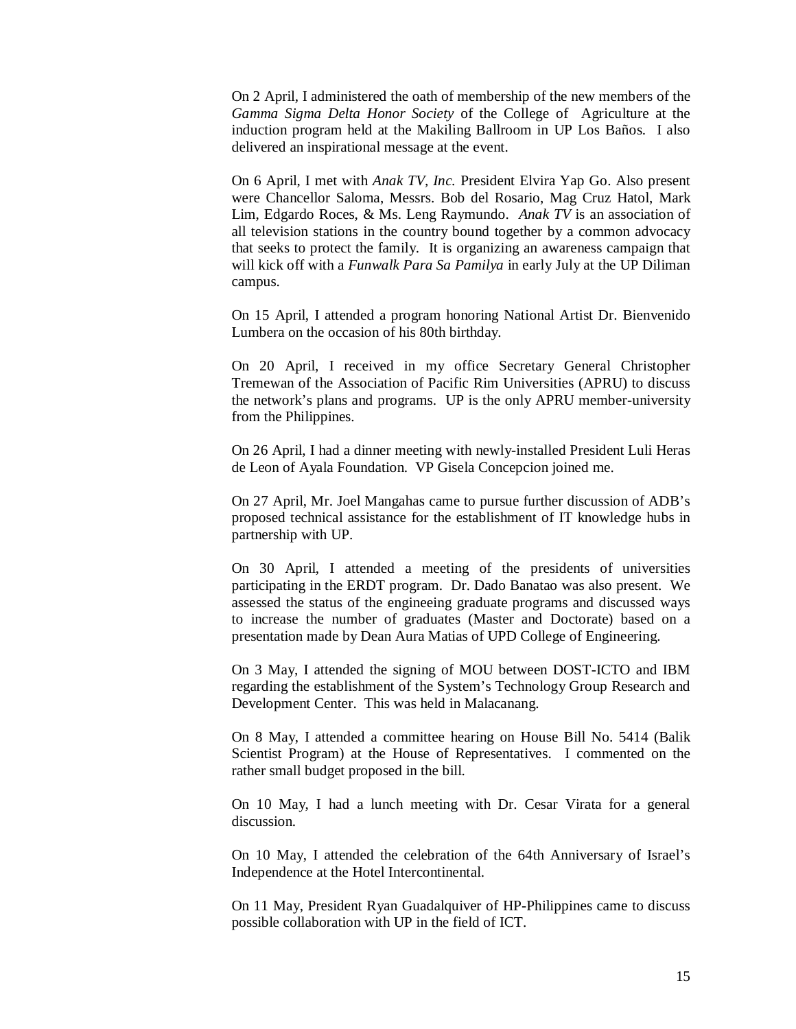On 2 April, I administered the oath of membership of the new members of the *Gamma Sigma Delta Honor Society* of the College of Agriculture at the induction program held at the Makiling Ballroom in UP Los Baños. I also delivered an inspirational message at the event.

On 6 April, I met with *Anak TV, Inc.* President Elvira Yap Go. Also present were Chancellor Saloma, Messrs. Bob del Rosario, Mag Cruz Hatol, Mark Lim, Edgardo Roces, & Ms. Leng Raymundo. *Anak TV* is an association of all television stations in the country bound together by a common advocacy that seeks to protect the family. It is organizing an awareness campaign that will kick off with a *Funwalk Para Sa Pamilya* in early July at the UP Diliman campus.

On 15 April, I attended a program honoring National Artist Dr. Bienvenido Lumbera on the occasion of his 80th birthday.

On 20 April, I received in my office Secretary General Christopher Tremewan of the Association of Pacific Rim Universities (APRU) to discuss the network's plans and programs. UP is the only APRU member-university from the Philippines.

On 26 April, I had a dinner meeting with newly-installed President Luli Heras de Leon of Ayala Foundation. VP Gisela Concepcion joined me.

On 27 April, Mr. Joel Mangahas came to pursue further discussion of ADB's proposed technical assistance for the establishment of IT knowledge hubs in partnership with UP.

On 30 April, I attended a meeting of the presidents of universities participating in the ERDT program. Dr. Dado Banatao was also present. We assessed the status of the engineeing graduate programs and discussed ways to increase the number of graduates (Master and Doctorate) based on a presentation made by Dean Aura Matias of UPD College of Engineering.

On 3 May, I attended the signing of MOU between DOST-ICTO and IBM regarding the establishment of the System's Technology Group Research and Development Center. This was held in Malacanang.

On 8 May, I attended a committee hearing on House Bill No. 5414 (Balik Scientist Program) at the House of Representatives. I commented on the rather small budget proposed in the bill.

On 10 May, I had a lunch meeting with Dr. Cesar Virata for a general discussion.

On 10 May, I attended the celebration of the 64th Anniversary of Israel's Independence at the Hotel Intercontinental.

On 11 May, President Ryan Guadalquiver of HP-Philippines came to discuss possible collaboration with UP in the field of ICT.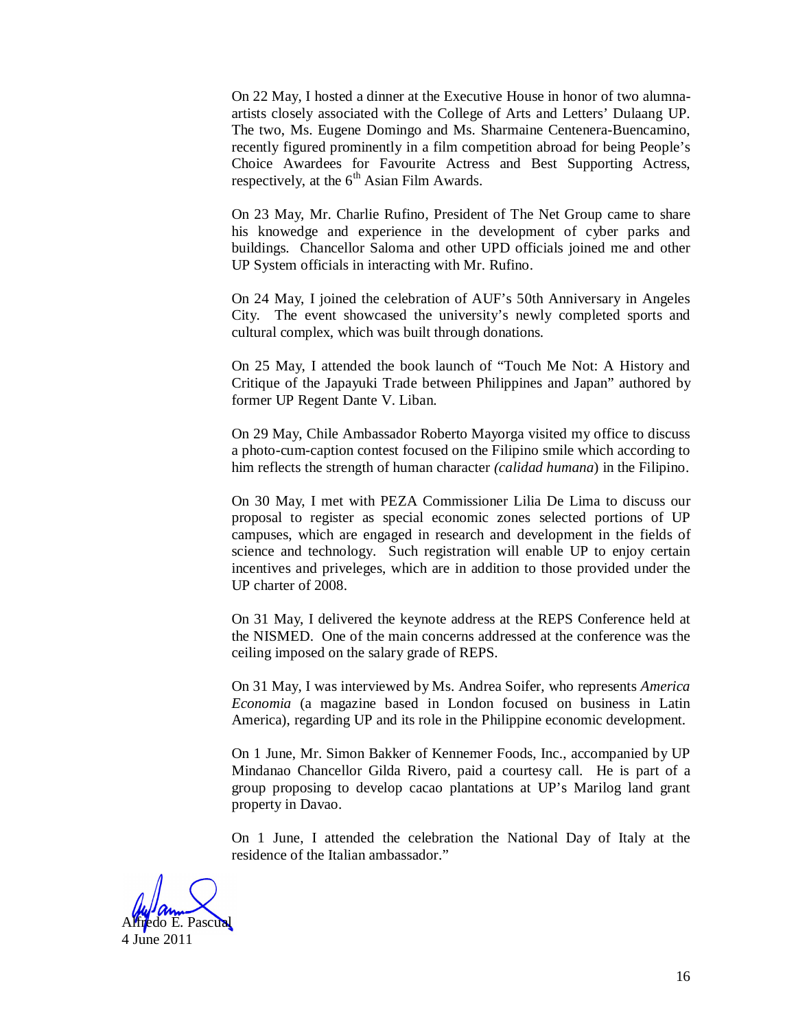On 22 May, I hosted a dinner at the Executive House in honor of two alumnaartists closely associated with the College of Arts and Letters' Dulaang UP. The two, Ms. Eugene Domingo and Ms. Sharmaine Centenera-Buencamino, recently figured prominently in a film competition abroad for being People's Choice Awardees for Favourite Actress and Best Supporting Actress, respectively, at the  $6<sup>th</sup>$  Asian Film Awards.

On 23 May, Mr. Charlie Rufino, President of The Net Group came to share his knowedge and experience in the development of cyber parks and buildings. Chancellor Saloma and other UPD officials joined me and other UP System officials in interacting with Mr. Rufino.

On 24 May, I joined the celebration of AUF's 50th Anniversary in Angeles City. The event showcased the university's newly completed sports and cultural complex, which was built through donations.

On 25 May, I attended the book launch of "Touch Me Not: A History and Critique of the Japayuki Trade between Philippines and Japan" authored by former UP Regent Dante V. Liban.

On 29 May, Chile Ambassador Roberto Mayorga visited my office to discuss a photo-cum-caption contest focused on the Filipino smile which according to him reflects the strength of human character *(calidad humana*) in the Filipino.

On 30 May, I met with PEZA Commissioner Lilia De Lima to discuss our proposal to register as special economic zones selected portions of UP campuses, which are engaged in research and development in the fields of science and technology. Such registration will enable UP to enjoy certain incentives and priveleges, which are in addition to those provided under the UP charter of 2008.

On 31 May, I delivered the keynote address at the REPS Conference held at the NISMED. One of the main concerns addressed at the conference was the ceiling imposed on the salary grade of REPS.

On 31 May, I was interviewed by Ms. Andrea Soifer, who represents *America Economia* (a magazine based in London focused on business in Latin America), regarding UP and its role in the Philippine economic development.

On 1 June, Mr. Simon Bakker of Kennemer Foods, Inc., accompanied by UP Mindanao Chancellor Gilda Rivero, paid a courtesy call. He is part of a group proposing to develop cacao plantations at UP's Marilog land grant property in Davao.

On 1 June, I attended the celebration the National Day of Italy at the residence of the Italian ambassador."

Alfredo E. Pascual

4 June 2011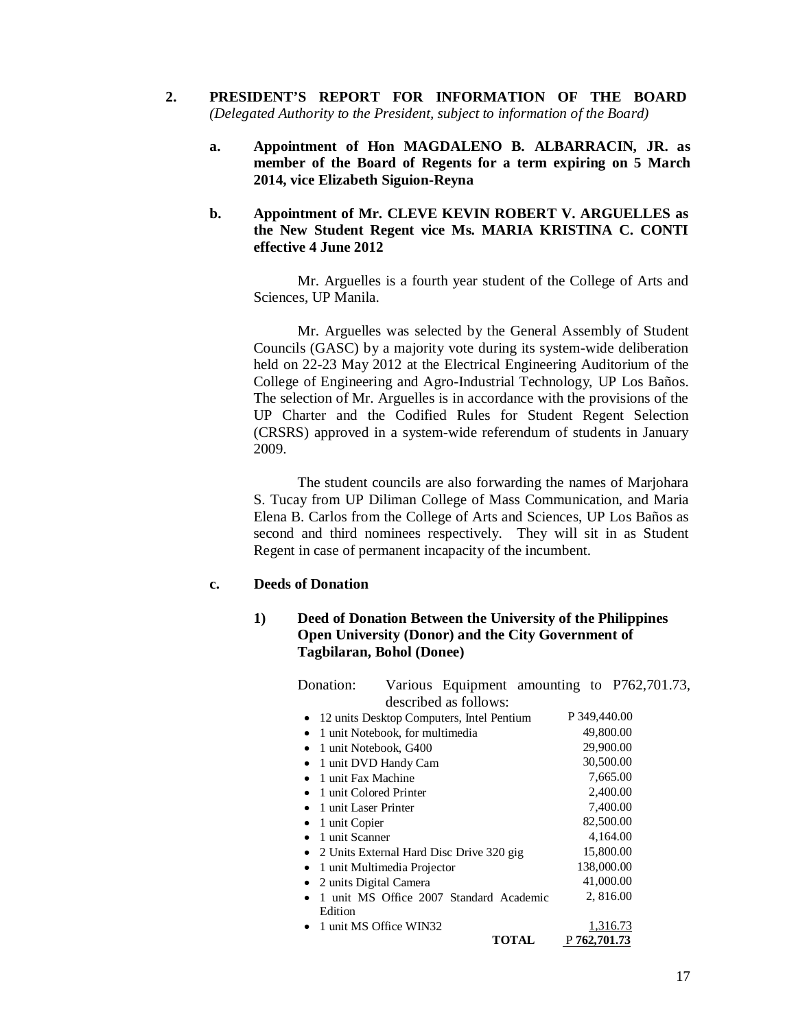- **2. PRESIDENT'S REPORT FOR INFORMATION OF THE BOARD**  *(Delegated Authority to the President, subject to information of the Board)*
	- **a. Appointment of Hon MAGDALENO B. ALBARRACIN, JR. as member of the Board of Regents for a term expiring on 5 March 2014, vice Elizabeth Siguion-Reyna**
	- **b. Appointment of Mr. CLEVE KEVIN ROBERT V. ARGUELLES as the New Student Regent vice Ms. MARIA KRISTINA C. CONTI effective 4 June 2012**

Mr. Arguelles is a fourth year student of the College of Arts and Sciences, UP Manila.

Mr. Arguelles was selected by the General Assembly of Student Councils (GASC) by a majority vote during its system-wide deliberation held on 22-23 May 2012 at the Electrical Engineering Auditorium of the College of Engineering and Agro-Industrial Technology, UP Los Baños. The selection of Mr. Arguelles is in accordance with the provisions of the UP Charter and the Codified Rules for Student Regent Selection (CRSRS) approved in a system-wide referendum of students in January 2009.

The student councils are also forwarding the names of Marjohara S. Tucay from UP Diliman College of Mass Communication, and Maria Elena B. Carlos from the College of Arts and Sciences, UP Los Baños as second and third nominees respectively. They will sit in as Student Regent in case of permanent incapacity of the incumbent.

#### **c. Deeds of Donation**

### **1) Deed of Donation Between the University of the Philippines Open University (Donor) and the City Government of Tagbilaran, Bohol (Donee)**

| Donation:            |                                 |                                           |              |              | Various Equipment amounting to P762,701.73, |
|----------------------|---------------------------------|-------------------------------------------|--------------|--------------|---------------------------------------------|
|                      |                                 | described as follows:                     |              |              |                                             |
|                      |                                 | 12 units Desktop Computers, Intel Pentium |              | P 349,440.00 |                                             |
|                      | 1 unit Notebook, for multimedia |                                           |              | 49,800.00    |                                             |
| $\bullet$            | 1 unit Notebook, G400           |                                           |              | 29,900.00    |                                             |
|                      | 1 unit DVD Handy Cam            |                                           |              |              | 30,500.00                                   |
| 1 unit Fax Machine   |                                 |                                           |              |              | 7,665.00                                    |
|                      | 1 unit Colored Printer          |                                           |              |              | 2,400.00                                    |
| 1 unit Laser Printer |                                 |                                           |              |              | 7,400.00                                    |
| 1 unit Copier<br>٠   |                                 |                                           |              | 82,500.00    |                                             |
| 1 unit Scanner       |                                 |                                           |              |              | 4,164.00                                    |
| $\bullet$            |                                 | 2 Units External Hard Disc Drive 320 gig  |              |              | 15,800.00                                   |
| ٠                    | 1 unit Multimedia Projector     |                                           |              | 138,000.00   |                                             |
|                      | 2 units Digital Camera          |                                           |              | 41,000.00    |                                             |
|                      |                                 | 1 unit MS Office 2007 Standard Academic   |              |              | 2,816.00                                    |
| Edition              |                                 |                                           |              |              |                                             |
|                      | 1 unit MS Office WIN32          |                                           |              |              | 1,316.73                                    |
|                      |                                 |                                           | <b>TOTAL</b> | P 762,701.73 |                                             |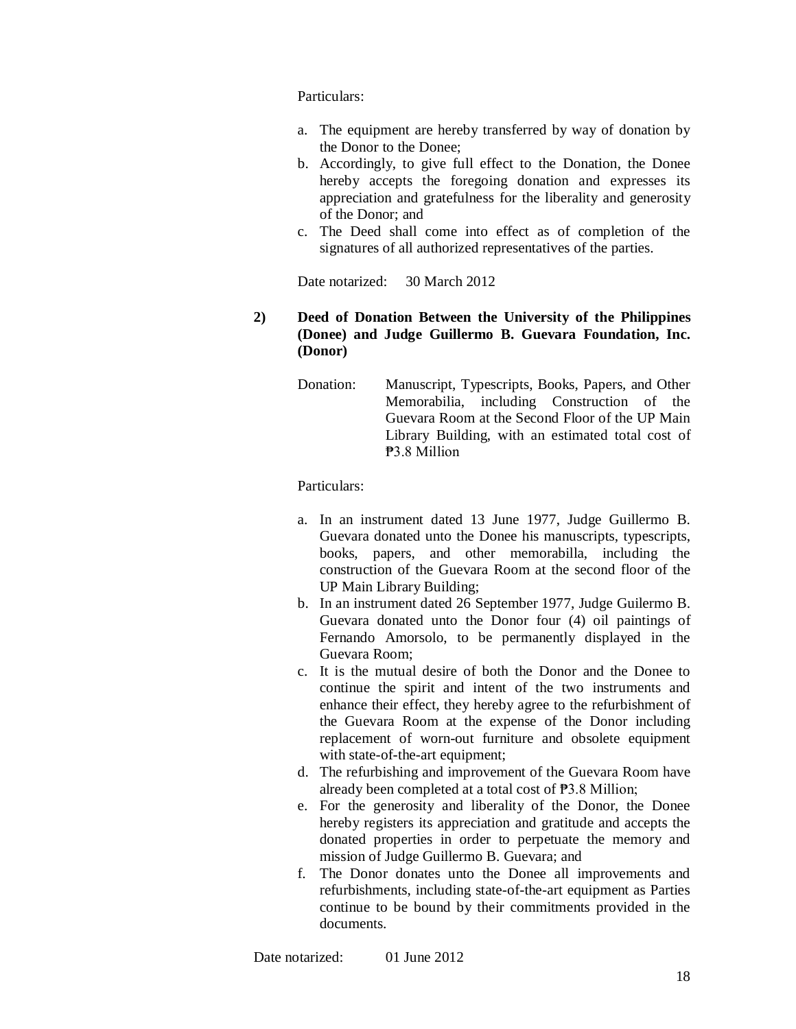Particulars:

- a. The equipment are hereby transferred by way of donation by the Donor to the Donee;
- b. Accordingly, to give full effect to the Donation, the Donee hereby accepts the foregoing donation and expresses its appreciation and gratefulness for the liberality and generosity of the Donor; and
- c. The Deed shall come into effect as of completion of the signatures of all authorized representatives of the parties.

Date notarized: 30 March 2012

### **2) Deed of Donation Between the University of the Philippines (Donee) and Judge Guillermo B. Guevara Foundation, Inc. (Donor)**

Donation: Manuscript, Typescripts, Books, Papers, and Other Memorabilia, including Construction of the Guevara Room at the Second Floor of the UP Main Library Building, with an estimated total cost of ₱3.8 Million

Particulars:

- a. In an instrument dated 13 June 1977, Judge Guillermo B. Guevara donated unto the Donee his manuscripts, typescripts, books, papers, and other memorabilla, including the construction of the Guevara Room at the second floor of the UP Main Library Building;
- b. In an instrument dated 26 September 1977, Judge Guilermo B. Guevara donated unto the Donor four (4) oil paintings of Fernando Amorsolo, to be permanently displayed in the Guevara Room;
- c. It is the mutual desire of both the Donor and the Donee to continue the spirit and intent of the two instruments and enhance their effect, they hereby agree to the refurbishment of the Guevara Room at the expense of the Donor including replacement of worn-out furniture and obsolete equipment with state-of-the-art equipment;
- d. The refurbishing and improvement of the Guevara Room have already been completed at a total cost of ₱3.8 Million;
- e. For the generosity and liberality of the Donor, the Donee hereby registers its appreciation and gratitude and accepts the donated properties in order to perpetuate the memory and mission of Judge Guillermo B. Guevara; and
- f. The Donor donates unto the Donee all improvements and refurbishments, including state-of-the-art equipment as Parties continue to be bound by their commitments provided in the documents.

Date notarized: 01 June 2012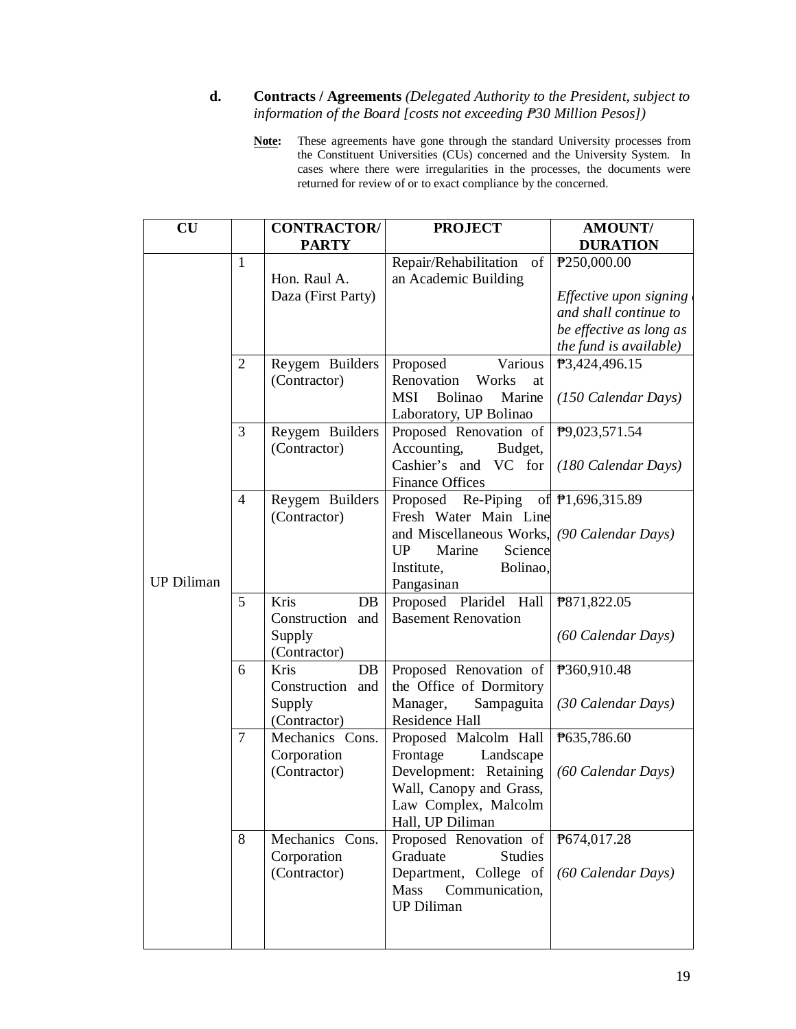### **d. Contracts / Agreements** *(Delegated Authority to the President, subject to information of the Board [costs not exceeding ₱30 Million Pesos])*

**Note:** These agreements have gone through the standard University processes from the Constituent Universities (CUs) concerned and the University System. In cases where there were irregularities in the processes, the documents were returned for review of or to exact compliance by the concerned.

| CU                |                | <b>CONTRACTOR/</b><br><b>PARTY</b>                         | <b>PROJECT</b>                                                                                                                                                                              | <b>AMOUNT/</b><br><b>DURATION</b>                                                                    |
|-------------------|----------------|------------------------------------------------------------|---------------------------------------------------------------------------------------------------------------------------------------------------------------------------------------------|------------------------------------------------------------------------------------------------------|
|                   | $\mathbf{1}$   |                                                            | Repair/Rehabilitation<br>of                                                                                                                                                                 | P250,000.00                                                                                          |
|                   |                | Hon. Raul A.<br>Daza (First Party)                         | an Academic Building                                                                                                                                                                        | Effective upon signing<br>and shall continue to<br>be effective as long as<br>the fund is available) |
|                   | $\overline{2}$ | Reygem Builders<br>(Contractor)                            | Various<br>Proposed<br>Renovation<br>Works<br>at<br><b>MSI</b><br>Bolinao<br>Marine<br>Laboratory, UP Bolinao                                                                               | P3,424,496.15<br>(150 Calendar Days)                                                                 |
|                   | 3              | Reygem Builders<br>(Contractor)                            | Proposed Renovation of<br>Accounting,<br>Budget,<br>Cashier's and VC for<br><b>Finance Offices</b>                                                                                          | P9,023,571.54<br>(180 Calendar Days)                                                                 |
| <b>UP Diliman</b> | $\overline{4}$ | Reygem Builders<br>(Contractor)                            | Proposed Re-Piping of $\overline{P}1,696,315.89$<br>Fresh Water Main Line<br>and Miscellaneous Works, (90 Calendar Days)<br>UP<br>Marine<br>Science<br>Institute,<br>Bolinao,<br>Pangasinan |                                                                                                      |
|                   | 5              | Kris<br>DB<br>Construction and<br>Supply<br>(Contractor)   | Proposed Plaridel Hall<br><b>Basement Renovation</b>                                                                                                                                        | P871,822.05<br>(60 Calendar Days)                                                                    |
|                   | 6              | Kris<br>$DB$<br>Construction and<br>Supply<br>(Contractor) | Proposed Renovation of<br>the Office of Dormitory<br>Manager,<br>Sampaguita<br>Residence Hall                                                                                               | P360,910.48<br>(30 Calendar Days)                                                                    |
|                   | 7              | Mechanics Cons.<br>Corporation<br>(Contractor)             | Proposed Malcolm Hall<br>Frontage<br>Landscape<br>Development: Retaining<br>Wall, Canopy and Grass,<br>Law Complex, Malcolm<br>Hall, UP Diliman                                             | P635,786.60<br>(60 Calendar Days)                                                                    |
|                   | 8              | Mechanics Cons.<br>Corporation<br>(Contractor)             | Proposed Renovation of<br>Graduate<br><b>Studies</b><br>Department, College of<br>Mass<br>Communication,<br><b>UP Diliman</b>                                                               | P674,017.28<br>(60 Calendar Days)                                                                    |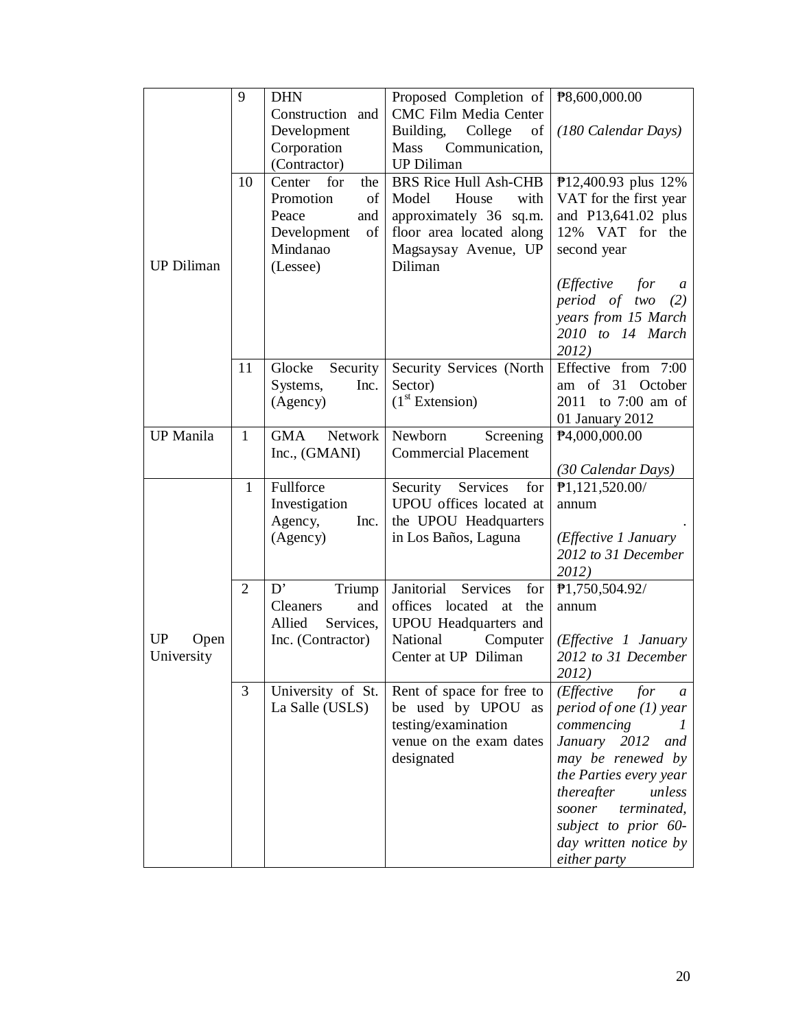|                   | 9              | <b>DHN</b>           | Proposed Completion of $\frac{126}{600,000,000}$    |                                             |
|-------------------|----------------|----------------------|-----------------------------------------------------|---------------------------------------------|
|                   |                | Construction and     | <b>CMC Film Media Center</b>                        |                                             |
|                   |                | Development          | Building,<br>College<br>of                          | (180 Calendar Days)                         |
|                   |                | Corporation          | Communication,<br><b>Mass</b>                       |                                             |
|                   |                | (Contractor)         | <b>UP Diliman</b>                                   |                                             |
|                   | 10             | Center<br>for<br>the | <b>BRS Rice Hull Ash-CHB</b>                        | P12,400.93 plus 12%                         |
|                   |                | Promotion<br>of      | Model<br>with<br>House                              | VAT for the first year                      |
|                   |                | Peace<br>and         | approximately 36 sq.m.                              | and P13,641.02 plus                         |
|                   |                | of<br>Development    | floor area located along                            | 12% VAT for the                             |
|                   |                | Mindanao             | Magsaysay Avenue, UP                                | second year                                 |
| <b>UP Diliman</b> |                | (Lessee)             | Diliman                                             |                                             |
|                   |                |                      |                                                     | (Effective)<br>for<br>$\boldsymbol{a}$      |
|                   |                |                      |                                                     | period of two<br>(2)                        |
|                   |                |                      |                                                     | years from 15 March                         |
|                   |                |                      |                                                     | 2010 to 14 March                            |
|                   |                |                      |                                                     | 2012)                                       |
|                   | 11             | Glocke<br>Security   | Security Services (North                            | Effective from 7:00                         |
|                   |                | Systems,<br>Inc.     | Sector)                                             | $of$ 31<br>October<br>am                    |
|                   |                | (Agency)             | (1 <sup>st</sup> Extension)                         | 2011 to 7:00 am of                          |
| <b>UP</b> Manila  |                | GMA                  |                                                     | 01 January 2012                             |
|                   | $\mathbf{1}$   | Network              | Newborn<br>Screening<br><b>Commercial Placement</b> | P4,000,000.00                               |
|                   |                | Inc., (GMANI)        |                                                     | (30 Calendar Days)                          |
|                   | $\mathbf{1}$   | Fullforce            | Security<br>Services<br>for                         | P1,121,520.00/                              |
|                   |                | Investigation        | UPOU offices located at                             | annum                                       |
|                   |                | Agency,<br>Inc.      | the UPOU Headquarters                               |                                             |
|                   |                | (Agency)             | in Los Baños, Laguna                                | (Effective 1 January                        |
|                   |                |                      |                                                     | 2012 to 31 December                         |
|                   |                |                      |                                                     | 2012)                                       |
|                   | $\overline{2}$ | D'<br>Triump         | Janitorial<br>Services<br>for                       | P1,750,504.92/                              |
|                   |                | Cleaners<br>and      | offices located<br>at<br>the                        | annum                                       |
|                   |                | Allied<br>Services,  | UPOU Headquarters and                               |                                             |
| UP<br>Open        |                | Inc. (Contractor)    | National<br>Computer                                | ( <i>Effective 1 January</i>                |
| University        |                |                      | Center at UP Diliman                                | 2012 to 31 December                         |
|                   |                |                      |                                                     | 2012)                                       |
|                   | 3              | University of St.    | Rent of space for free to                           | ( <i>Effective</i><br>for<br>$\mathfrak{a}$ |
|                   |                |                      |                                                     |                                             |
|                   |                | La Salle (USLS)      | be used by UPOU as                                  | period of one $(1)$ year                    |
|                   |                |                      | testing/examination                                 | commencing                                  |
|                   |                |                      | venue on the exam dates                             | January 2012<br>and                         |
|                   |                |                      | designated                                          | may be renewed by                           |
|                   |                |                      |                                                     | the Parties every year                      |
|                   |                |                      |                                                     | thereafter<br>unless                        |
|                   |                |                      |                                                     | sooner<br>terminated,                       |
|                   |                |                      |                                                     | subject to prior 60-                        |
|                   |                |                      |                                                     | day written notice by<br>either party       |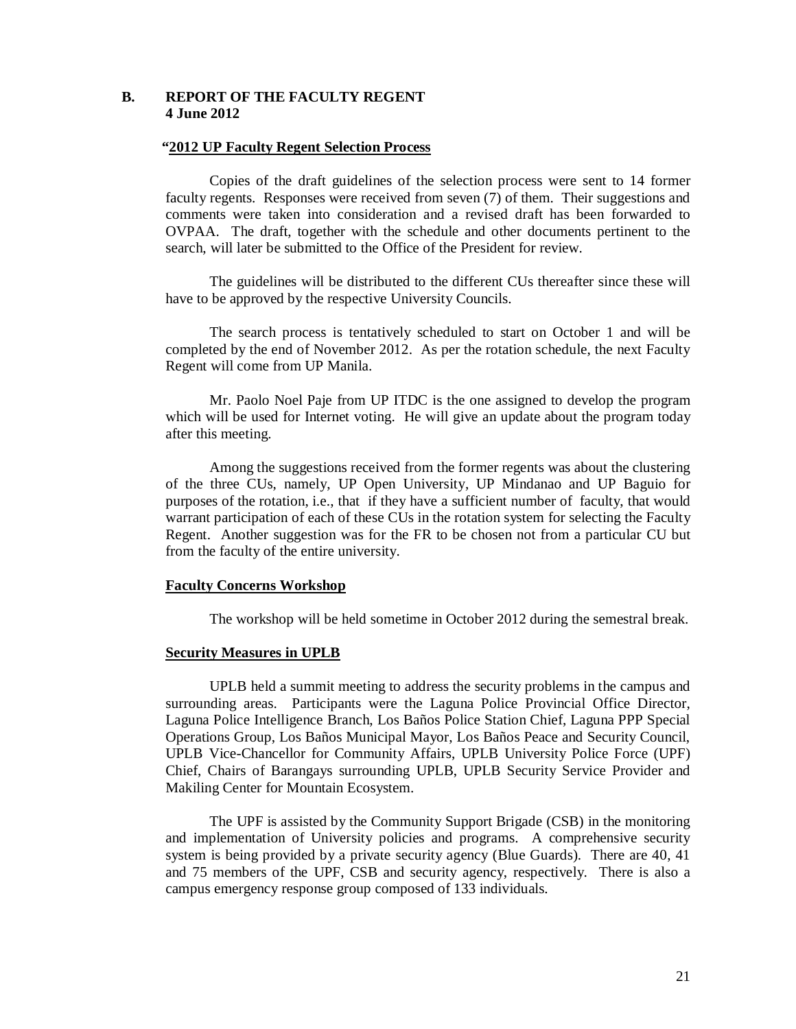#### **B. REPORT OF THE FACULTY REGENT 4 June 2012**

#### **"2012 UP Faculty Regent Selection Process**

Copies of the draft guidelines of the selection process were sent to 14 former faculty regents. Responses were received from seven (7) of them. Their suggestions and comments were taken into consideration and a revised draft has been forwarded to OVPAA. The draft, together with the schedule and other documents pertinent to the search, will later be submitted to the Office of the President for review.

The guidelines will be distributed to the different CUs thereafter since these will have to be approved by the respective University Councils.

The search process is tentatively scheduled to start on October 1 and will be completed by the end of November 2012. As per the rotation schedule, the next Faculty Regent will come from UP Manila.

Mr. Paolo Noel Paje from UP ITDC is the one assigned to develop the program which will be used for Internet voting. He will give an update about the program today after this meeting.

Among the suggestions received from the former regents was about the clustering of the three CUs, namely, UP Open University, UP Mindanao and UP Baguio for purposes of the rotation, i.e., that if they have a sufficient number of faculty, that would warrant participation of each of these CUs in the rotation system for selecting the Faculty Regent. Another suggestion was for the FR to be chosen not from a particular CU but from the faculty of the entire university.

#### **Faculty Concerns Workshop**

The workshop will be held sometime in October 2012 during the semestral break.

#### **Security Measures in UPLB**

UPLB held a summit meeting to address the security problems in the campus and surrounding areas. Participants were the Laguna Police Provincial Office Director, Laguna Police Intelligence Branch, Los Baños Police Station Chief, Laguna PPP Special Operations Group, Los Baños Municipal Mayor, Los Baños Peace and Security Council, UPLB Vice-Chancellor for Community Affairs, UPLB University Police Force (UPF) Chief, Chairs of Barangays surrounding UPLB, UPLB Security Service Provider and Makiling Center for Mountain Ecosystem.

The UPF is assisted by the Community Support Brigade (CSB) in the monitoring and implementation of University policies and programs. A comprehensive security system is being provided by a private security agency (Blue Guards). There are 40, 41 and 75 members of the UPF, CSB and security agency, respectively. There is also a campus emergency response group composed of 133 individuals.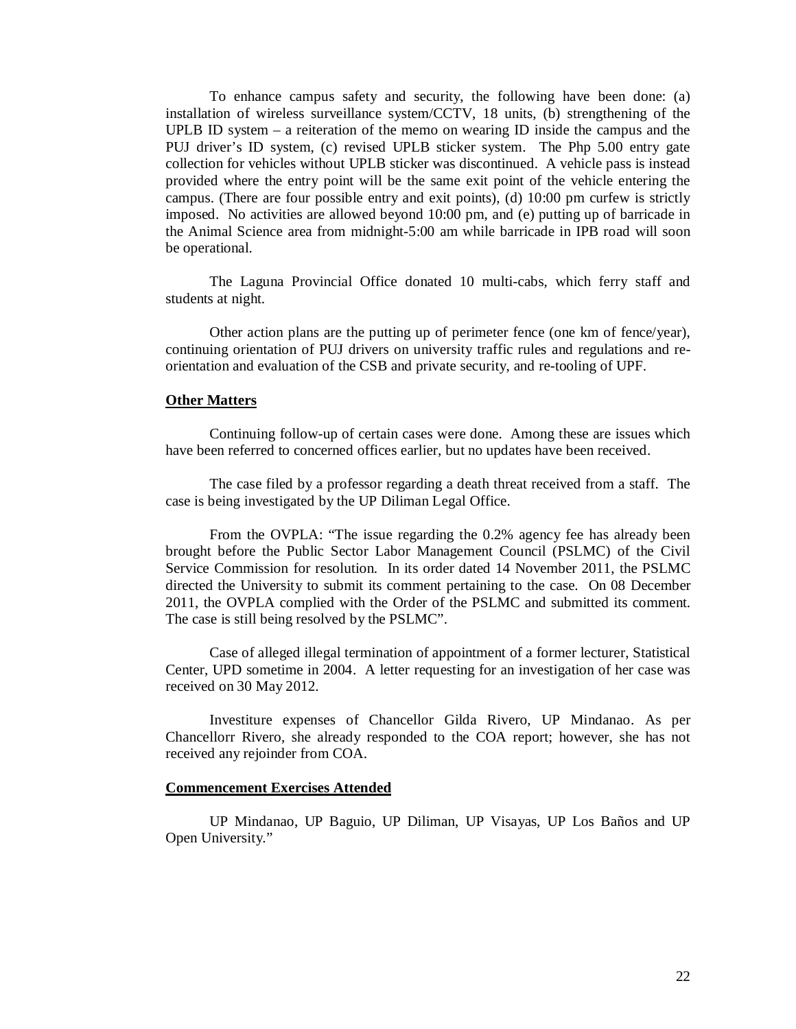To enhance campus safety and security, the following have been done: (a) installation of wireless surveillance system/CCTV, 18 units, (b) strengthening of the UPLB ID system – a reiteration of the memo on wearing ID inside the campus and the PUJ driver's ID system, (c) revised UPLB sticker system. The Php 5.00 entry gate collection for vehicles without UPLB sticker was discontinued. A vehicle pass is instead provided where the entry point will be the same exit point of the vehicle entering the campus. (There are four possible entry and exit points), (d) 10:00 pm curfew is strictly imposed. No activities are allowed beyond 10:00 pm, and (e) putting up of barricade in the Animal Science area from midnight-5:00 am while barricade in IPB road will soon be operational.

The Laguna Provincial Office donated 10 multi-cabs, which ferry staff and students at night.

Other action plans are the putting up of perimeter fence (one km of fence/year), continuing orientation of PUJ drivers on university traffic rules and regulations and reorientation and evaluation of the CSB and private security, and re-tooling of UPF.

#### **Other Matters**

Continuing follow-up of certain cases were done. Among these are issues which have been referred to concerned offices earlier, but no updates have been received.

The case filed by a professor regarding a death threat received from a staff. The case is being investigated by the UP Diliman Legal Office.

From the OVPLA: "The issue regarding the 0.2% agency fee has already been brought before the Public Sector Labor Management Council (PSLMC) of the Civil Service Commission for resolution. In its order dated 14 November 2011, the PSLMC directed the University to submit its comment pertaining to the case. On 08 December 2011, the OVPLA complied with the Order of the PSLMC and submitted its comment. The case is still being resolved by the PSLMC".

Case of alleged illegal termination of appointment of a former lecturer, Statistical Center, UPD sometime in 2004. A letter requesting for an investigation of her case was received on 30 May 2012.

Investiture expenses of Chancellor Gilda Rivero, UP Mindanao. As per Chancellorr Rivero, she already responded to the COA report; however, she has not received any rejoinder from COA.

#### **Commencement Exercises Attended**

UP Mindanao, UP Baguio, UP Diliman, UP Visayas, UP Los Baños and UP Open University."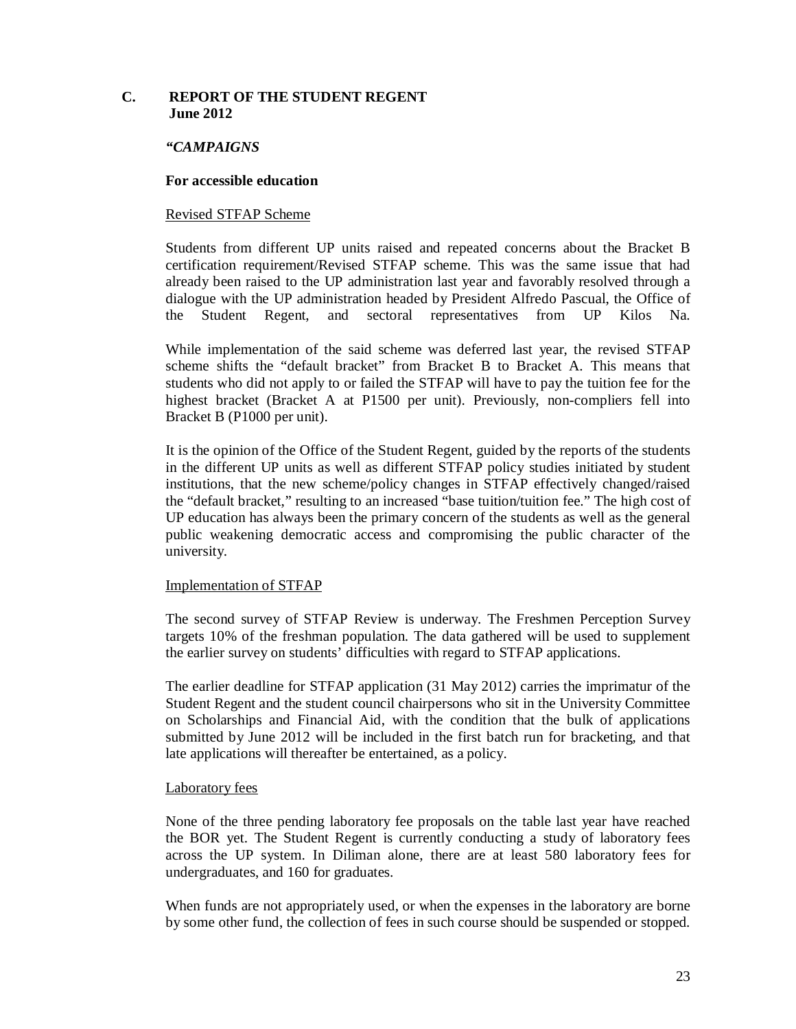# **C. REPORT OF THE STUDENT REGENT June 2012**

#### *"CAMPAIGNS*

#### **For accessible education**

#### Revised STFAP Scheme

Students from different UP units raised and repeated concerns about the Bracket B certification requirement/Revised STFAP scheme. This was the same issue that had already been raised to the UP administration last year and favorably resolved through a dialogue with the UP administration headed by President Alfredo Pascual, the Office of the Student Regent, and sectoral representatives from UP Kilos Na.

While implementation of the said scheme was deferred last year, the revised STFAP scheme shifts the "default bracket" from Bracket B to Bracket A. This means that students who did not apply to or failed the STFAP will have to pay the tuition fee for the highest bracket (Bracket A at P1500 per unit). Previously, non-compliers fell into Bracket B (P1000 per unit).

It is the opinion of the Office of the Student Regent, guided by the reports of the students in the different UP units as well as different STFAP policy studies initiated by student institutions, that the new scheme/policy changes in STFAP effectively changed/raised the "default bracket," resulting to an increased "base tuition/tuition fee." The high cost of UP education has always been the primary concern of the students as well as the general public weakening democratic access and compromising the public character of the university.

#### Implementation of STFAP

The second survey of STFAP Review is underway. The Freshmen Perception Survey targets 10% of the freshman population. The data gathered will be used to supplement the earlier survey on students' difficulties with regard to STFAP applications.

The earlier deadline for STFAP application (31 May 2012) carries the imprimatur of the Student Regent and the student council chairpersons who sit in the University Committee on Scholarships and Financial Aid, with the condition that the bulk of applications submitted by June 2012 will be included in the first batch run for bracketing, and that late applications will thereafter be entertained, as a policy.

#### Laboratory fees

None of the three pending laboratory fee proposals on the table last year have reached the BOR yet. The Student Regent is currently conducting a study of laboratory fees across the UP system. In Diliman alone, there are at least 580 laboratory fees for undergraduates, and 160 for graduates.

When funds are not appropriately used, or when the expenses in the laboratory are borne by some other fund, the collection of fees in such course should be suspended or stopped.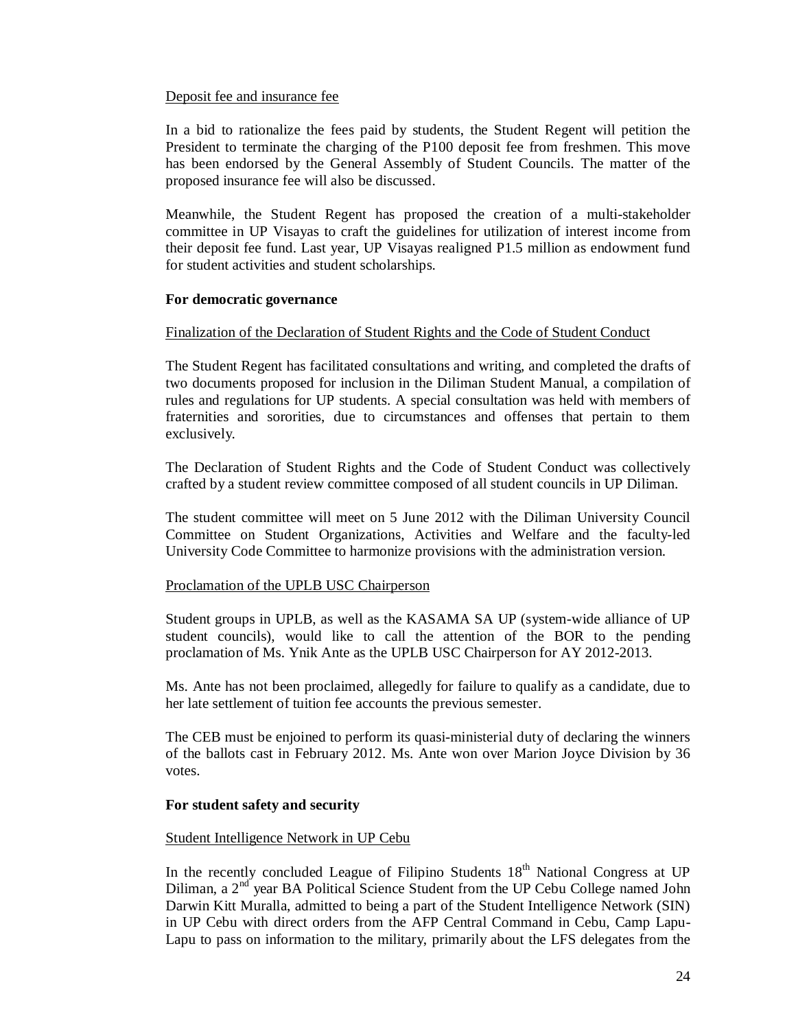#### Deposit fee and insurance fee

In a bid to rationalize the fees paid by students, the Student Regent will petition the President to terminate the charging of the P100 deposit fee from freshmen. This move has been endorsed by the General Assembly of Student Councils. The matter of the proposed insurance fee will also be discussed.

Meanwhile, the Student Regent has proposed the creation of a multi-stakeholder committee in UP Visayas to craft the guidelines for utilization of interest income from their deposit fee fund. Last year, UP Visayas realigned P1.5 million as endowment fund for student activities and student scholarships.

#### **For democratic governance**

#### Finalization of the Declaration of Student Rights and the Code of Student Conduct

The Student Regent has facilitated consultations and writing, and completed the drafts of two documents proposed for inclusion in the Diliman Student Manual, a compilation of rules and regulations for UP students. A special consultation was held with members of fraternities and sororities, due to circumstances and offenses that pertain to them exclusively.

The Declaration of Student Rights and the Code of Student Conduct was collectively crafted by a student review committee composed of all student councils in UP Diliman.

The student committee will meet on 5 June 2012 with the Diliman University Council Committee on Student Organizations, Activities and Welfare and the faculty-led University Code Committee to harmonize provisions with the administration version.

#### Proclamation of the UPLB USC Chairperson

Student groups in UPLB, as well as the KASAMA SA UP (system-wide alliance of UP student councils), would like to call the attention of the BOR to the pending proclamation of Ms. Ynik Ante as the UPLB USC Chairperson for AY 2012-2013.

Ms. Ante has not been proclaimed, allegedly for failure to qualify as a candidate, due to her late settlement of tuition fee accounts the previous semester.

The CEB must be enjoined to perform its quasi-ministerial duty of declaring the winners of the ballots cast in February 2012. Ms. Ante won over Marion Joyce Division by 36 votes.

#### **For student safety and security**

#### Student Intelligence Network in UP Cebu

In the recently concluded League of Filipino Students  $18<sup>th</sup>$  National Congress at UP Diliman, a 2<sup>nd</sup> year BA Political Science Student from the UP Cebu College named John Darwin Kitt Muralla, admitted to being a part of the Student Intelligence Network (SIN) in UP Cebu with direct orders from the AFP Central Command in Cebu, Camp Lapu-Lapu to pass on information to the military, primarily about the LFS delegates from the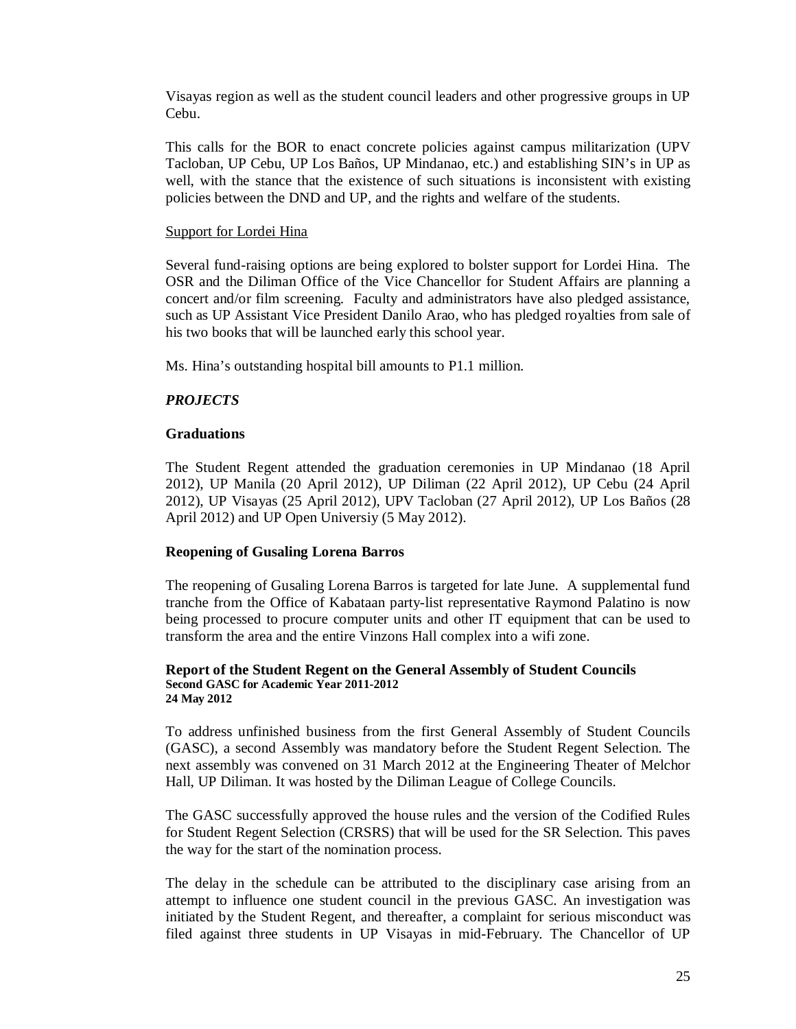Visayas region as well as the student council leaders and other progressive groups in UP Cebu.

This calls for the BOR to enact concrete policies against campus militarization (UPV Tacloban, UP Cebu, UP Los Baños, UP Mindanao, etc.) and establishing SIN's in UP as well, with the stance that the existence of such situations is inconsistent with existing policies between the DND and UP, and the rights and welfare of the students.

### Support for Lordei Hina

Several fund-raising options are being explored to bolster support for Lordei Hina. The OSR and the Diliman Office of the Vice Chancellor for Student Affairs are planning a concert and/or film screening. Faculty and administrators have also pledged assistance, such as UP Assistant Vice President Danilo Arao, who has pledged royalties from sale of his two books that will be launched early this school year.

Ms. Hina's outstanding hospital bill amounts to P1.1 million.

# *PROJECTS*

### **Graduations**

The Student Regent attended the graduation ceremonies in UP Mindanao (18 April 2012), UP Manila (20 April 2012), UP Diliman (22 April 2012), UP Cebu (24 April 2012), UP Visayas (25 April 2012), UPV Tacloban (27 April 2012), UP Los Baños (28 April 2012) and UP Open Universiy (5 May 2012).

# **Reopening of Gusaling Lorena Barros**

The reopening of Gusaling Lorena Barros is targeted for late June. A supplemental fund tranche from the Office of Kabataan party-list representative Raymond Palatino is now being processed to procure computer units and other IT equipment that can be used to transform the area and the entire Vinzons Hall complex into a wifi zone.

#### **Report of the Student Regent on the General Assembly of Student Councils Second GASC for Academic Year 2011-2012 24 May 2012**

To address unfinished business from the first General Assembly of Student Councils (GASC), a second Assembly was mandatory before the Student Regent Selection. The next assembly was convened on 31 March 2012 at the Engineering Theater of Melchor Hall, UP Diliman. It was hosted by the Diliman League of College Councils.

The GASC successfully approved the house rules and the version of the Codified Rules for Student Regent Selection (CRSRS) that will be used for the SR Selection. This paves the way for the start of the nomination process.

The delay in the schedule can be attributed to the disciplinary case arising from an attempt to influence one student council in the previous GASC. An investigation was initiated by the Student Regent, and thereafter, a complaint for serious misconduct was filed against three students in UP Visayas in mid-February. The Chancellor of UP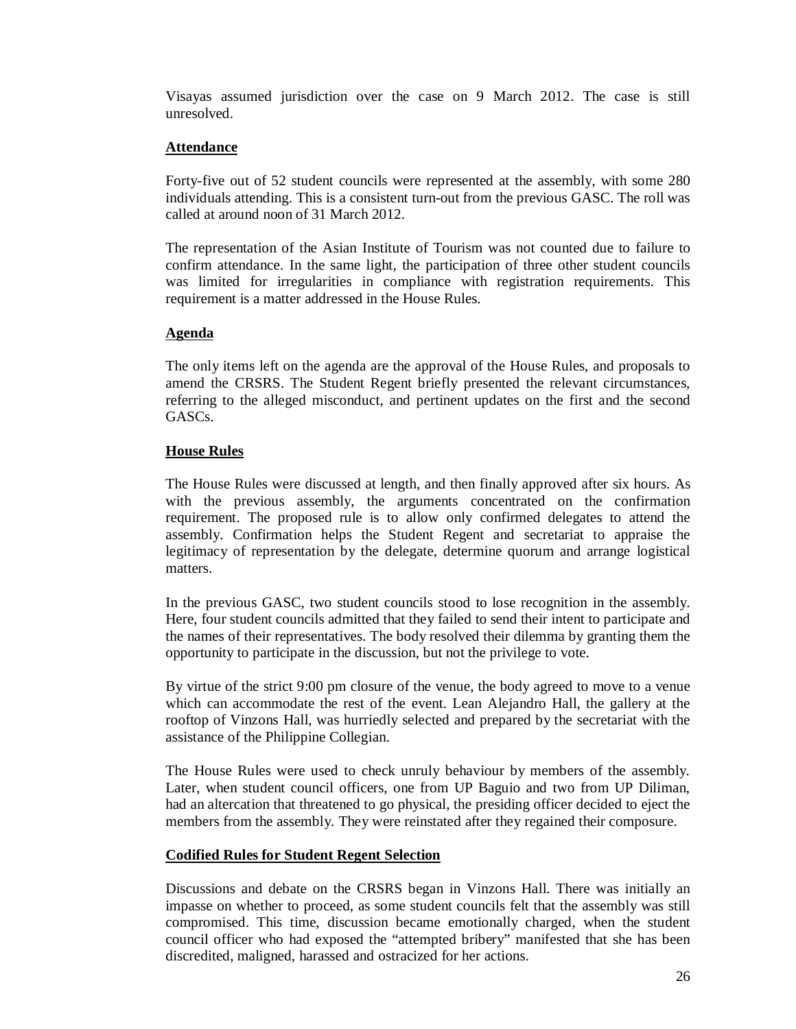Visayas assumed jurisdiction over the case on 9 March 2012. The case is still unresolved.

### **Attendance**

Forty-five out of 52 student councils were represented at the assembly, with some 280 individuals attending. This is a consistent turn-out from the previous GASC. The roll was called at around noon of 31 March 2012.

The representation of the Asian Institute of Tourism was not counted due to failure to confirm attendance. In the same light, the participation of three other student councils was limited for irregularities in compliance with registration requirements. This requirement is a matter addressed in the House Rules.

### **Agenda**

The only items left on the agenda are the approval of the House Rules, and proposals to amend the CRSRS. The Student Regent briefly presented the relevant circumstances, referring to the alleged misconduct, and pertinent updates on the first and the second GASCs.

### **House Rules**

The House Rules were discussed at length, and then finally approved after six hours. As with the previous assembly, the arguments concentrated on the confirmation requirement. The proposed rule is to allow only confirmed delegates to attend the assembly. Confirmation helps the Student Regent and secretariat to appraise the legitimacy of representation by the delegate, determine quorum and arrange logistical matters.

In the previous GASC, two student councils stood to lose recognition in the assembly. Here, four student councils admitted that they failed to send their intent to participate and the names of their representatives. The body resolved their dilemma by granting them the opportunity to participate in the discussion, but not the privilege to vote.

By virtue of the strict 9:00 pm closure of the venue, the body agreed to move to a venue which can accommodate the rest of the event. Lean Alejandro Hall, the gallery at the rooftop of Vinzons Hall, was hurriedly selected and prepared by the secretariat with the assistance of the Philippine Collegian.

The House Rules were used to check unruly behaviour by members of the assembly. Later, when student council officers, one from UP Baguio and two from UP Diliman, had an altercation that threatened to go physical, the presiding officer decided to eject the members from the assembly. They were reinstated after they regained their composure.

# **Codified Rules for Student Regent Selection**

Discussions and debate on the CRSRS began in Vinzons Hall. There was initially an impasse on whether to proceed, as some student councils felt that the assembly was still compromised. This time, discussion became emotionally charged, when the student council officer who had exposed the "attempted bribery" manifested that she has been discredited, maligned, harassed and ostracized for her actions.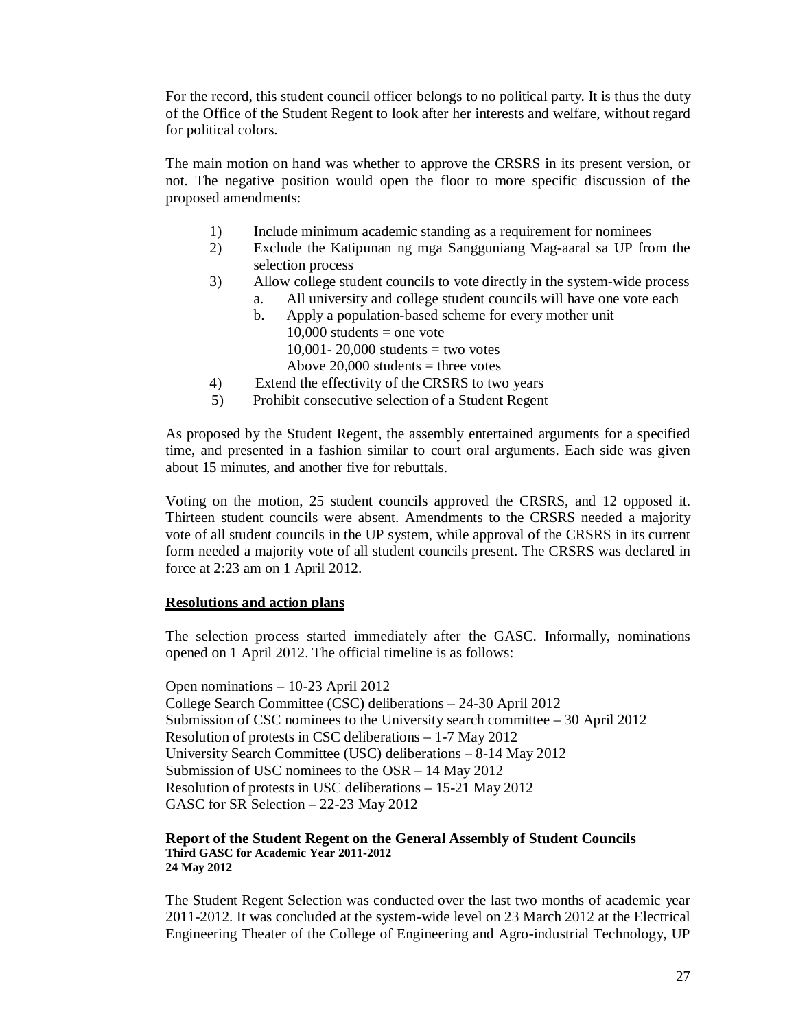For the record, this student council officer belongs to no political party. It is thus the duty of the Office of the Student Regent to look after her interests and welfare, without regard for political colors.

The main motion on hand was whether to approve the CRSRS in its present version, or not. The negative position would open the floor to more specific discussion of the proposed amendments:

- 1) Include minimum academic standing as a requirement for nominees
- 2) Exclude the Katipunan ng mga Sangguniang Mag-aaral sa UP from the selection process
- 3) Allow college student councils to vote directly in the system-wide process
	- a. All university and college student councils will have one vote each
	- b. Apply a population-based scheme for every mother unit  $10,000$  students = one vote  $10,001 - 20,000$  students = two votes
		- Above  $20,000$  students = three votes
- 4) Extend the effectivity of the CRSRS to two years
- 5) Prohibit consecutive selection of a Student Regent

As proposed by the Student Regent, the assembly entertained arguments for a specified time, and presented in a fashion similar to court oral arguments. Each side was given about 15 minutes, and another five for rebuttals.

Voting on the motion, 25 student councils approved the CRSRS, and 12 opposed it. Thirteen student councils were absent. Amendments to the CRSRS needed a majority vote of all student councils in the UP system, while approval of the CRSRS in its current form needed a majority vote of all student councils present. The CRSRS was declared in force at 2:23 am on 1 April 2012.

#### **Resolutions and action plans**

The selection process started immediately after the GASC. Informally, nominations opened on 1 April 2012. The official timeline is as follows:

Open nominations – 10-23 April 2012 College Search Committee (CSC) deliberations – 24-30 April 2012 Submission of CSC nominees to the University search committee – 30 April 2012 Resolution of protests in CSC deliberations – 1-7 May 2012 University Search Committee (USC) deliberations – 8-14 May 2012 Submission of USC nominees to the OSR – 14 May 2012 Resolution of protests in USC deliberations – 15-21 May 2012 GASC for SR Selection – 22-23 May 2012

#### **Report of the Student Regent on the General Assembly of Student Councils Third GASC for Academic Year 2011-2012 24 May 2012**

The Student Regent Selection was conducted over the last two months of academic year 2011-2012. It was concluded at the system-wide level on 23 March 2012 at the Electrical Engineering Theater of the College of Engineering and Agro-industrial Technology, UP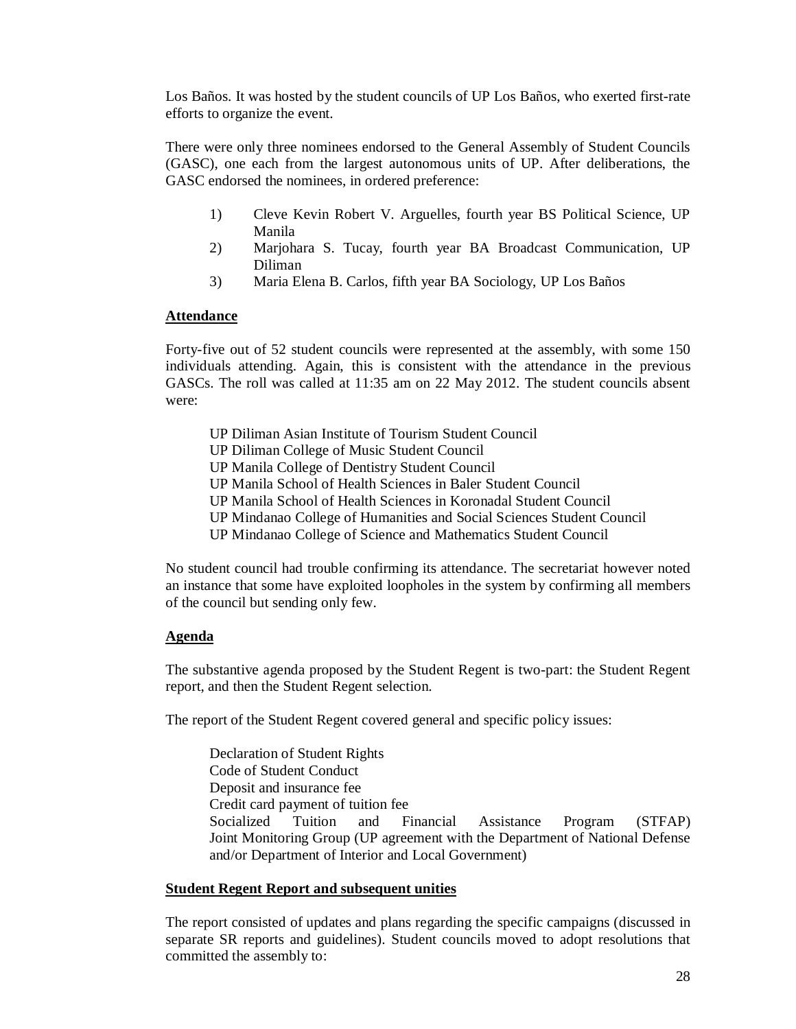Los Baños. It was hosted by the student councils of UP Los Baños, who exerted first-rate efforts to organize the event.

There were only three nominees endorsed to the General Assembly of Student Councils (GASC), one each from the largest autonomous units of UP. After deliberations, the GASC endorsed the nominees, in ordered preference:

- 1) Cleve Kevin Robert V. Arguelles, fourth year BS Political Science, UP Manila
- 2) Marjohara S. Tucay, fourth year BA Broadcast Communication, UP Diliman
- 3) Maria Elena B. Carlos, fifth year BA Sociology, UP Los Baños

#### **Attendance**

Forty-five out of 52 student councils were represented at the assembly, with some 150 individuals attending. Again, this is consistent with the attendance in the previous GASCs. The roll was called at 11:35 am on 22 May 2012. The student councils absent were:

- UP Diliman Asian Institute of Tourism Student Council
- UP Diliman College of Music Student Council
- UP Manila College of Dentistry Student Council
- UP Manila School of Health Sciences in Baler Student Council
- UP Manila School of Health Sciences in Koronadal Student Council
- UP Mindanao College of Humanities and Social Sciences Student Council
- UP Mindanao College of Science and Mathematics Student Council

No student council had trouble confirming its attendance. The secretariat however noted an instance that some have exploited loopholes in the system by confirming all members of the council but sending only few.

#### **Agenda**

The substantive agenda proposed by the Student Regent is two-part: the Student Regent report, and then the Student Regent selection.

The report of the Student Regent covered general and specific policy issues:

Declaration of Student Rights Code of Student Conduct Deposit and insurance fee Credit card payment of tuition fee Socialized Tuition and Financial Assistance Program (STFAP) Joint Monitoring Group (UP agreement with the Department of National Defense and/or Department of Interior and Local Government)

#### **Student Regent Report and subsequent unities**

The report consisted of updates and plans regarding the specific campaigns (discussed in separate SR reports and guidelines). Student councils moved to adopt resolutions that committed the assembly to: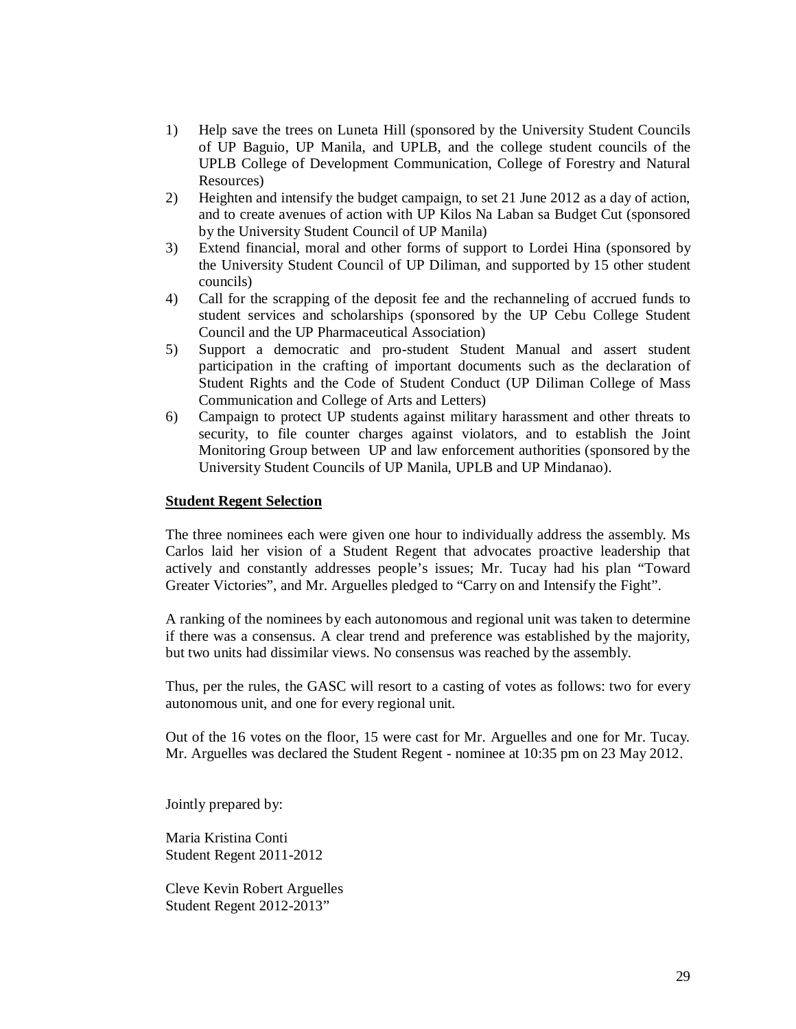- 1) Help save the trees on Luneta Hill (sponsored by the University Student Councils of UP Baguio, UP Manila, and UPLB, and the college student councils of the UPLB College of Development Communication, College of Forestry and Natural Resources)
- 2) Heighten and intensify the budget campaign, to set 21 June 2012 as a day of action, and to create avenues of action with UP Kilos Na Laban sa Budget Cut (sponsored by the University Student Council of UP Manila)
- 3) Extend financial, moral and other forms of support to Lordei Hina (sponsored by the University Student Council of UP Diliman, and supported by 15 other student councils)
- 4) Call for the scrapping of the deposit fee and the rechanneling of accrued funds to student services and scholarships (sponsored by the UP Cebu College Student Council and the UP Pharmaceutical Association)
- 5) Support a democratic and pro-student Student Manual and assert student participation in the crafting of important documents such as the declaration of Student Rights and the Code of Student Conduct (UP Diliman College of Mass Communication and College of Arts and Letters)
- 6) Campaign to protect UP students against military harassment and other threats to security, to file counter charges against violators, and to establish the Joint Monitoring Group between UP and law enforcement authorities (sponsored by the University Student Councils of UP Manila, UPLB and UP Mindanao).

#### **Student Regent Selection**

The three nominees each were given one hour to individually address the assembly. Ms Carlos laid her vision of a Student Regent that advocates proactive leadership that actively and constantly addresses people's issues; Mr. Tucay had his plan "Toward Greater Victories", and Mr. Arguelles pledged to "Carry on and Intensify the Fight".

A ranking of the nominees by each autonomous and regional unit was taken to determine if there was a consensus. A clear trend and preference was established by the majority, but two units had dissimilar views. No consensus was reached by the assembly.

Thus, per the rules, the GASC will resort to a casting of votes as follows: two for every autonomous unit, and one for every regional unit.

Out of the 16 votes on the floor, 15 were cast for Mr. Arguelles and one for Mr. Tucay. Mr. Arguelles was declared the Student Regent - nominee at 10:35 pm on 23 May 2012.

Jointly prepared by:

Maria Kristina Conti Student Regent 2011-2012

Cleve Kevin Robert Arguelles Student Regent 2012-2013"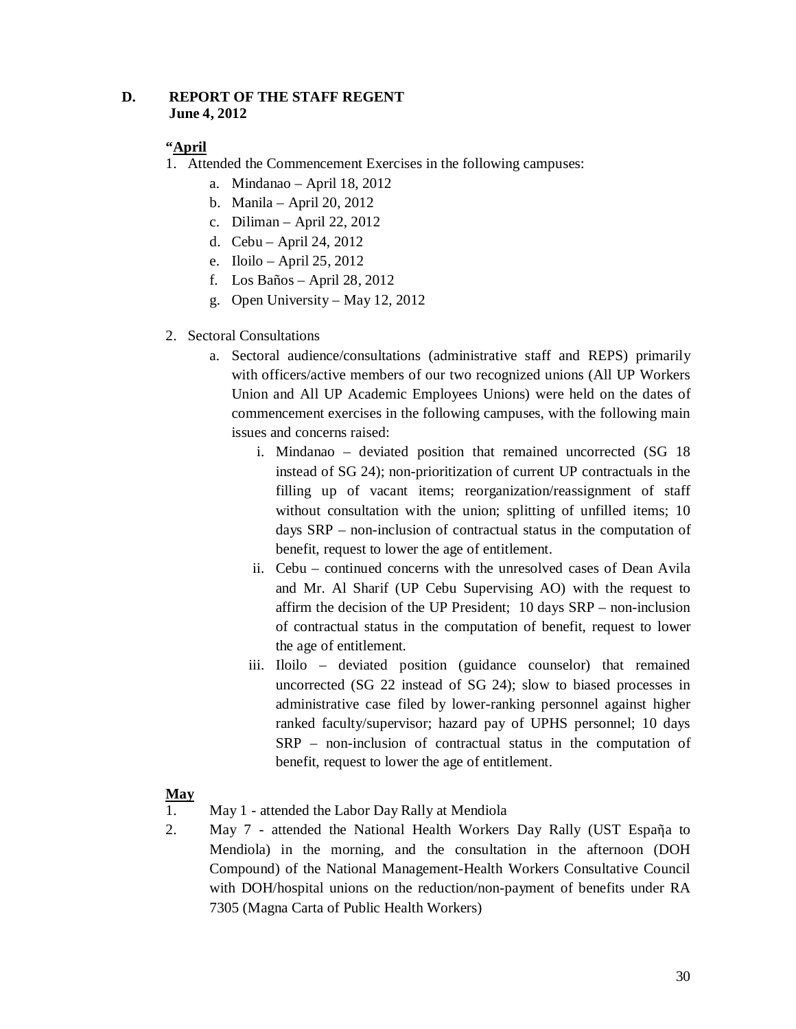# **D. REPORT OF THE STAFF REGENT June 4, 2012**

# **"April**

- 1. Attended the Commencement Exercises in the following campuses:
	- a. Mindanao April 18, 2012
	- b. Manila April 20, 2012
	- c. Diliman April 22, 2012
	- d. Cebu April 24, 2012
	- e. Iloilo April 25, 2012
	- f. Los Baños April 28, 2012
	- g. Open University May 12, 2012
- 2. Sectoral Consultations
	- a. Sectoral audience/consultations (administrative staff and REPS) primarily with officers/active members of our two recognized unions (All UP Workers Union and All UP Academic Employees Unions) were held on the dates of commencement exercises in the following campuses, with the following main issues and concerns raised:
		- i. Mindanao deviated position that remained uncorrected (SG 18 instead of SG 24); non-prioritization of current UP contractuals in the filling up of vacant items; reorganization/reassignment of staff without consultation with the union; splitting of unfilled items; 10 days SRP – non-inclusion of contractual status in the computation of benefit, request to lower the age of entitlement.
		- ii. Cebu continued concerns with the unresolved cases of Dean Avila and Mr. Al Sharif (UP Cebu Supervising AO) with the request to affirm the decision of the UP President; 10 days SRP – non-inclusion of contractual status in the computation of benefit, request to lower the age of entitlement.
		- iii. Iloilo deviated position (guidance counselor) that remained uncorrected (SG 22 instead of SG 24); slow to biased processes in administrative case filed by lower-ranking personnel against higher ranked faculty/supervisor; hazard pay of UPHS personnel; 10 days SRP – non-inclusion of contractual status in the computation of benefit, request to lower the age of entitlement.

# **May**

- 1. May 1 attended the Labor Day Rally at Mendiola
- 2. May 7 attended the National Health Workers Day Rally (UST Espaῆa to Mendiola) in the morning, and the consultation in the afternoon (DOH Compound) of the National Management-Health Workers Consultative Council with DOH/hospital unions on the reduction/non-payment of benefits under RA 7305 (Magna Carta of Public Health Workers)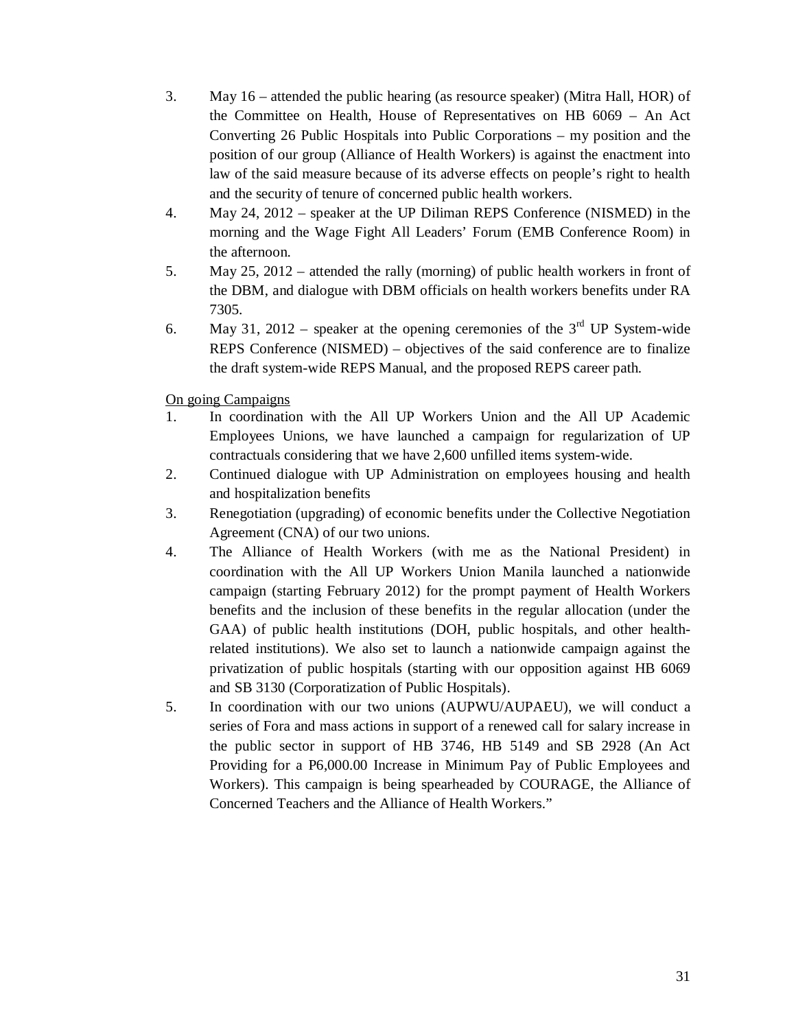- 3. May 16 attended the public hearing (as resource speaker) (Mitra Hall, HOR) of the Committee on Health, House of Representatives on HB 6069 – An Act Converting 26 Public Hospitals into Public Corporations – my position and the position of our group (Alliance of Health Workers) is against the enactment into law of the said measure because of its adverse effects on people's right to health and the security of tenure of concerned public health workers.
- 4. May 24, 2012 speaker at the UP Diliman REPS Conference (NISMED) in the morning and the Wage Fight All Leaders' Forum (EMB Conference Room) in the afternoon.
- 5. May 25, 2012 attended the rally (morning) of public health workers in front of the DBM, and dialogue with DBM officials on health workers benefits under RA 7305.
- 6. May 31, 2012 speaker at the opening ceremonies of the  $3<sup>rd</sup>$  UP System-wide REPS Conference (NISMED) – objectives of the said conference are to finalize the draft system-wide REPS Manual, and the proposed REPS career path.

On going Campaigns

- 1. In coordination with the All UP Workers Union and the All UP Academic Employees Unions, we have launched a campaign for regularization of UP contractuals considering that we have 2,600 unfilled items system-wide.
- 2. Continued dialogue with UP Administration on employees housing and health and hospitalization benefits
- 3. Renegotiation (upgrading) of economic benefits under the Collective Negotiation Agreement (CNA) of our two unions.
- 4. The Alliance of Health Workers (with me as the National President) in coordination with the All UP Workers Union Manila launched a nationwide campaign (starting February 2012) for the prompt payment of Health Workers benefits and the inclusion of these benefits in the regular allocation (under the GAA) of public health institutions (DOH, public hospitals, and other healthrelated institutions). We also set to launch a nationwide campaign against the privatization of public hospitals (starting with our opposition against HB 6069 and SB 3130 (Corporatization of Public Hospitals).
- 5. In coordination with our two unions (AUPWU/AUPAEU), we will conduct a series of Fora and mass actions in support of a renewed call for salary increase in the public sector in support of HB 3746, HB 5149 and SB 2928 (An Act Providing for a P6,000.00 Increase in Minimum Pay of Public Employees and Workers). This campaign is being spearheaded by COURAGE, the Alliance of Concerned Teachers and the Alliance of Health Workers."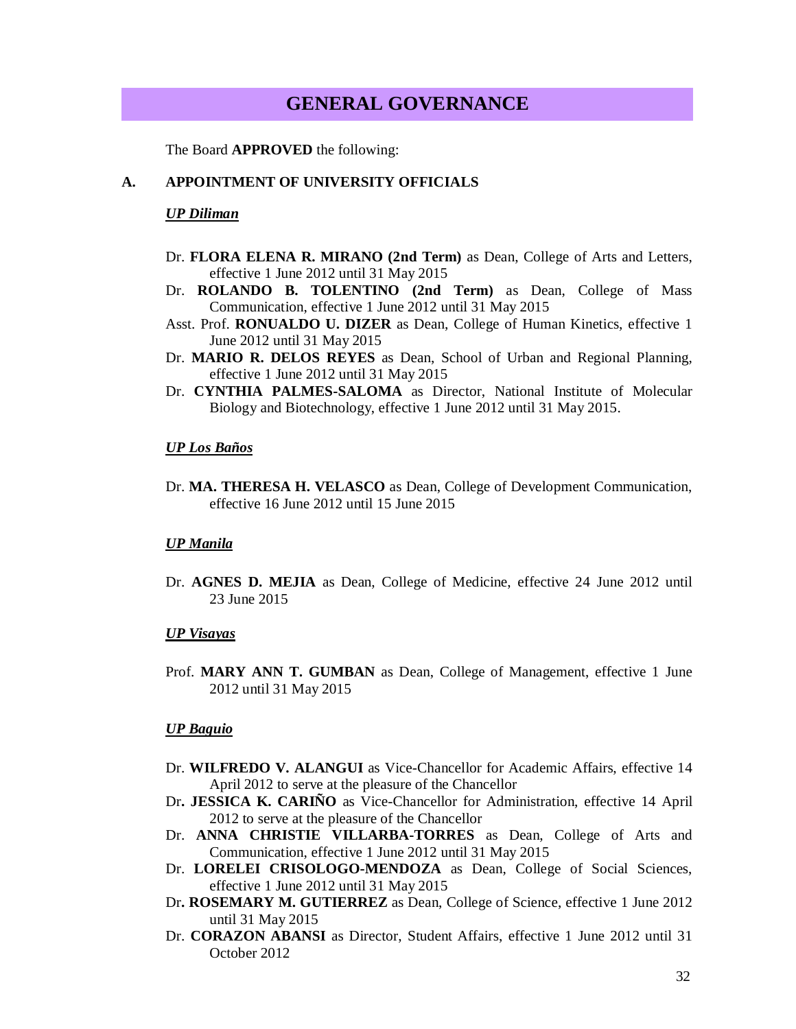# **GENERAL GOVERNANCE**

The Board **APPROVED** the following:

#### **A. APPOINTMENT OF UNIVERSITY OFFICIALS**

#### *UP Diliman*

- Dr. **FLORA ELENA R. MIRANO (2nd Term)** as Dean, College of Arts and Letters, effective 1 June 2012 until 31 May 2015
- Dr. **ROLANDO B. TOLENTINO (2nd Term)** as Dean, College of Mass Communication, effective 1 June 2012 until 31 May 2015
- Asst. Prof. **RONUALDO U. DIZER** as Dean, College of Human Kinetics, effective 1 June 2012 until 31 May 2015
- Dr. **MARIO R. DELOS REYES** as Dean, School of Urban and Regional Planning, effective 1 June 2012 until 31 May 2015
- Dr. **CYNTHIA PALMES-SALOMA** as Director, National Institute of Molecular Biology and Biotechnology, effective 1 June 2012 until 31 May 2015.

#### *UP Los Baños*

Dr. **MA. THERESA H. VELASCO** as Dean, College of Development Communication, effective 16 June 2012 until 15 June 2015

#### *UP Manila*

Dr. **AGNES D. MEJIA** as Dean, College of Medicine, effective 24 June 2012 until 23 June 2015

#### *UP Visayas*

Prof. **MARY ANN T. GUMBAN** as Dean, College of Management, effective 1 June 2012 until 31 May 2015

#### *UP Baguio*

- Dr. **WILFREDO V. ALANGUI** as Vice-Chancellor for Academic Affairs, effective 14 April 2012 to serve at the pleasure of the Chancellor
- Dr**. JESSICA K. CARIÑO** as Vice-Chancellor for Administration, effective 14 April 2012 to serve at the pleasure of the Chancellor
- Dr. **ANNA CHRISTIE VILLARBA-TORRES** as Dean, College of Arts and Communication, effective 1 June 2012 until 31 May 2015
- Dr. **LORELEI CRISOLOGO-MENDOZA** as Dean, College of Social Sciences, effective 1 June 2012 until 31 May 2015
- Dr**. ROSEMARY M. GUTIERREZ** as Dean, College of Science, effective 1 June 2012 until 31 May 2015
- Dr. **CORAZON ABANSI** as Director, Student Affairs, effective 1 June 2012 until 31 October 2012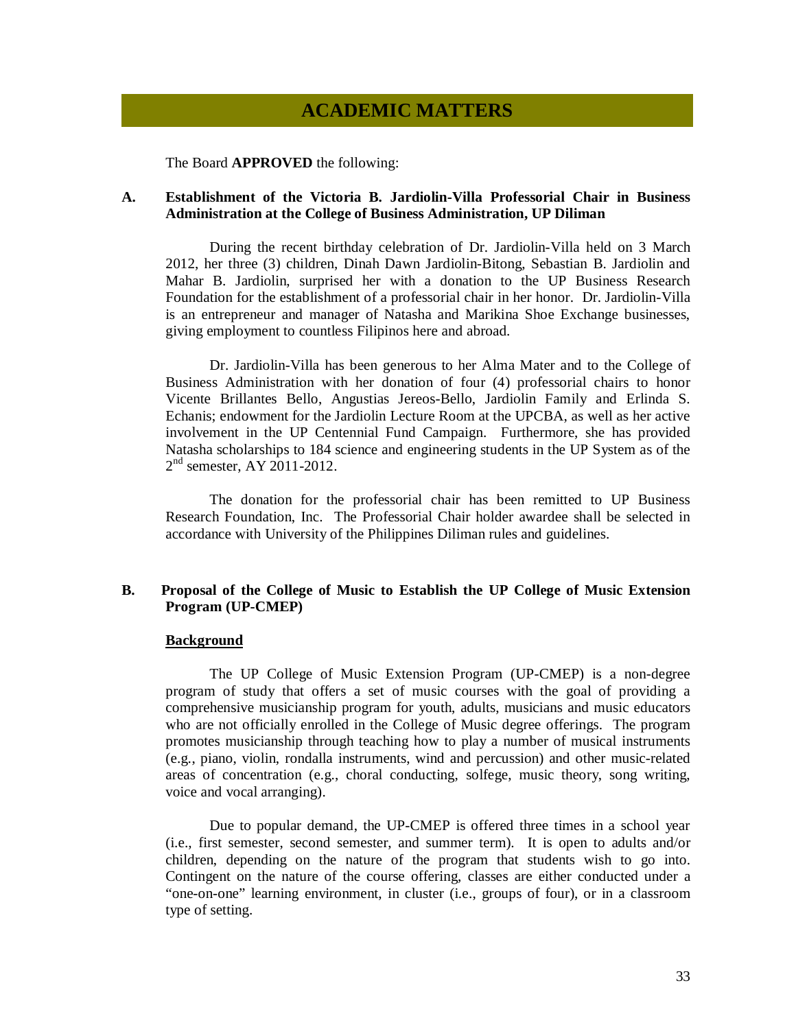# **ACADEMIC MATTERS**

The Board **APPROVED** the following:

#### **A. Establishment of the Victoria B. Jardiolin-Villa Professorial Chair in Business Administration at the College of Business Administration, UP Diliman**

During the recent birthday celebration of Dr. Jardiolin-Villa held on 3 March 2012, her three (3) children, Dinah Dawn Jardiolin-Bitong, Sebastian B. Jardiolin and Mahar B. Jardiolin, surprised her with a donation to the UP Business Research Foundation for the establishment of a professorial chair in her honor. Dr. Jardiolin-Villa is an entrepreneur and manager of Natasha and Marikina Shoe Exchange businesses, giving employment to countless Filipinos here and abroad.

Dr. Jardiolin-Villa has been generous to her Alma Mater and to the College of Business Administration with her donation of four (4) professorial chairs to honor Vicente Brillantes Bello, Angustias Jereos-Bello, Jardiolin Family and Erlinda S. Echanis; endowment for the Jardiolin Lecture Room at the UPCBA, as well as her active involvement in the UP Centennial Fund Campaign. Furthermore, she has provided Natasha scholarships to 184 science and engineering students in the UP System as of the 2<sup>nd</sup> semester, AY 2011-2012.

The donation for the professorial chair has been remitted to UP Business Research Foundation, Inc. The Professorial Chair holder awardee shall be selected in accordance with University of the Philippines Diliman rules and guidelines.

#### **B. Proposal of the College of Music to Establish the UP College of Music Extension Program (UP-CMEP)**

#### **Background**

The UP College of Music Extension Program (UP-CMEP) is a non-degree program of study that offers a set of music courses with the goal of providing a comprehensive musicianship program for youth, adults, musicians and music educators who are not officially enrolled in the College of Music degree offerings. The program promotes musicianship through teaching how to play a number of musical instruments (e.g., piano, violin, rondalla instruments, wind and percussion) and other music-related areas of concentration (e.g., choral conducting, solfege, music theory, song writing, voice and vocal arranging).

Due to popular demand, the UP-CMEP is offered three times in a school year (i.e., first semester, second semester, and summer term). It is open to adults and/or children, depending on the nature of the program that students wish to go into. Contingent on the nature of the course offering, classes are either conducted under a "one-on-one" learning environment, in cluster (i.e., groups of four), or in a classroom type of setting.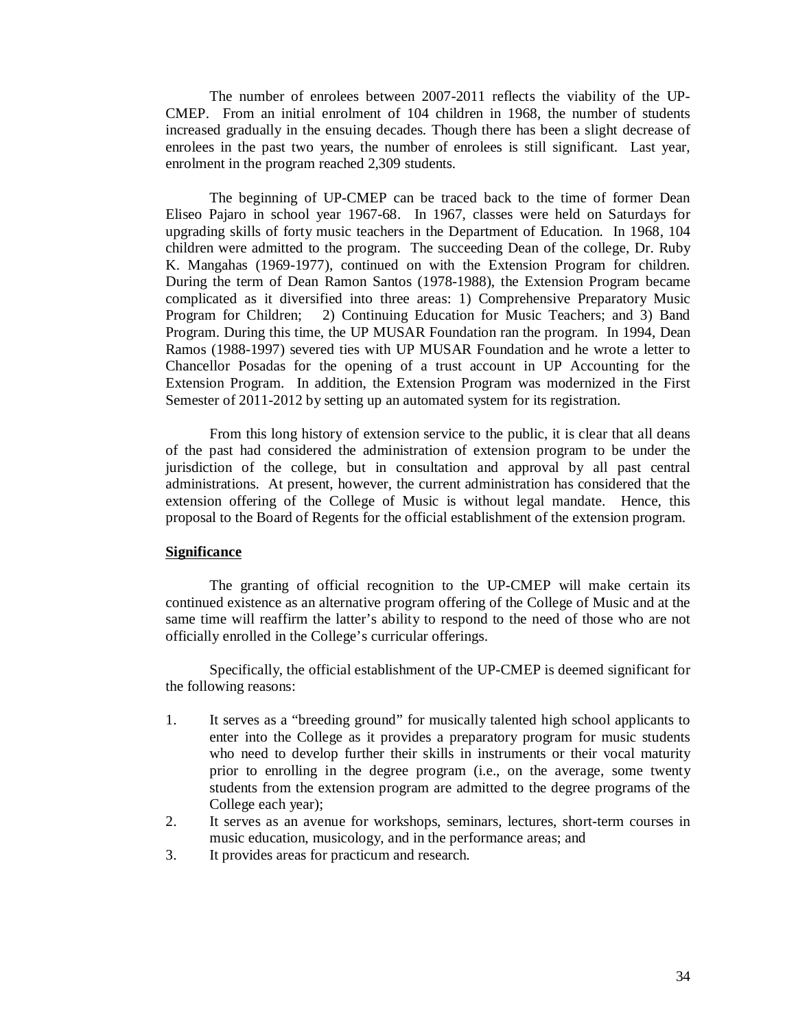The number of enrolees between 2007-2011 reflects the viability of the UP-CMEP. From an initial enrolment of 104 children in 1968, the number of students increased gradually in the ensuing decades. Though there has been a slight decrease of enrolees in the past two years, the number of enrolees is still significant. Last year, enrolment in the program reached 2,309 students.

The beginning of UP-CMEP can be traced back to the time of former Dean Eliseo Pajaro in school year 1967-68. In 1967, classes were held on Saturdays for upgrading skills of forty music teachers in the Department of Education. In 1968, 104 children were admitted to the program. The succeeding Dean of the college, Dr. Ruby K. Mangahas (1969-1977), continued on with the Extension Program for children. During the term of Dean Ramon Santos (1978-1988), the Extension Program became complicated as it diversified into three areas: 1) Comprehensive Preparatory Music Program for Children; 2) Continuing Education for Music Teachers; and 3) Band Program. During this time, the UP MUSAR Foundation ran the program. In 1994, Dean Ramos (1988-1997) severed ties with UP MUSAR Foundation and he wrote a letter to Chancellor Posadas for the opening of a trust account in UP Accounting for the Extension Program. In addition, the Extension Program was modernized in the First Semester of 2011-2012 by setting up an automated system for its registration.

From this long history of extension service to the public, it is clear that all deans of the past had considered the administration of extension program to be under the jurisdiction of the college, but in consultation and approval by all past central administrations. At present, however, the current administration has considered that the extension offering of the College of Music is without legal mandate. Hence, this proposal to the Board of Regents for the official establishment of the extension program.

#### **Significance**

The granting of official recognition to the UP-CMEP will make certain its continued existence as an alternative program offering of the College of Music and at the same time will reaffirm the latter's ability to respond to the need of those who are not officially enrolled in the College's curricular offerings.

Specifically, the official establishment of the UP-CMEP is deemed significant for the following reasons:

- 1. It serves as a "breeding ground" for musically talented high school applicants to enter into the College as it provides a preparatory program for music students who need to develop further their skills in instruments or their vocal maturity prior to enrolling in the degree program (i.e., on the average, some twenty students from the extension program are admitted to the degree programs of the College each year);
- 2. It serves as an avenue for workshops, seminars, lectures, short-term courses in music education, musicology, and in the performance areas; and
- 3. It provides areas for practicum and research.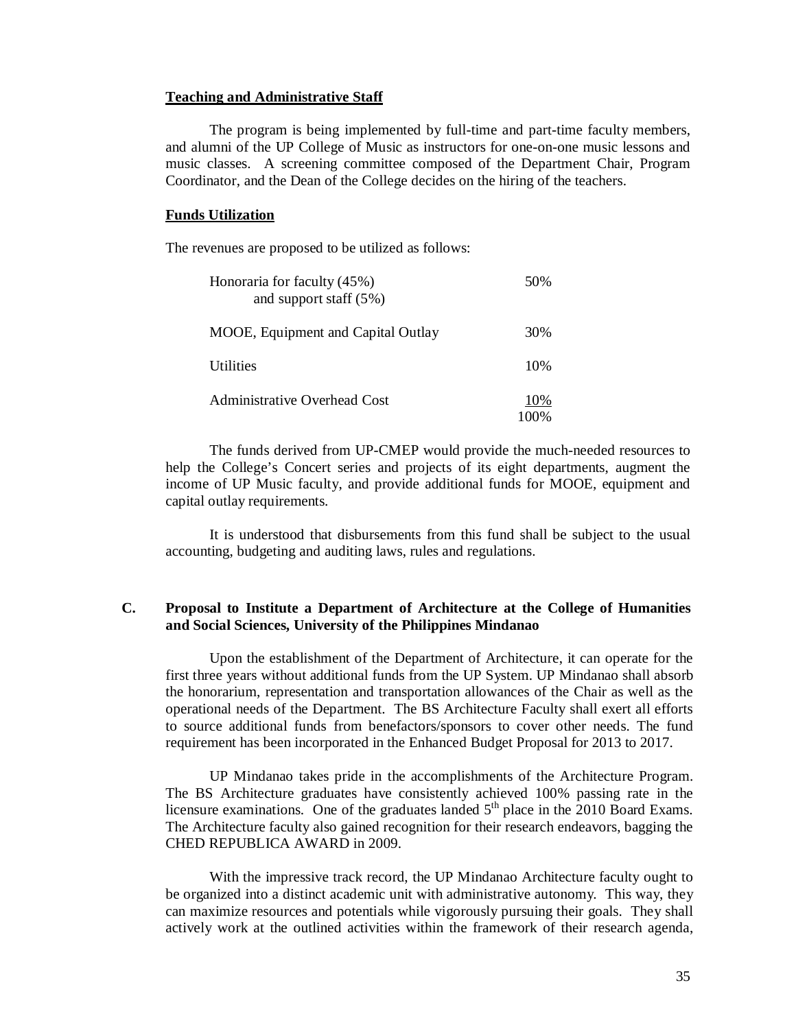#### **Teaching and Administrative Staff**

The program is being implemented by full-time and part-time faculty members, and alumni of the UP College of Music as instructors for one-on-one music lessons and music classes. A screening committee composed of the Department Chair, Program Coordinator, and the Dean of the College decides on the hiring of the teachers.

#### **Funds Utilization**

The revenues are proposed to be utilized as follows:

| Honoraria for faculty (45%)<br>and support staff $(5\%)$ | 50%        |
|----------------------------------------------------------|------------|
| MOOE, Equipment and Capital Outlay                       | 30%        |
| <b>Utilities</b>                                         | 10%        |
| <b>Administrative Overhead Cost</b>                      | 10%<br>വാ‰ |

The funds derived from UP-CMEP would provide the much-needed resources to help the College's Concert series and projects of its eight departments, augment the income of UP Music faculty, and provide additional funds for MOOE, equipment and capital outlay requirements.

It is understood that disbursements from this fund shall be subject to the usual accounting, budgeting and auditing laws, rules and regulations.

#### **C. Proposal to Institute a Department of Architecture at the College of Humanities and Social Sciences, University of the Philippines Mindanao**

Upon the establishment of the Department of Architecture, it can operate for the first three years without additional funds from the UP System. UP Mindanao shall absorb the honorarium, representation and transportation allowances of the Chair as well as the operational needs of the Department. The BS Architecture Faculty shall exert all efforts to source additional funds from benefactors/sponsors to cover other needs. The fund requirement has been incorporated in the Enhanced Budget Proposal for 2013 to 2017.

UP Mindanao takes pride in the accomplishments of the Architecture Program. The BS Architecture graduates have consistently achieved 100% passing rate in the licensure examinations. One of the graduates landed  $5<sup>th</sup>$  place in the 2010 Board Exams. The Architecture faculty also gained recognition for their research endeavors, bagging the CHED REPUBLICA AWARD in 2009.

With the impressive track record, the UP Mindanao Architecture faculty ought to be organized into a distinct academic unit with administrative autonomy. This way, they can maximize resources and potentials while vigorously pursuing their goals. They shall actively work at the outlined activities within the framework of their research agenda,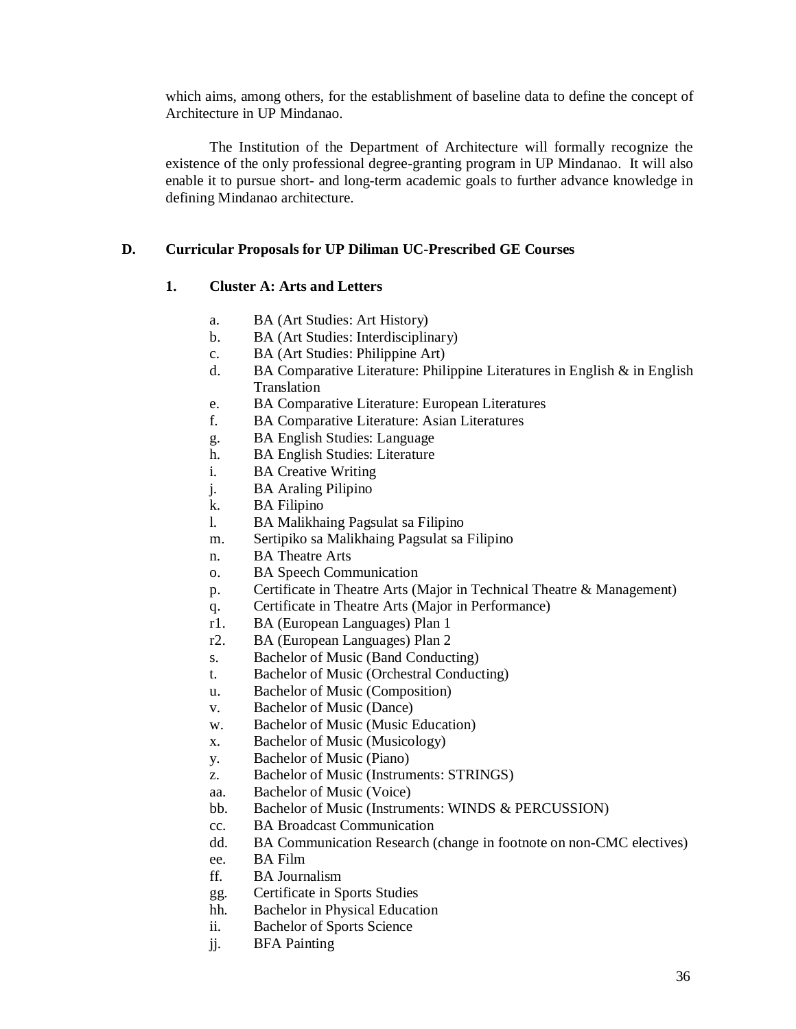which aims, among others, for the establishment of baseline data to define the concept of Architecture in UP Mindanao.

The Institution of the Department of Architecture will formally recognize the existence of the only professional degree-granting program in UP Mindanao. It will also enable it to pursue short- and long-term academic goals to further advance knowledge in defining Mindanao architecture.

#### **D. Curricular Proposals for UP Diliman UC-Prescribed GE Courses**

#### **1. Cluster A: Arts and Letters**

- a. BA (Art Studies: Art History)
- b. BA (Art Studies: Interdisciplinary)
- c. BA (Art Studies: Philippine Art)
- d. BA Comparative Literature: Philippine Literatures in English & in English Translation
- e. BA Comparative Literature: European Literatures
- f. BA Comparative Literature: Asian Literatures
- g. BA English Studies: Language
- h. BA English Studies: Literature
- i. BA Creative Writing
- j. BA Araling Pilipino
- k. BA Filipino
- l. BA Malikhaing Pagsulat sa Filipino
- m. Sertipiko sa Malikhaing Pagsulat sa Filipino
- n. BA Theatre Arts
- o. BA Speech Communication
- p. Certificate in Theatre Arts (Major in Technical Theatre & Management)
- q. Certificate in Theatre Arts (Major in Performance)
- r1. BA (European Languages) Plan 1
- r2. BA (European Languages) Plan 2
- s. Bachelor of Music (Band Conducting)
- t. Bachelor of Music (Orchestral Conducting)
- u. Bachelor of Music (Composition)
- v. Bachelor of Music (Dance)
- w. Bachelor of Music (Music Education)
- x. Bachelor of Music (Musicology)
- y. Bachelor of Music (Piano)
- z. Bachelor of Music (Instruments: STRINGS)
- aa. Bachelor of Music (Voice)
- bb. Bachelor of Music (Instruments: WINDS & PERCUSSION)
- cc. BA Broadcast Communication
- dd. BA Communication Research (change in footnote on non-CMC electives)
- ee. BA Film
- ff. BA Journalism
- gg. Certificate in Sports Studies
- hh. Bachelor in Physical Education
- ii. Bachelor of Sports Science
- jj. BFA Painting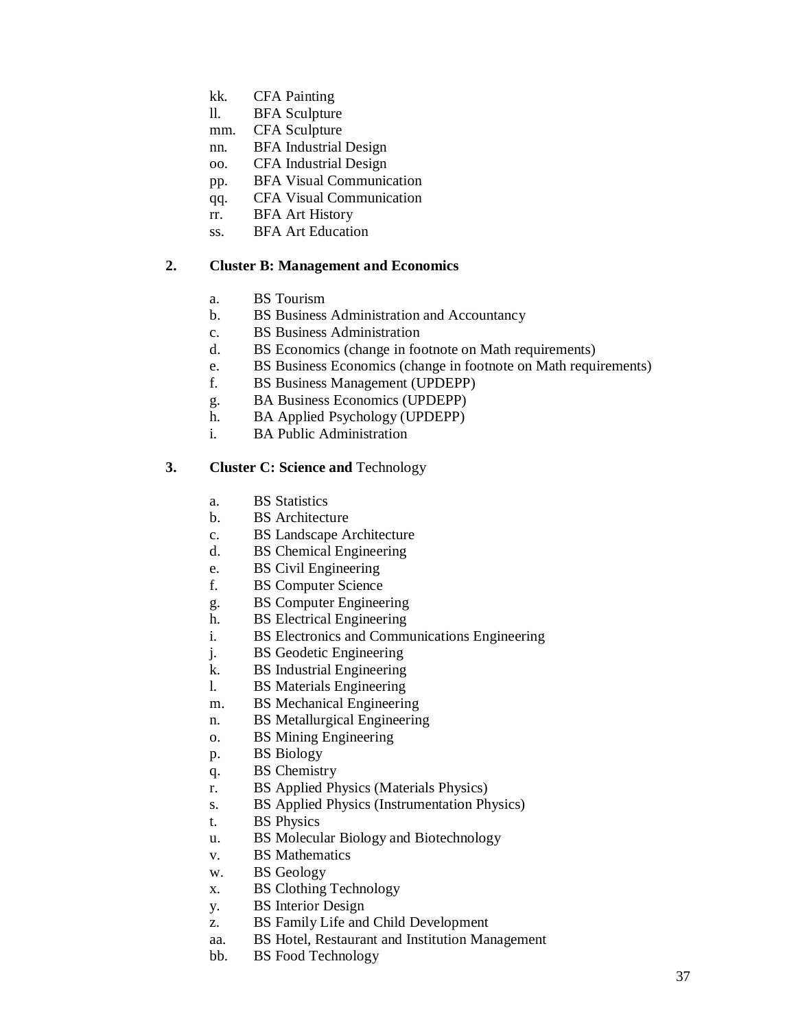- kk. CFA Painting
- ll. BFA Sculpture
- mm. CFA Sculpture
- nn. BFA Industrial Design
- oo. CFA Industrial Design
- pp. BFA Visual Communication
- qq. CFA Visual Communication
- rr. BFA Art History
- ss. BFA Art Education

# **2. Cluster B: Management and Economics**

- a. BS Tourism
- b. BS Business Administration and Accountancy
- c. BS Business Administration
- d. BS Economics (change in footnote on Math requirements)
- e. BS Business Economics (change in footnote on Math requirements)
- f. BS Business Management (UPDEPP)
- g. BA Business Economics (UPDEPP)
- h. BA Applied Psychology (UPDEPP)
- i. BA Public Administration

# **3. Cluster C: Science and** Technology

- a. BS Statistics
- b. BS Architecture
- c. BS Landscape Architecture
- d. BS Chemical Engineering
- e. BS Civil Engineering
- f. BS Computer Science
- g. BS Computer Engineering
- h. BS Electrical Engineering
- i. BS Electronics and Communications Engineering
- j. BS Geodetic Engineering
- k. BS Industrial Engineering
- l. BS Materials Engineering
- m. BS Mechanical Engineering
- n. BS Metallurgical Engineering
- o. BS Mining Engineering
- p. BS Biology
- q. BS Chemistry
- r. BS Applied Physics (Materials Physics)
- s. BS Applied Physics (Instrumentation Physics)
- t. BS Physics
- u. BS Molecular Biology and Biotechnology
- v. BS Mathematics
- w. BS Geology
- x. BS Clothing Technology
- y. BS Interior Design
- z. BS Family Life and Child Development
- aa. BS Hotel, Restaurant and Institution Management
- bb. BS Food Technology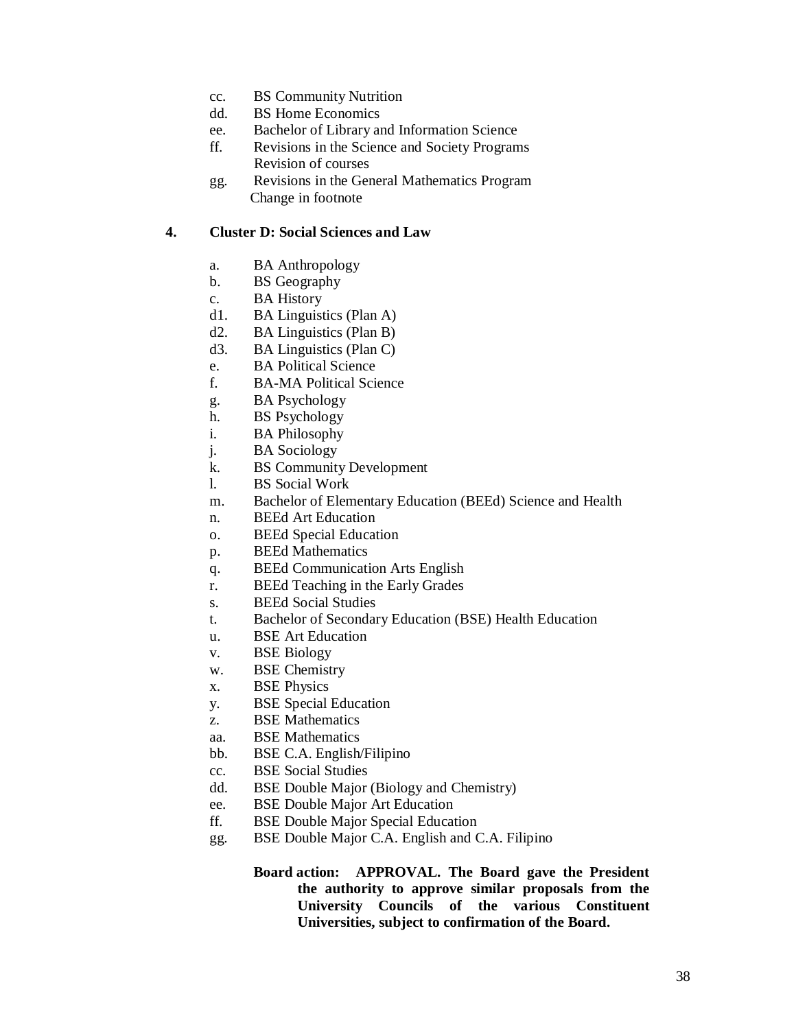- cc. BS Community Nutrition
- dd. BS Home Economics
- ee. Bachelor of Library and Information Science
- ff. Revisions in the Science and Society Programs Revision of courses
- gg. Revisions in the General Mathematics Program Change in footnote

# **4. Cluster D: Social Sciences and Law**

- a. BA Anthropology
- b. BS Geography
- c. BA History
- d1. BA Linguistics (Plan A)
- d2. BA Linguistics (Plan B)
- d3. BA Linguistics (Plan C)
- e. BA Political Science
- f. BA-MA Political Science
- g. BA Psychology
- h. BS Psychology
- i. BA Philosophy
- j. BA Sociology
- k. BS Community Development
- l. BS Social Work
- m. Bachelor of Elementary Education (BEEd) Science and Health
- n. BEEd Art Education
- o. BEEd Special Education
- p. BEEd Mathematics
- q. BEEd Communication Arts English
- r. BEEd Teaching in the Early Grades
- s. BEEd Social Studies
- t. Bachelor of Secondary Education (BSE) Health Education
- u. BSE Art Education
- v. BSE Biology
- w. BSE Chemistry
- x. BSE Physics
- y. BSE Special Education
- z. BSE Mathematics
- aa. BSE Mathematics
- bb. BSE C.A. English/Filipino
- cc. BSE Social Studies
- dd. BSE Double Major (Biology and Chemistry)
- ee. BSE Double Major Art Education
- ff. BSE Double Major Special Education
- gg. BSE Double Major C.A. English and C.A. Filipino
	- **Board action: APPROVAL. The Board gave the President the authority to approve similar proposals from the University Councils of the various Constituent Universities, subject to confirmation of the Board.**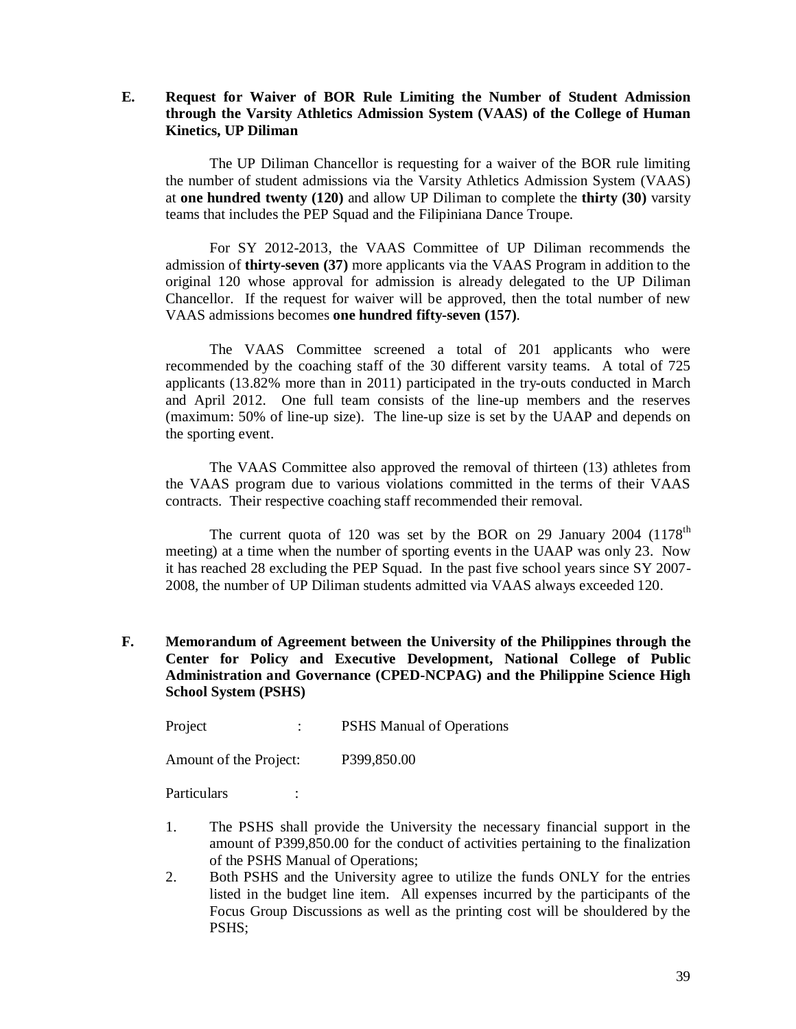# **E. Request for Waiver of BOR Rule Limiting the Number of Student Admission through the Varsity Athletics Admission System (VAAS) of the College of Human Kinetics, UP Diliman**

The UP Diliman Chancellor is requesting for a waiver of the BOR rule limiting the number of student admissions via the Varsity Athletics Admission System (VAAS) at **one hundred twenty (120)** and allow UP Diliman to complete the **thirty (30)** varsity teams that includes the PEP Squad and the Filipiniana Dance Troupe.

For SY 2012-2013, the VAAS Committee of UP Diliman recommends the admission of **thirty-seven (37)** more applicants via the VAAS Program in addition to the original 120 whose approval for admission is already delegated to the UP Diliman Chancellor. If the request for waiver will be approved, then the total number of new VAAS admissions becomes **one hundred fifty-seven (157)**.

The VAAS Committee screened a total of 201 applicants who were recommended by the coaching staff of the 30 different varsity teams. A total of 725 applicants (13.82% more than in 2011) participated in the try-outs conducted in March and April 2012. One full team consists of the line-up members and the reserves (maximum: 50% of line-up size). The line-up size is set by the UAAP and depends on the sporting event.

The VAAS Committee also approved the removal of thirteen (13) athletes from the VAAS program due to various violations committed in the terms of their VAAS contracts. Their respective coaching staff recommended their removal.

The current quota of 120 was set by the BOR on 29 January 2004 (1178<sup>th</sup>) meeting) at a time when the number of sporting events in the UAAP was only 23. Now it has reached 28 excluding the PEP Squad. In the past five school years since SY 2007- 2008, the number of UP Diliman students admitted via VAAS always exceeded 120.

**F. Memorandum of Agreement between the University of the Philippines through the Center for Policy and Executive Development, National College of Public Administration and Governance (CPED-NCPAG) and the Philippine Science High School System (PSHS)**

Project : PSHS Manual of Operations

Amount of the Project: P399,850.00

Particulars :

- 1. The PSHS shall provide the University the necessary financial support in the amount of P399,850.00 for the conduct of activities pertaining to the finalization of the PSHS Manual of Operations;
- 2. Both PSHS and the University agree to utilize the funds ONLY for the entries listed in the budget line item. All expenses incurred by the participants of the Focus Group Discussions as well as the printing cost will be shouldered by the PSHS;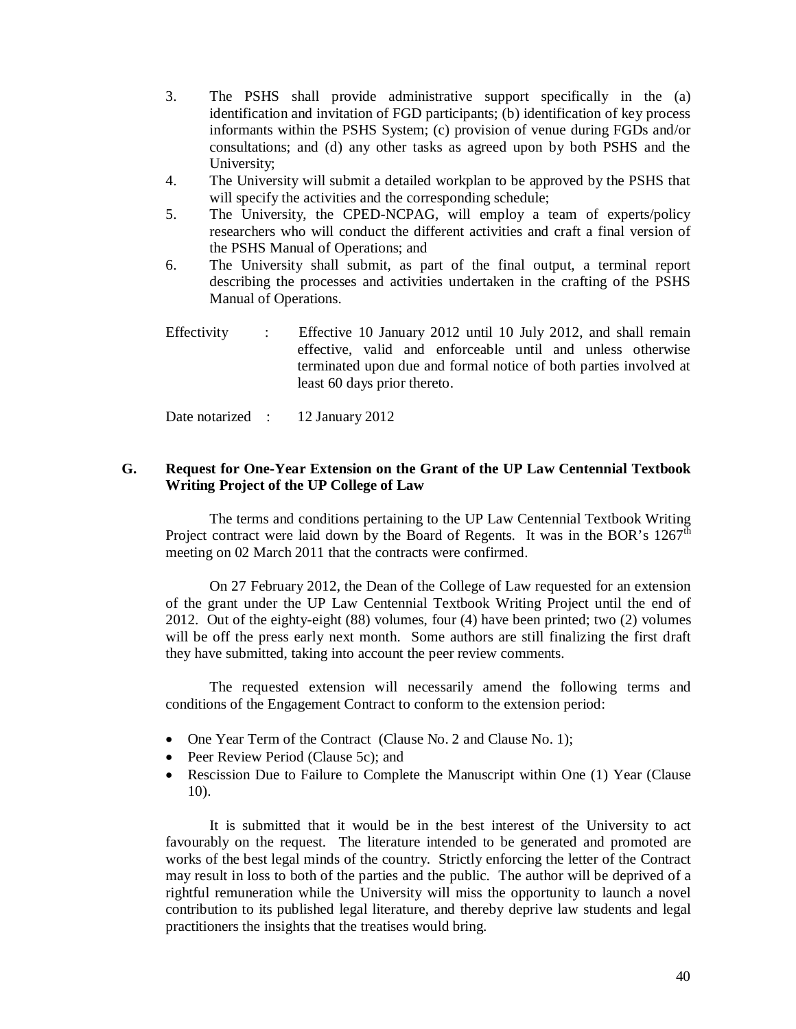- 3. The PSHS shall provide administrative support specifically in the (a) identification and invitation of FGD participants; (b) identification of key process informants within the PSHS System; (c) provision of venue during FGDs and/or consultations; and (d) any other tasks as agreed upon by both PSHS and the University;
- 4. The University will submit a detailed workplan to be approved by the PSHS that will specify the activities and the corresponding schedule;
- 5. The University, the CPED-NCPAG, will employ a team of experts/policy researchers who will conduct the different activities and craft a final version of the PSHS Manual of Operations; and
- 6. The University shall submit, as part of the final output, a terminal report describing the processes and activities undertaken in the crafting of the PSHS Manual of Operations.
- Effectivity : Effective 10 January 2012 until 10 July 2012, and shall remain effective, valid and enforceable until and unless otherwise terminated upon due and formal notice of both parties involved at least 60 days prior thereto.

Date notarized : 12 January 2012

# **G. Request for One-Year Extension on the Grant of the UP Law Centennial Textbook Writing Project of the UP College of Law**

The terms and conditions pertaining to the UP Law Centennial Textbook Writing Project contract were laid down by the Board of Regents. It was in the BOR's  $1267<sup>th</sup>$ meeting on 02 March 2011 that the contracts were confirmed.

On 27 February 2012, the Dean of the College of Law requested for an extension of the grant under the UP Law Centennial Textbook Writing Project until the end of 2012. Out of the eighty-eight (88) volumes, four (4) have been printed; two (2) volumes will be off the press early next month. Some authors are still finalizing the first draft they have submitted, taking into account the peer review comments.

The requested extension will necessarily amend the following terms and conditions of the Engagement Contract to conform to the extension period:

- One Year Term of the Contract (Clause No. 2 and Clause No. 1);
- Peer Review Period (Clause 5c); and
- Rescission Due to Failure to Complete the Manuscript within One (1) Year (Clause 10).

It is submitted that it would be in the best interest of the University to act favourably on the request. The literature intended to be generated and promoted are works of the best legal minds of the country. Strictly enforcing the letter of the Contract may result in loss to both of the parties and the public. The author will be deprived of a rightful remuneration while the University will miss the opportunity to launch a novel contribution to its published legal literature, and thereby deprive law students and legal practitioners the insights that the treatises would bring.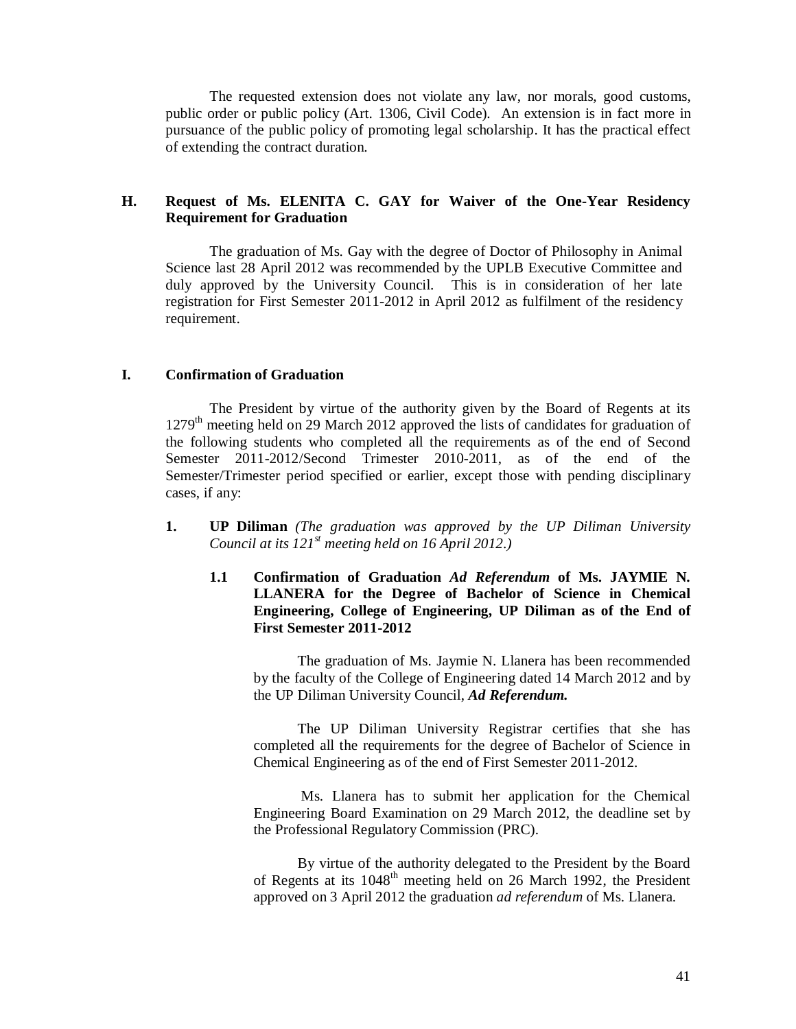The requested extension does not violate any law, nor morals, good customs, public order or public policy (Art. 1306, Civil Code). An extension is in fact more in pursuance of the public policy of promoting legal scholarship. It has the practical effect of extending the contract duration.

# **H. Request of Ms. ELENITA C. GAY for Waiver of the One-Year Residency Requirement for Graduation**

The graduation of Ms. Gay with the degree of Doctor of Philosophy in Animal Science last 28 April 2012 was recommended by the UPLB Executive Committee and duly approved by the University Council. This is in consideration of her late registration for First Semester 2011-2012 in April 2012 as fulfilment of the residency requirement.

# **I. Confirmation of Graduation**

The President by virtue of the authority given by the Board of Regents at its 1279<sup>th</sup> meeting held on 29 March 2012 approved the lists of candidates for graduation of the following students who completed all the requirements as of the end of Second Semester 2011-2012/Second Trimester 2010-2011, as of the end of the Semester/Trimester period specified or earlier, except those with pending disciplinary cases, if any:

- **1. UP Diliman** *(The graduation was approved by the UP Diliman University Council at its 121st meeting held on 16 April 2012.)*
	- **1.1 Confirmation of Graduation** *Ad Referendum* **of Ms. JAYMIE N. LLANERA for the Degree of Bachelor of Science in Chemical Engineering, College of Engineering, UP Diliman as of the End of First Semester 2011-2012**

The graduation of Ms. Jaymie N. Llanera has been recommended by the faculty of the College of Engineering dated 14 March 2012 and by the UP Diliman University Council, *Ad Referendum.* 

The UP Diliman University Registrar certifies that she has completed all the requirements for the degree of Bachelor of Science in Chemical Engineering as of the end of First Semester 2011-2012.

Ms. Llanera has to submit her application for the Chemical Engineering Board Examination on 29 March 2012, the deadline set by the Professional Regulatory Commission (PRC).

By virtue of the authority delegated to the President by the Board of Regents at its 1048<sup>th</sup> meeting held on 26 March 1992, the President approved on 3 April 2012 the graduation *ad referendum* of Ms. Llanera.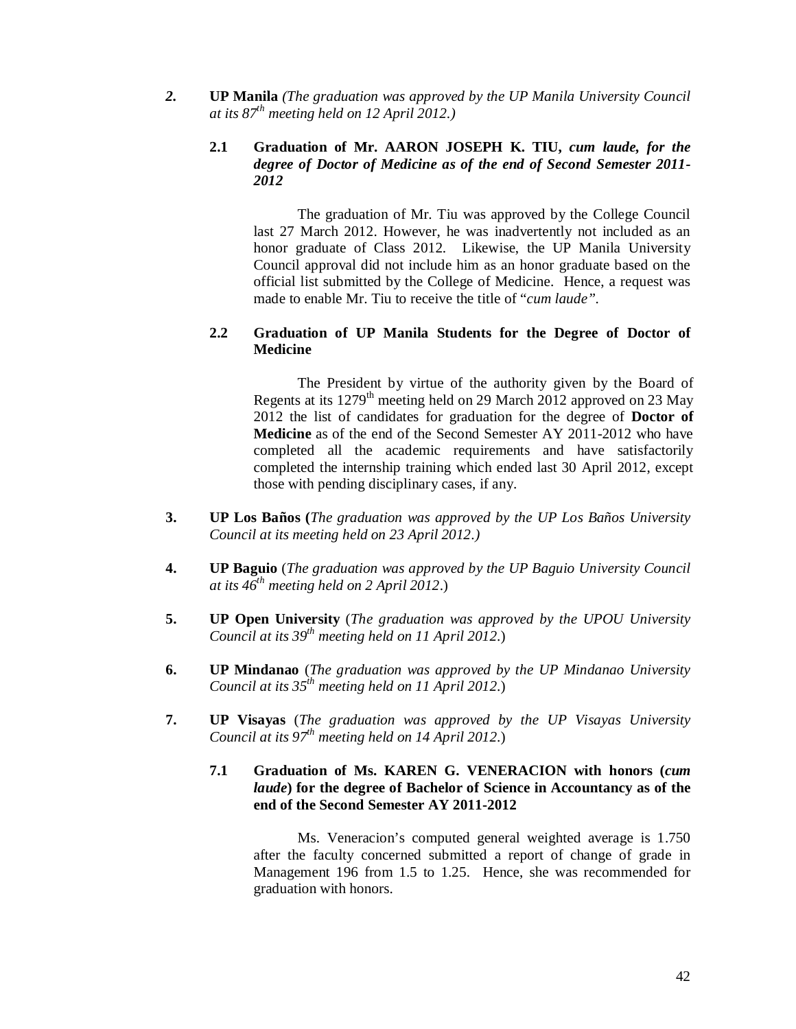*2.* **UP Manila** *(The graduation was approved by the UP Manila University Council at its 87th meeting held on 12 April 2012.)*

# **2.1 Graduation of Mr. AARON JOSEPH K. TIU,** *cum laude, for the degree of Doctor of Medicine as of the end of Second Semester 2011- 2012*

The graduation of Mr. Tiu was approved by the College Council last 27 March 2012. However, he was inadvertently not included as an honor graduate of Class 2012. Likewise, the UP Manila University Council approval did not include him as an honor graduate based on the official list submitted by the College of Medicine. Hence, a request was made to enable Mr. Tiu to receive the title of "*cum laude".*

# **2.2 Graduation of UP Manila Students for the Degree of Doctor of Medicine**

The President by virtue of the authority given by the Board of Regents at its 1279<sup>th</sup> meeting held on 29 March 2012 approved on 23 May 2012 the list of candidates for graduation for the degree of **Doctor of Medicine** as of the end of the Second Semester AY 2011-2012 who have completed all the academic requirements and have satisfactorily completed the internship training which ended last 30 April 2012, except those with pending disciplinary cases, if any.

- **3. UP Los Baños (***The graduation was approved by the UP Los Baños University Council at its meeting held on 23 April 2012.)*
- **4. UP Baguio** (*The graduation was approved by the UP Baguio University Council at its 46th meeting held on 2 April 2012*.)
- **5. UP Open University** (*The graduation was approved by the UPOU University Council at its 39th meeting held on 11 April 2012*.)
- **6. UP Mindanao** (*The graduation was approved by the UP Mindanao University Council at its 35th meeting held on 11 April 2012*.)
- **7. UP Visayas** (*The graduation was approved by the UP Visayas University Council at its 97th meeting held on 14 April 2012*.)

# **7.1 Graduation of Ms. KAREN G. VENERACION with honors (***cum laude***) for the degree of Bachelor of Science in Accountancy as of the end of the Second Semester AY 2011-2012**

Ms. Veneracion's computed general weighted average is 1.750 after the faculty concerned submitted a report of change of grade in Management 196 from 1.5 to 1.25. Hence, she was recommended for graduation with honors.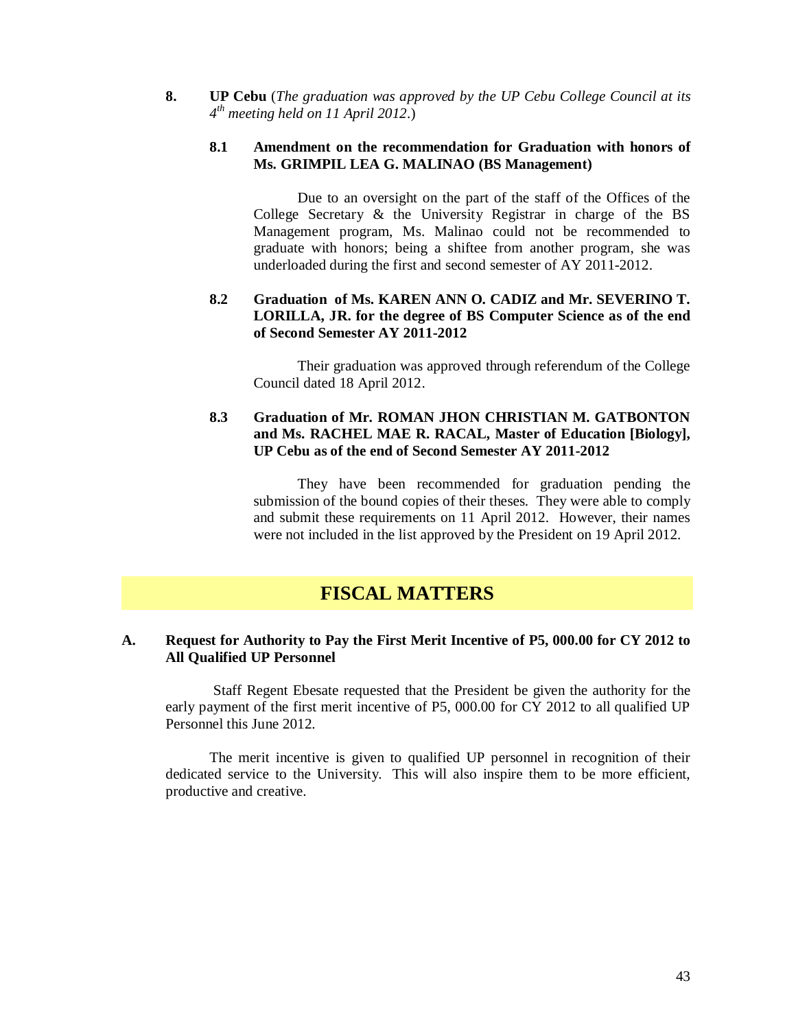**8. UP Cebu** (*The graduation was approved by the UP Cebu College Council at its 4 th meeting held on 11 April 2012*.)

### **8.1 Amendment on the recommendation for Graduation with honors of Ms. GRIMPIL LEA G. MALINAO (BS Management)**

Due to an oversight on the part of the staff of the Offices of the College Secretary & the University Registrar in charge of the BS Management program, Ms. Malinao could not be recommended to graduate with honors; being a shiftee from another program, she was underloaded during the first and second semester of AY 2011-2012.

# **8.2 Graduation of Ms. KAREN ANN O. CADIZ and Mr. SEVERINO T. LORILLA, JR. for the degree of BS Computer Science as of the end of Second Semester AY 2011-2012**

Their graduation was approved through referendum of the College Council dated 18 April 2012.

# **8.3 Graduation of Mr. ROMAN JHON CHRISTIAN M. GATBONTON and Ms. RACHEL MAE R. RACAL, Master of Education [Biology], UP Cebu as of the end of Second Semester AY 2011-2012**

They have been recommended for graduation pending the submission of the bound copies of their theses. They were able to comply and submit these requirements on 11 April 2012. However, their names were not included in the list approved by the President on 19 April 2012.

# **FISCAL MATTERS**

### **A. Request for Authority to Pay the First Merit Incentive of P5, 000.00 for CY 2012 to All Qualified UP Personnel**

Staff Regent Ebesate requested that the President be given the authority for the early payment of the first merit incentive of P5, 000.00 for CY 2012 to all qualified UP Personnel this June 2012.

The merit incentive is given to qualified UP personnel in recognition of their dedicated service to the University. This will also inspire them to be more efficient, productive and creative.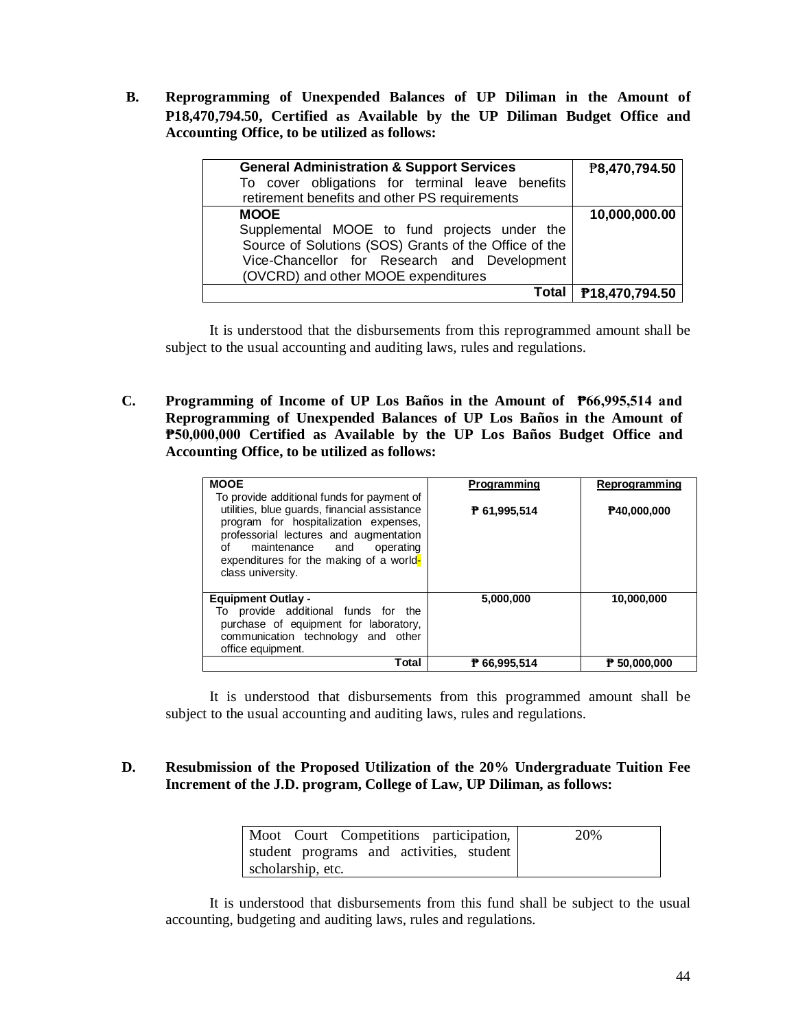**B. Reprogramming of Unexpended Balances of UP Diliman in the Amount of P18,470,794.50, Certified as Available by the UP Diliman Budget Office and Accounting Office, to be utilized as follows:**

| <b>General Administration &amp; Support Services</b><br>To cover obligations for terminal leave benefits<br>retirement benefits and other PS requirements | ₱8,470,794.50  |
|-----------------------------------------------------------------------------------------------------------------------------------------------------------|----------------|
| <b>MOOE</b>                                                                                                                                               | 10,000,000.00  |
| Supplemental MOOE to fund projects under the                                                                                                              |                |
| Source of Solutions (SOS) Grants of the Office of the                                                                                                     |                |
| Vice-Chancellor for Research and Development                                                                                                              |                |
| (OVCRD) and other MOOE expenditures                                                                                                                       |                |
| Total                                                                                                                                                     | P18,470,794.50 |

It is understood that the disbursements from this reprogrammed amount shall be subject to the usual accounting and auditing laws, rules and regulations.

**C. Programming of Income of UP Los Baños in the Amount of ₱66,995,514 and Reprogramming of Unexpended Balances of UP Los Baños in the Amount of ₱50,000,000 Certified as Available by the UP Los Baños Budget Office and Accounting Office, to be utilized as follows:**

| <b>MOOE</b>                                                                                                                                                                                                                           | Programming  | Reprogramming         |
|---------------------------------------------------------------------------------------------------------------------------------------------------------------------------------------------------------------------------------------|--------------|-----------------------|
| To provide additional funds for payment of                                                                                                                                                                                            |              |                       |
| utilities, blue guards, financial assistance<br>program for hospitalization expenses,<br>professorial lectures and augmentation<br>maintenance and<br>operating<br>of<br>expenditures for the making of a world-<br>class university. | P 61,995,514 | P40,000,000           |
| <b>Equipment Outlay -</b>                                                                                                                                                                                                             | 5,000,000    | 10,000,000            |
| To provide additional funds for the<br>purchase of equipment for laboratory,<br>communication technology and other<br>office equipment.                                                                                               |              |                       |
| Total                                                                                                                                                                                                                                 | ₱ 66.995.514 | $\ddagger$ 50,000,000 |

It is understood that disbursements from this programmed amount shall be subject to the usual accounting and auditing laws, rules and regulations.

# **D. Resubmission of the Proposed Utilization of the 20% Undergraduate Tuition Fee Increment of the J.D. program, College of Law, UP Diliman, as follows:**

| Moot Court Competitions participation,   | 20% |
|------------------------------------------|-----|
| student programs and activities, student |     |
| scholarship, etc.                        |     |

It is understood that disbursements from this fund shall be subject to the usual accounting, budgeting and auditing laws, rules and regulations.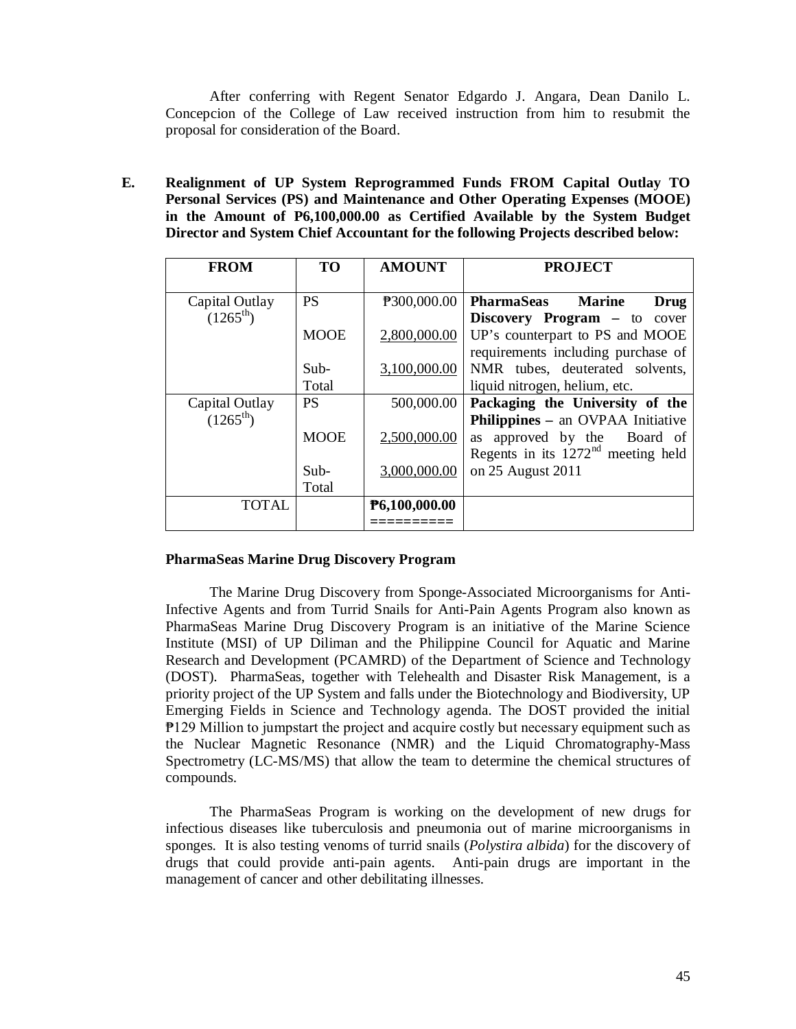After conferring with Regent Senator Edgardo J. Angara, Dean Danilo L. Concepcion of the College of Law received instruction from him to resubmit the proposal for consideration of the Board.

**E. Realignment of UP System Reprogrammed Funds FROM Capital Outlay TO Personal Services (PS) and Maintenance and Other Operating Expenses (MOOE) in the Amount of P6,100,000.00 as Certified Available by the System Budget Director and System Chief Accountant for the following Projects described below:**

| <b>FROM</b>                            | <b>TO</b>   | <b>AMOUNT</b> | <b>PROJECT</b>                                                              |
|----------------------------------------|-------------|---------------|-----------------------------------------------------------------------------|
| Capital Outlay<br>$(1265^{\text{th}})$ | <b>PS</b>   | P300,000.00   | PharmaSeas<br><b>Marine</b><br>Drug<br><b>Discovery Program</b> – to cover  |
|                                        | <b>MOOE</b> | 2,800,000.00  | UP's counterpart to PS and MOOE<br>requirements including purchase of       |
|                                        | $Sub-$      | 3,100,000.00  | NMR tubes, deuterated solvents,                                             |
|                                        | Total       |               | liquid nitrogen, helium, etc.                                               |
| Capital Outlay<br>$(1265^{\text{th}})$ | <b>PS</b>   | 500,000.00    | Packaging the University of the<br><b>Philippines – an OVPAA Initiative</b> |
|                                        | <b>MOOE</b> | 2,500,000.00  | as approved by the Board of<br>Regents in its $1272nd$ meeting held         |
|                                        | $Sub-$      | 3,000,000.00  | on 25 August 2011                                                           |
|                                        | Total       |               |                                                                             |
| <b>TOTAL</b>                           |             | P6,100,000.00 |                                                                             |
|                                        |             |               |                                                                             |

#### **PharmaSeas Marine Drug Discovery Program**

The Marine Drug Discovery from Sponge-Associated Microorganisms for Anti-Infective Agents and from Turrid Snails for Anti-Pain Agents Program also known as PharmaSeas Marine Drug Discovery Program is an initiative of the Marine Science Institute (MSI) of UP Diliman and the Philippine Council for Aquatic and Marine Research and Development (PCAMRD) of the Department of Science and Technology (DOST). PharmaSeas, together with Telehealth and Disaster Risk Management, is a priority project of the UP System and falls under the Biotechnology and Biodiversity, UP Emerging Fields in Science and Technology agenda. The DOST provided the initial ₱129 Million to jumpstart the project and acquire costly but necessary equipment such as the Nuclear Magnetic Resonance (NMR) and the Liquid Chromatography-Mass Spectrometry (LC-MS/MS) that allow the team to determine the chemical structures of compounds.

The PharmaSeas Program is working on the development of new drugs for infectious diseases like tuberculosis and pneumonia out of marine microorganisms in sponges. It is also testing venoms of turrid snails (*Polystira albida*) for the discovery of drugs that could provide anti-pain agents. Anti-pain drugs are important in the management of cancer and other debilitating illnesses.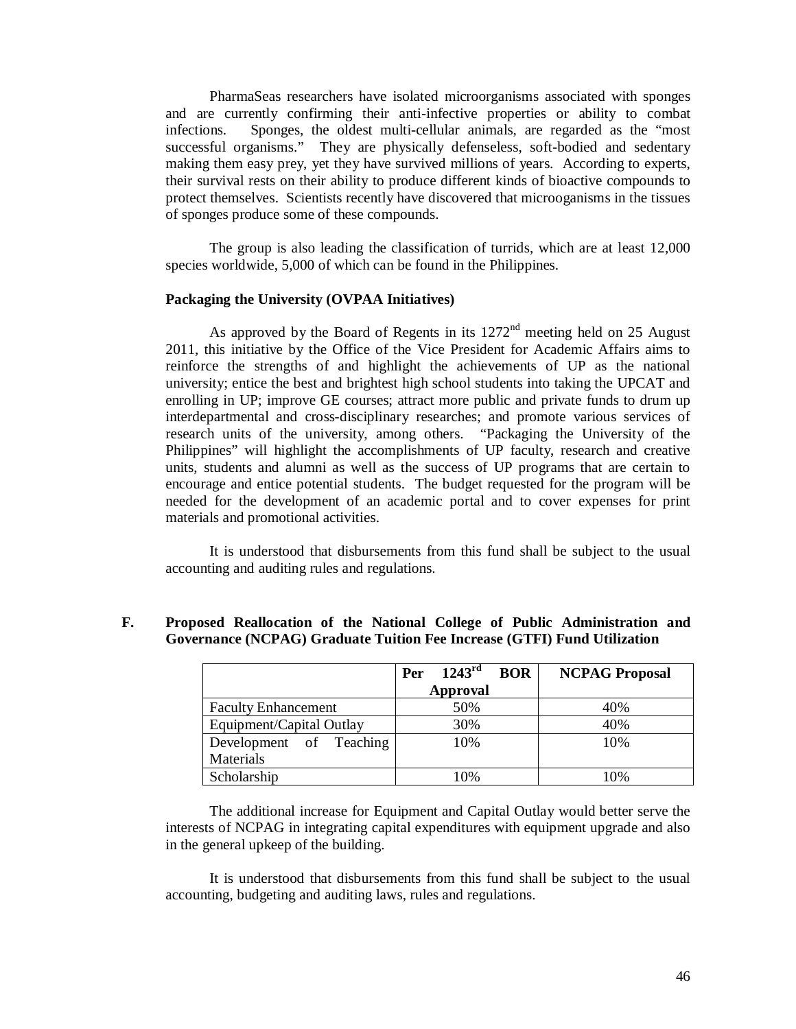PharmaSeas researchers have isolated microorganisms associated with sponges and are currently confirming their anti-infective properties or ability to combat infections. Sponges, the oldest multi-cellular animals, are regarded as the "most successful organisms." They are physically defenseless, soft-bodied and sedentary making them easy prey, yet they have survived millions of years. According to experts, their survival rests on their ability to produce different kinds of bioactive compounds to protect themselves. Scientists recently have discovered that microoganisms in the tissues of sponges produce some of these compounds.

The group is also leading the classification of turrids, which are at least 12,000 species worldwide, 5,000 of which can be found in the Philippines.

#### **Packaging the University (OVPAA Initiatives)**

As approved by the Board of Regents in its  $1272<sup>nd</sup>$  meeting held on 25 August 2011, this initiative by the Office of the Vice President for Academic Affairs aims to reinforce the strengths of and highlight the achievements of UP as the national university; entice the best and brightest high school students into taking the UPCAT and enrolling in UP; improve GE courses; attract more public and private funds to drum up interdepartmental and cross-disciplinary researches; and promote various services of research units of the university, among others. "Packaging the University of the Philippines" will highlight the accomplishments of UP faculty, research and creative units, students and alumni as well as the success of UP programs that are certain to encourage and entice potential students. The budget requested for the program will be needed for the development of an academic portal and to cover expenses for print materials and promotional activities.

It is understood that disbursements from this fund shall be subject to the usual accounting and auditing rules and regulations.

#### **F. Proposed Reallocation of the National College of Public Administration and Governance (NCPAG) Graduate Tuition Fee Increase (GTFI) Fund Utilization**

|                            | 1243 <sup>rd</sup><br><b>BOR</b><br>Per | <b>NCPAG Proposal</b> |
|----------------------------|-----------------------------------------|-----------------------|
|                            | Approval                                |                       |
| <b>Faculty Enhancement</b> | 50%                                     | 40%                   |
| Equipment/Capital Outlay   | 30%                                     | 40%                   |
| Development of Teaching    | 10%                                     | 10%                   |
| Materials                  |                                         |                       |
| Scholarship                | 10%                                     | 10%                   |

The additional increase for Equipment and Capital Outlay would better serve the interests of NCPAG in integrating capital expenditures with equipment upgrade and also in the general upkeep of the building.

It is understood that disbursements from this fund shall be subject to the usual accounting, budgeting and auditing laws, rules and regulations.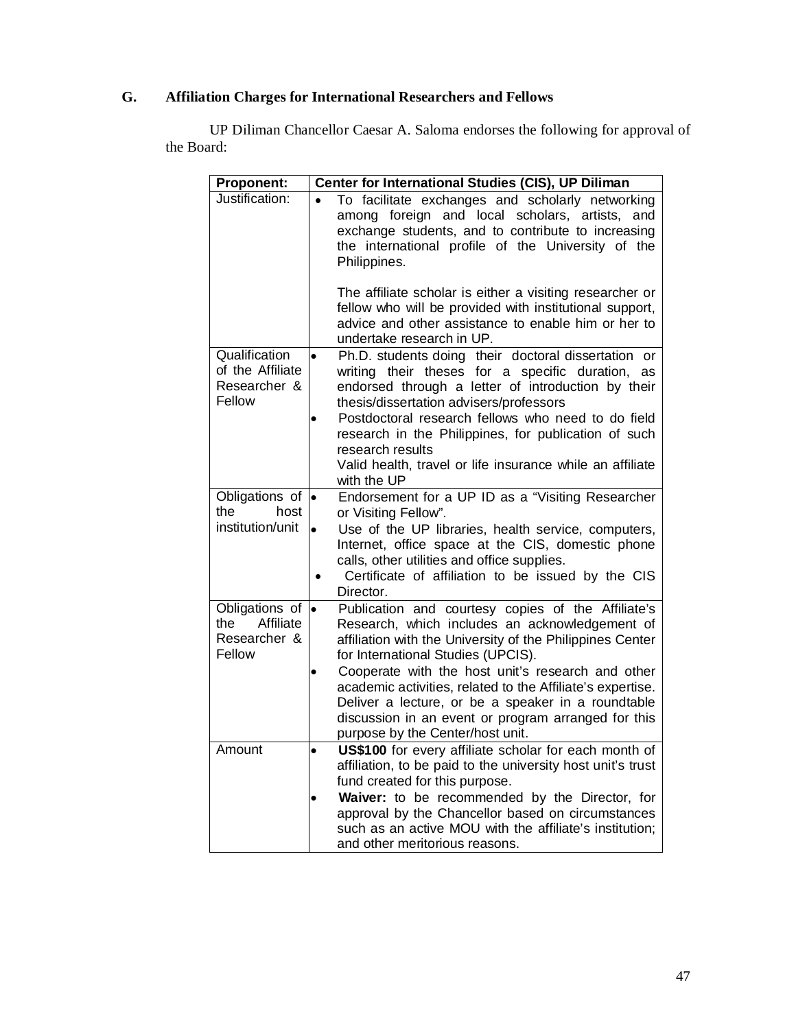# **G. Affiliation Charges for International Researchers and Fellows**

UP Diliman Chancellor Caesar A. Saloma endorses the following for approval of the Board:

| <b>Proponent:</b>                                                                  | Center for International Studies (CIS), UP Diliman                                                                                                                                                                                                                                                                                                                                                                                                                          |  |  |  |  |
|------------------------------------------------------------------------------------|-----------------------------------------------------------------------------------------------------------------------------------------------------------------------------------------------------------------------------------------------------------------------------------------------------------------------------------------------------------------------------------------------------------------------------------------------------------------------------|--|--|--|--|
| Justification:                                                                     | To facilitate exchanges and scholarly networking<br>among foreign and local scholars, artists,<br>and<br>exchange students, and to contribute to increasing<br>the international profile of the University of the<br>Philippines.                                                                                                                                                                                                                                           |  |  |  |  |
|                                                                                    | The affiliate scholar is either a visiting researcher or<br>fellow who will be provided with institutional support,<br>advice and other assistance to enable him or her to<br>undertake research in UP.                                                                                                                                                                                                                                                                     |  |  |  |  |
| Qualification<br>of the Affiliate<br>Researcher &<br>Fellow                        | Ph.D. students doing their doctoral dissertation or<br>writing their theses for a specific duration, as<br>endorsed through a letter of introduction by their<br>thesis/dissertation advisers/professors<br>Postdoctoral research fellows who need to do field<br>research in the Philippines, for publication of such<br>research results<br>Valid health, travel or life insurance while an affiliate                                                                     |  |  |  |  |
|                                                                                    | with the UP                                                                                                                                                                                                                                                                                                                                                                                                                                                                 |  |  |  |  |
| Obligations of<br>the<br>host                                                      | Endorsement for a UP ID as a "Visiting Researcher<br>l.<br>or Visiting Fellow".                                                                                                                                                                                                                                                                                                                                                                                             |  |  |  |  |
| institution/unit                                                                   | Use of the UP libraries, health service, computers,<br>$\bullet$<br>Internet, office space at the CIS, domestic phone<br>calls, other utilities and office supplies.<br>Certificate of affiliation to be issued by the CIS<br>Director.                                                                                                                                                                                                                                     |  |  |  |  |
| Obligations of $\vert \bullet \vert$<br>Affiliate<br>the<br>Researcher &<br>Fellow | Publication and courtesy copies of the Affiliate's<br>Research, which includes an acknowledgement of<br>affiliation with the University of the Philippines Center<br>for International Studies (UPCIS).<br>Cooperate with the host unit's research and other<br>academic activities, related to the Affiliate's expertise.<br>Deliver a lecture, or be a speaker in a roundtable<br>discussion in an event or program arranged for this<br>purpose by the Center/host unit. |  |  |  |  |
| Amount                                                                             | US\$100 for every affiliate scholar for each month of<br>$\bullet$<br>affiliation, to be paid to the university host unit's trust<br>fund created for this purpose.<br>Waiver: to be recommended by the Director, for<br>approval by the Chancellor based on circumstances<br>such as an active MOU with the affiliate's institution;<br>and other meritorious reasons.                                                                                                     |  |  |  |  |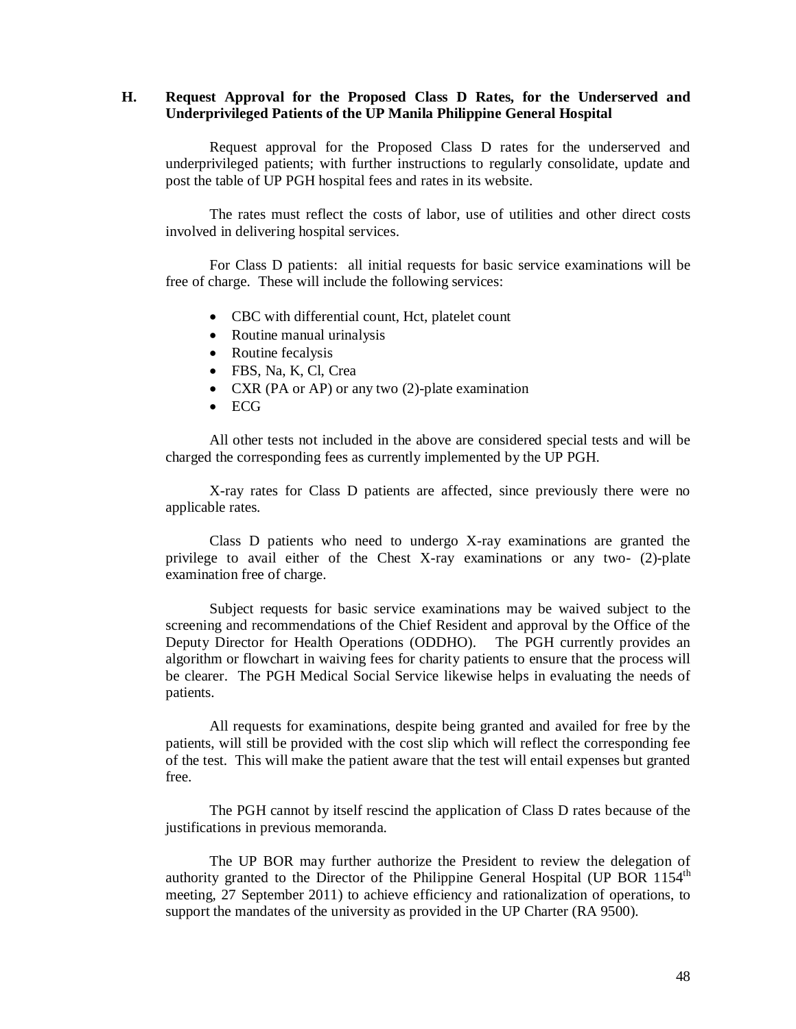### **H. Request Approval for the Proposed Class D Rates, for the Underserved and Underprivileged Patients of the UP Manila Philippine General Hospital**

Request approval for the Proposed Class D rates for the underserved and underprivileged patients; with further instructions to regularly consolidate, update and post the table of UP PGH hospital fees and rates in its website.

The rates must reflect the costs of labor, use of utilities and other direct costs involved in delivering hospital services.

For Class D patients: all initial requests for basic service examinations will be free of charge. These will include the following services:

- CBC with differential count, Hct, platelet count
- Routine manual urinalysis
- Routine fecalysis
- FBS, Na, K, Cl, Crea
- CXR (PA or AP) or any two (2)-plate examination
- ECG

All other tests not included in the above are considered special tests and will be charged the corresponding fees as currently implemented by the UP PGH.

X-ray rates for Class D patients are affected, since previously there were no applicable rates.

Class D patients who need to undergo X-ray examinations are granted the privilege to avail either of the Chest X-ray examinations or any two- (2)-plate examination free of charge.

Subject requests for basic service examinations may be waived subject to the screening and recommendations of the Chief Resident and approval by the Office of the Deputy Director for Health Operations (ODDHO). The PGH currently provides an algorithm or flowchart in waiving fees for charity patients to ensure that the process will be clearer. The PGH Medical Social Service likewise helps in evaluating the needs of patients.

All requests for examinations, despite being granted and availed for free by the patients, will still be provided with the cost slip which will reflect the corresponding fee of the test. This will make the patient aware that the test will entail expenses but granted free.

The PGH cannot by itself rescind the application of Class D rates because of the justifications in previous memoranda.

The UP BOR may further authorize the President to review the delegation of authority granted to the Director of the Philippine General Hospital (UP BOR 1154<sup>th</sup> meeting, 27 September 2011) to achieve efficiency and rationalization of operations, to support the mandates of the university as provided in the UP Charter (RA 9500).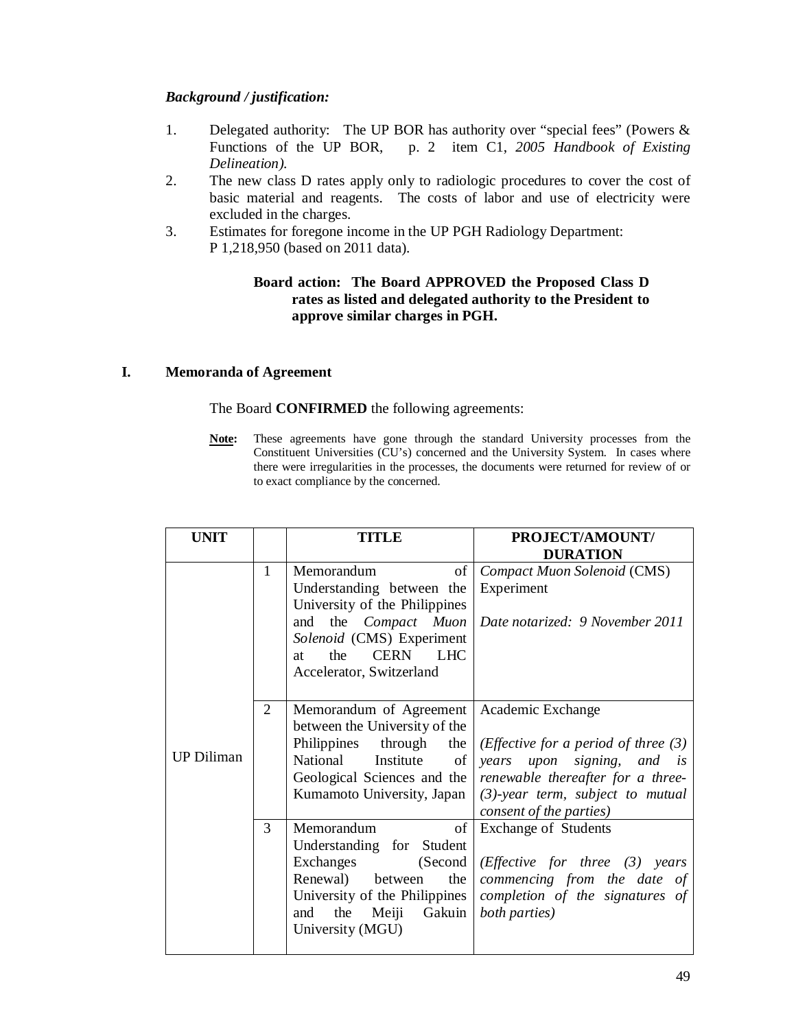# *Background / justification:*

- 1. Delegated authority: The UP BOR has authority over "special fees" (Powers & Functions of the UP BOR, p. 2 item C1, *2005 Handbook of Existing Delineation).*
- 2. The new class D rates apply only to radiologic procedures to cover the cost of basic material and reagents. The costs of labor and use of electricity were excluded in the charges.
- 3. Estimates for foregone income in the UP PGH Radiology Department: P 1,218,950 (based on 2011 data).

# **Board action: The Board APPROVED the Proposed Class D rates as listed and delegated authority to the President to approve similar charges in PGH.**

# **I. Memoranda of Agreement**

# The Board **CONFIRMED** the following agreements:

**Note:** These agreements have gone through the standard University processes from the Constituent Universities (CU's) concerned and the University System. In cases where there were irregularities in the processes, the documents were returned for review of or to exact compliance by the concerned.

| <b>UNIT</b>       |                | <b>TITLE</b>                                                                                                                                                                                                        | PROJECT/AMOUNT/                                                                                                                                                                                          |  |
|-------------------|----------------|---------------------------------------------------------------------------------------------------------------------------------------------------------------------------------------------------------------------|----------------------------------------------------------------------------------------------------------------------------------------------------------------------------------------------------------|--|
|                   |                |                                                                                                                                                                                                                     | <b>DURATION</b>                                                                                                                                                                                          |  |
|                   | 1              | Memorandum<br>of<br>Understanding between the<br>University of the Philippines<br>the <i>Compact</i> Muon<br>and<br>Solenoid (CMS) Experiment<br><b>LHC</b><br><b>CERN</b><br>the<br>at<br>Accelerator, Switzerland | Compact Muon Solenoid (CMS)<br>Experiment<br>Date notarized: 9 November 2011                                                                                                                             |  |
| <b>UP Diliman</b> | $\overline{2}$ | Memorandum of Agreement   Academic Exchange<br>between the University of the<br>Institute of<br>National<br>Geological Sciences and the<br>Kumamoto University, Japan                                               | Philippines through the <i>(Effective for a period of three (3)</i><br>years upon signing, and is<br>renewable thereafter for a three-<br>$(3)$ -year term, subject to mutual<br>consent of the parties) |  |
|                   | 3              | of<br>Memorandum<br>Understanding for Student<br>Exchanges<br>(Second)<br>Renewal) between<br>the<br>University of the Philippines<br>the<br>Gakuin<br>Meiji<br>and<br>University (MGU)                             | <b>Exchange of Students</b><br>( <i>Effective for three</i> $(3)$ years<br>commencing from the date of<br>completion of the signatures of<br>both parties)                                               |  |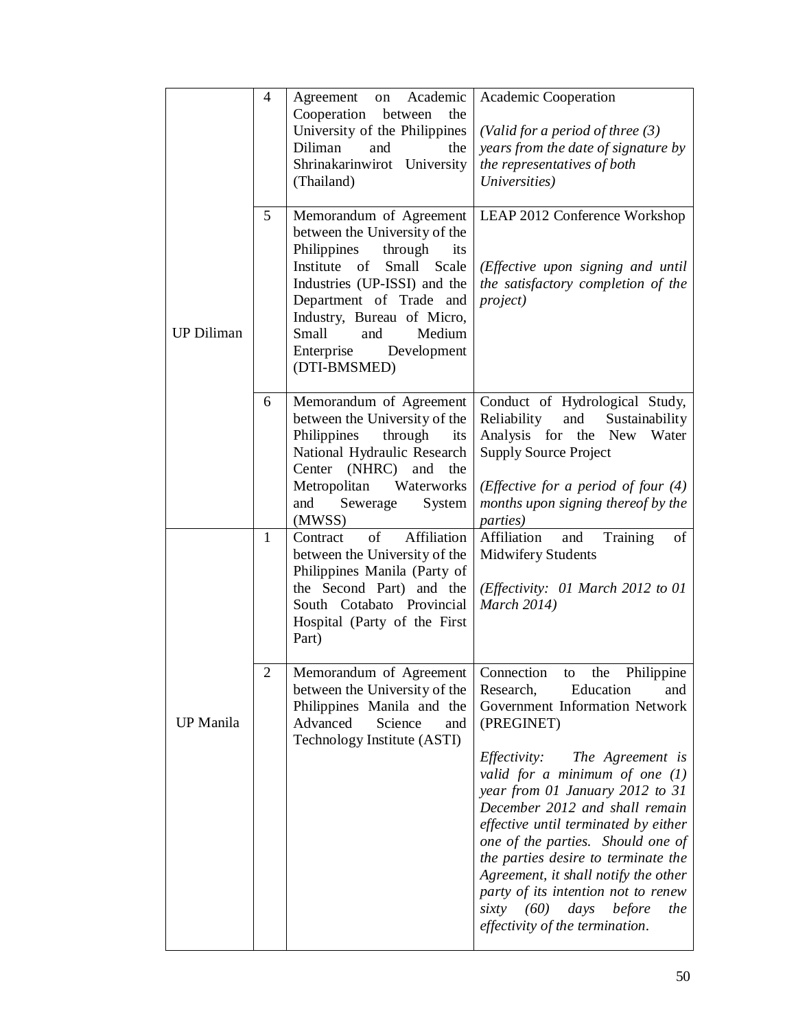|                   | $\overline{4}$ | Academic<br>Agreement<br>on<br>Cooperation between<br>the<br>University of the Philippines<br>Diliman<br>and<br>the<br>Shrinakarinwirot University<br>(Thailand)                                                                                                                         | Academic Cooperation<br>(Valid for a period of three $(3)$<br>years from the date of signature by<br>the representatives of both<br>Universities)                                                                                                                                                                                                                                                                                                                                                                                                      |  |
|-------------------|----------------|------------------------------------------------------------------------------------------------------------------------------------------------------------------------------------------------------------------------------------------------------------------------------------------|--------------------------------------------------------------------------------------------------------------------------------------------------------------------------------------------------------------------------------------------------------------------------------------------------------------------------------------------------------------------------------------------------------------------------------------------------------------------------------------------------------------------------------------------------------|--|
| <b>UP Diliman</b> | 5              | Memorandum of Agreement<br>between the University of the<br>Philippines<br>through<br>its<br>Institute of<br>Small Scale<br>Industries (UP-ISSI) and the<br>Department of Trade and<br>Industry, Bureau of Micro,<br>Small<br>and<br>Medium<br>Enterprise<br>Development<br>(DTI-BMSMED) | LEAP 2012 Conference Workshop<br>(Effective upon signing and until<br>the satisfactory completion of the<br><i>project</i> )                                                                                                                                                                                                                                                                                                                                                                                                                           |  |
|                   | 6              | Memorandum of Agreement<br>between the University of the<br>Philippines through<br>its<br>National Hydraulic Research<br>Center (NHRC) and<br>the<br>Metropolitan<br>Waterworks<br>Sewerage<br>System<br>and<br>(MWSS)                                                                   | Conduct of Hydrological Study,<br>Reliability<br>and<br>Sustainability<br>Analysis for the New Water<br><b>Supply Source Project</b><br>( <i>Effective for a period of four</i> $(4)$<br>months upon signing thereof by the<br><i>parties</i> )                                                                                                                                                                                                                                                                                                        |  |
|                   | $\mathbf{1}$   | of<br>Affiliation<br>Contract<br>between the University of the<br>Philippines Manila (Party of<br>the Second Part) and the<br>South Cotabato Provincial<br>Hospital (Party of the First<br>Part)                                                                                         | Training<br>Affiliation<br>of<br>and<br><b>Midwifery Students</b><br>(Effectivity: 01 March 2012 to 01<br>March 2014)                                                                                                                                                                                                                                                                                                                                                                                                                                  |  |
| <b>UP</b> Manila  | 2              | Memorandum of Agreement<br>between the University of the<br>Philippines Manila and the<br>Advanced<br>Science<br>and<br>Technology Institute (ASTI)                                                                                                                                      | Connection<br>to<br>the<br>Philippine<br>Research,<br>Education<br>and<br>Government Information Network<br>(PREGINET)<br><i>Effectivity:</i> The Agreement is<br>valid for a minimum of one $(1)$<br>year from 01 January 2012 to 31<br>December 2012 and shall remain<br>effective until terminated by either<br>one of the parties. Should one of<br>the parties desire to terminate the<br>Agreement, it shall notify the other<br>party of its intention not to renew<br>sixty $(60)$<br>days<br>before<br>the<br>effectivity of the termination. |  |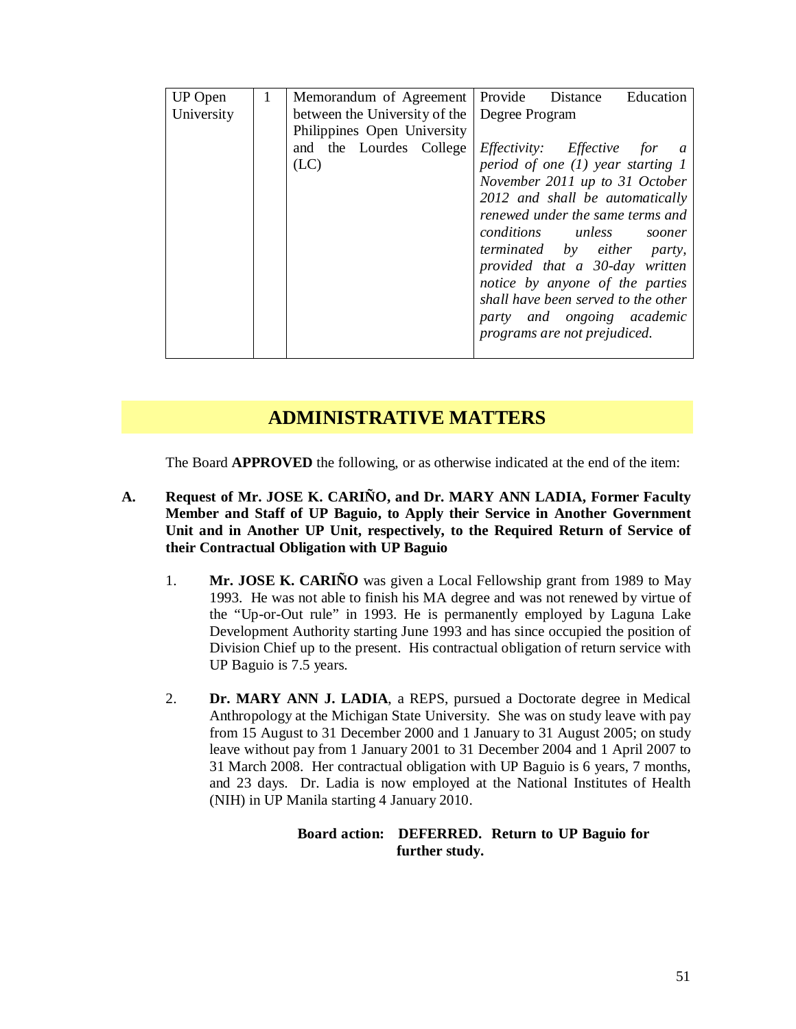| <b>UP</b> Open | 1 |                                              |                             |  |                                     | Memorandum of Agreement   Provide Distance | Education |
|----------------|---|----------------------------------------------|-----------------------------|--|-------------------------------------|--------------------------------------------|-----------|
| University     |   | between the University of the Degree Program |                             |  |                                     |                                            |           |
|                |   |                                              | Philippines Open University |  |                                     |                                            |           |
|                |   |                                              | and the Lourdes College     |  |                                     | <i>Effectivity: Effective</i> for a        |           |
|                |   | (LC)                                         |                             |  | period of one $(1)$ year starting 1 |                                            |           |
|                |   |                                              |                             |  |                                     | November 2011 up to 31 October             |           |
|                |   |                                              |                             |  |                                     | 2012 and shall be automatically            |           |
|                |   |                                              |                             |  |                                     | renewed under the same terms and           |           |
|                |   |                                              |                             |  |                                     | conditions unless                          | sooner    |
|                |   |                                              |                             |  |                                     | <i>terminated by either party</i> ,        |           |
|                |   |                                              |                             |  |                                     | provided that a 30-day written             |           |
|                |   |                                              |                             |  |                                     | notice by anyone of the parties            |           |
|                |   |                                              |                             |  | shall have been served to the other |                                            |           |
|                |   |                                              |                             |  | party and ongoing academic          |                                            |           |
|                |   |                                              |                             |  |                                     | programs are not prejudiced.               |           |
|                |   |                                              |                             |  |                                     |                                            |           |

# **ADMINISTRATIVE MATTERS**

The Board **APPROVED** the following, or as otherwise indicated at the end of the item:

- **A. Request of Mr. JOSE K. CARIÑO, and Dr. MARY ANN LADIA, Former Faculty Member and Staff of UP Baguio, to Apply their Service in Another Government Unit and in Another UP Unit, respectively, to the Required Return of Service of their Contractual Obligation with UP Baguio**
	- 1. **Mr. JOSE K. CARIÑO** was given a Local Fellowship grant from 1989 to May 1993. He was not able to finish his MA degree and was not renewed by virtue of the "Up-or-Out rule" in 1993. He is permanently employed by Laguna Lake Development Authority starting June 1993 and has since occupied the position of Division Chief up to the present. His contractual obligation of return service with UP Baguio is 7.5 years.
	- 2. **Dr. MARY ANN J. LADIA**, a REPS, pursued a Doctorate degree in Medical Anthropology at the Michigan State University. She was on study leave with pay from 15 August to 31 December 2000 and 1 January to 31 August 2005; on study leave without pay from 1 January 2001 to 31 December 2004 and 1 April 2007 to 31 March 2008. Her contractual obligation with UP Baguio is 6 years, 7 months, and 23 days. Dr. Ladia is now employed at the National Institutes of Health (NIH) in UP Manila starting 4 January 2010.

# **Board action: DEFERRED. Return to UP Baguio for further study.**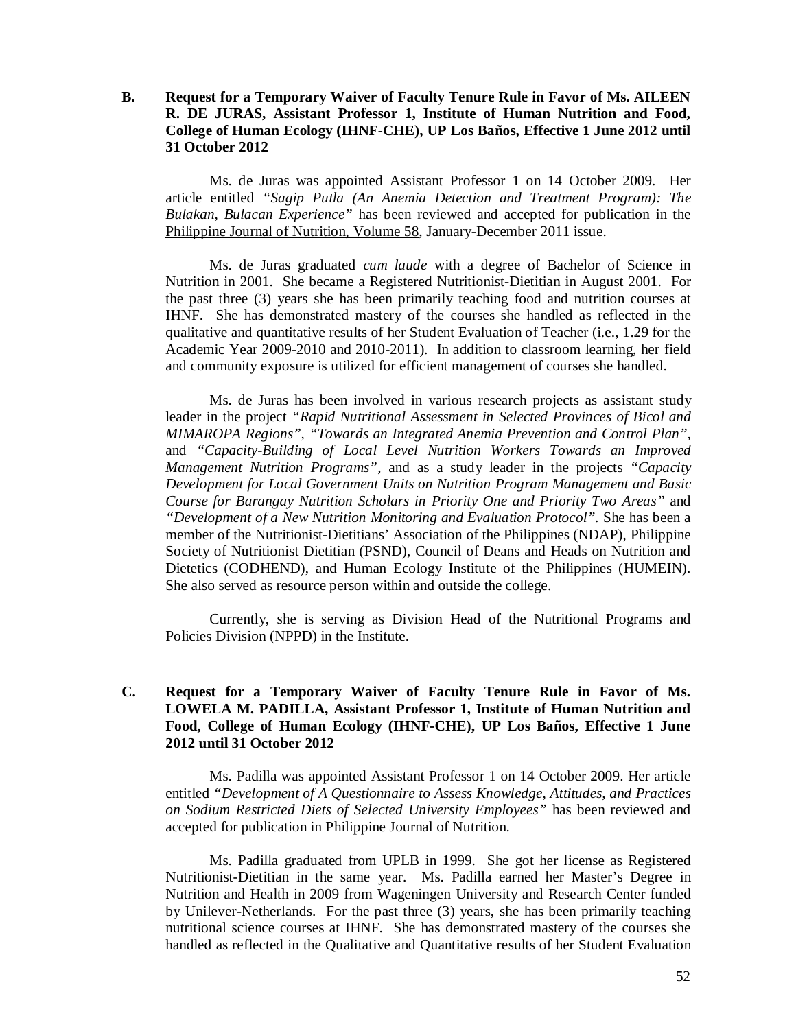# **B. Request for a Temporary Waiver of Faculty Tenure Rule in Favor of Ms. AILEEN R. DE JURAS, Assistant Professor 1, Institute of Human Nutrition and Food, College of Human Ecology (IHNF-CHE), UP Los Baños, Effective 1 June 2012 until 31 October 2012**

Ms. de Juras was appointed Assistant Professor 1 on 14 October 2009. Her article entitled *"Sagip Putla (An Anemia Detection and Treatment Program): The Bulakan, Bulacan Experience"* has been reviewed and accepted for publication in the Philippine Journal of Nutrition, Volume 58, January-December 2011 issue.

Ms. de Juras graduated *cum laude* with a degree of Bachelor of Science in Nutrition in 2001. She became a Registered Nutritionist-Dietitian in August 2001. For the past three (3) years she has been primarily teaching food and nutrition courses at IHNF. She has demonstrated mastery of the courses she handled as reflected in the qualitative and quantitative results of her Student Evaluation of Teacher (i.e., 1.29 for the Academic Year 2009-2010 and 2010-2011). In addition to classroom learning, her field and community exposure is utilized for efficient management of courses she handled.

Ms. de Juras has been involved in various research projects as assistant study leader in the project *"Rapid Nutritional Assessment in Selected Provinces of Bicol and MIMAROPA Regions", "Towards an Integrated Anemia Prevention and Control Plan",*  and *"Capacity-Building of Local Level Nutrition Workers Towards an Improved Management Nutrition Programs",* and as a study leader in the projects *"Capacity Development for Local Government Units on Nutrition Program Management and Basic Course for Barangay Nutrition Scholars in Priority One and Priority Two Areas"* and *"Development of a New Nutrition Monitoring and Evaluation Protocol".* She has been a member of the Nutritionist-Dietitians' Association of the Philippines (NDAP), Philippine Society of Nutritionist Dietitian (PSND), Council of Deans and Heads on Nutrition and Dietetics (CODHEND), and Human Ecology Institute of the Philippines (HUMEIN). She also served as resource person within and outside the college.

Currently, she is serving as Division Head of the Nutritional Programs and Policies Division (NPPD) in the Institute.

# **C. Request for a Temporary Waiver of Faculty Tenure Rule in Favor of Ms. LOWELA M. PADILLA, Assistant Professor 1, Institute of Human Nutrition and Food, College of Human Ecology (IHNF-CHE), UP Los Baños, Effective 1 June 2012 until 31 October 2012**

Ms. Padilla was appointed Assistant Professor 1 on 14 October 2009. Her article entitled *"Development of A Questionnaire to Assess Knowledge, Attitudes, and Practices on Sodium Restricted Diets of Selected University Employees"* has been reviewed and accepted for publication in Philippine Journal of Nutrition.

Ms. Padilla graduated from UPLB in 1999. She got her license as Registered Nutritionist-Dietitian in the same year. Ms. Padilla earned her Master's Degree in Nutrition and Health in 2009 from Wageningen University and Research Center funded by Unilever-Netherlands. For the past three (3) years, she has been primarily teaching nutritional science courses at IHNF. She has demonstrated mastery of the courses she handled as reflected in the Qualitative and Quantitative results of her Student Evaluation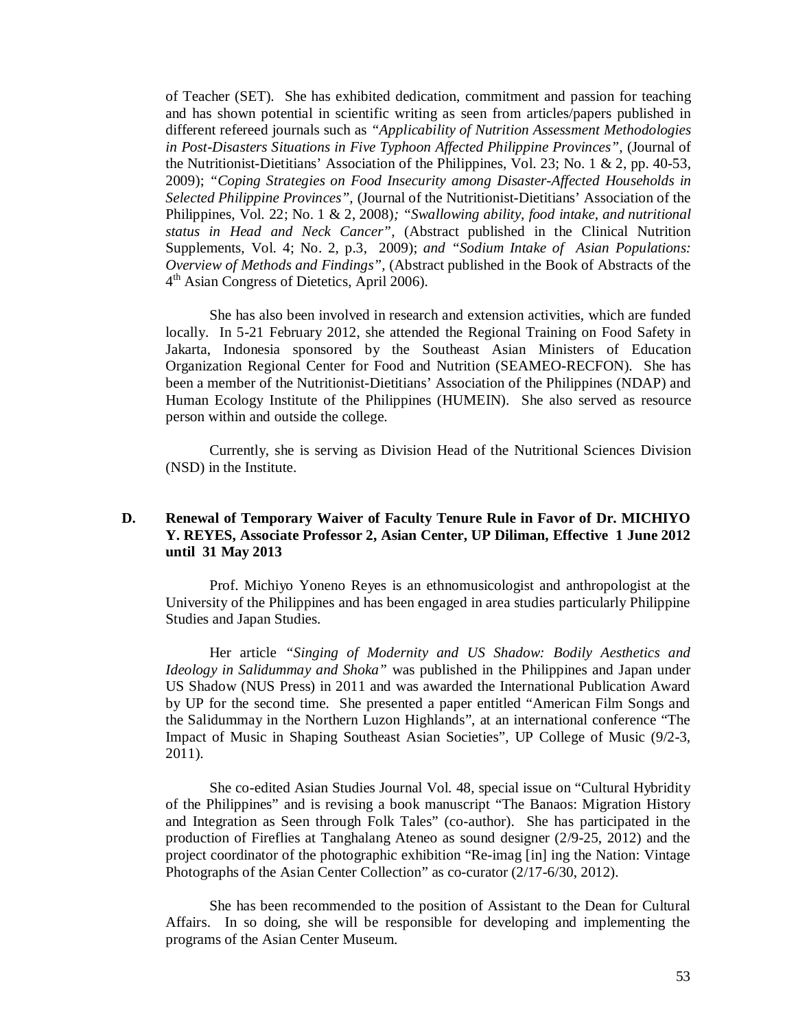of Teacher (SET). She has exhibited dedication, commitment and passion for teaching and has shown potential in scientific writing as seen from articles/papers published in different refereed journals such as *"Applicability of Nutrition Assessment Methodologies in Post-Disasters Situations in Five Typhoon Affected Philippine Provinces",* (Journal of the Nutritionist-Dietitians' Association of the Philippines, Vol. 23; No. 1 & 2, pp. 40-53, 2009); *"Coping Strategies on Food Insecurity among Disaster-Affected Households in Selected Philippine Provinces",* (Journal of the Nutritionist-Dietitians' Association of the Philippines, Vol. 22; No. 1 & 2, 2008)*; "Swallowing ability, food intake, and nutritional status in Head and Neck Cancer",* (Abstract published in the Clinical Nutrition Supplements, Vol. 4; No. 2, p.3, 2009); *and "Sodium Intake of Asian Populations: Overview of Methods and Findings",* (Abstract published in the Book of Abstracts of the 4<sup>th</sup> Asian Congress of Dietetics, April 2006).

She has also been involved in research and extension activities, which are funded locally. In 5-21 February 2012, she attended the Regional Training on Food Safety in Jakarta, Indonesia sponsored by the Southeast Asian Ministers of Education Organization Regional Center for Food and Nutrition (SEAMEO-RECFON). She has been a member of the Nutritionist-Dietitians' Association of the Philippines (NDAP) and Human Ecology Institute of the Philippines (HUMEIN). She also served as resource person within and outside the college.

Currently, she is serving as Division Head of the Nutritional Sciences Division (NSD) in the Institute.

# **D. Renewal of Temporary Waiver of Faculty Tenure Rule in Favor of Dr. MICHIYO Y. REYES, Associate Professor 2, Asian Center, UP Diliman, Effective 1 June 2012 until 31 May 2013**

Prof. Michiyo Yoneno Reyes is an ethnomusicologist and anthropologist at the University of the Philippines and has been engaged in area studies particularly Philippine Studies and Japan Studies.

Her article *"Singing of Modernity and US Shadow: Bodily Aesthetics and Ideology in Salidummay and Shoka"* was published in the Philippines and Japan under US Shadow (NUS Press) in 2011 and was awarded the International Publication Award by UP for the second time. She presented a paper entitled "American Film Songs and the Salidummay in the Northern Luzon Highlands", at an international conference "The Impact of Music in Shaping Southeast Asian Societies", UP College of Music (9/2-3, 2011).

She co-edited Asian Studies Journal Vol. 48, special issue on "Cultural Hybridity of the Philippines" and is revising a book manuscript "The Banaos: Migration History and Integration as Seen through Folk Tales" (co-author). She has participated in the production of Fireflies at Tanghalang Ateneo as sound designer (2/9-25, 2012) and the project coordinator of the photographic exhibition "Re-imag [in] ing the Nation: Vintage Photographs of the Asian Center Collection" as co-curator (2/17-6/30, 2012).

She has been recommended to the position of Assistant to the Dean for Cultural Affairs. In so doing, she will be responsible for developing and implementing the programs of the Asian Center Museum.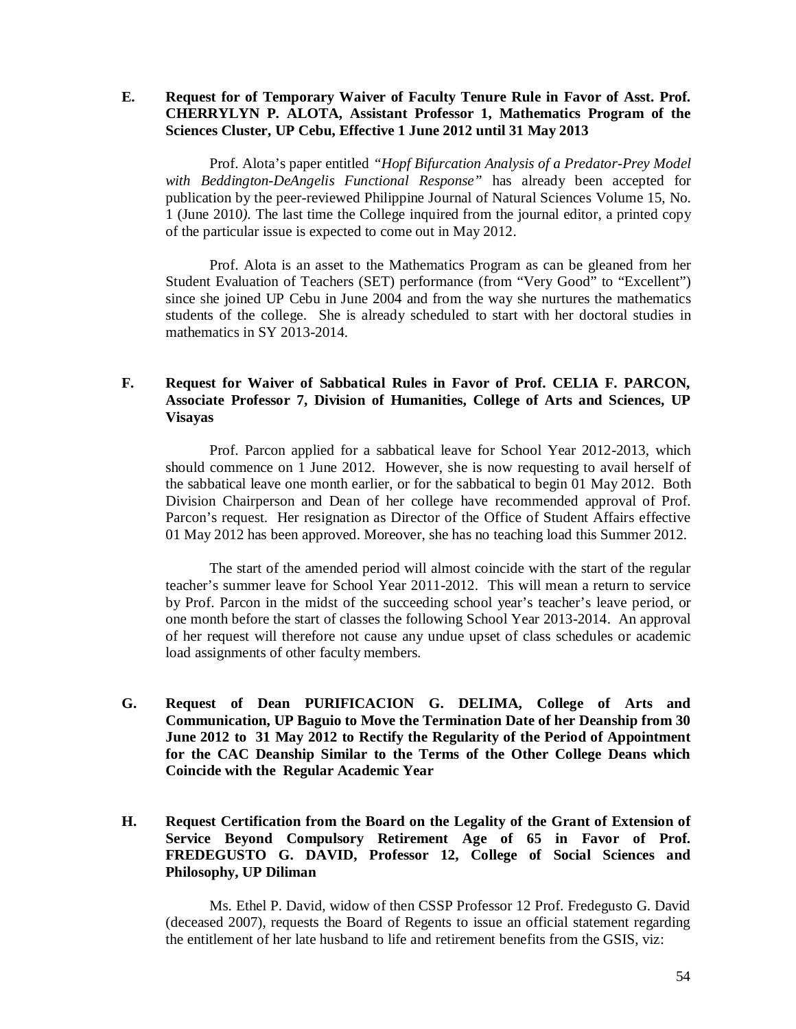**E. Request for of Temporary Waiver of Faculty Tenure Rule in Favor of Asst. Prof. CHERRYLYN P. ALOTA, Assistant Professor 1, Mathematics Program of the Sciences Cluster, UP Cebu, Effective 1 June 2012 until 31 May 2013**

Prof. Alota's paper entitled *"Hopf Bifurcation Analysis of a Predator-Prey Model with Beddington-DeAngelis Functional Response"* has already been accepted for publication by the peer-reviewed Philippine Journal of Natural Sciences Volume 15, No. 1 (June 2010*).* The last time the College inquired from the journal editor, a printed copy of the particular issue is expected to come out in May 2012.

Prof. Alota is an asset to the Mathematics Program as can be gleaned from her Student Evaluation of Teachers (SET) performance (from "Very Good" to "Excellent") since she joined UP Cebu in June 2004 and from the way she nurtures the mathematics students of the college. She is already scheduled to start with her doctoral studies in mathematics in SY 2013-2014.

# **F. Request for Waiver of Sabbatical Rules in Favor of Prof. CELIA F. PARCON, Associate Professor 7, Division of Humanities, College of Arts and Sciences, UP Visayas**

Prof. Parcon applied for a sabbatical leave for School Year 2012-2013, which should commence on 1 June 2012. However, she is now requesting to avail herself of the sabbatical leave one month earlier, or for the sabbatical to begin 01 May 2012. Both Division Chairperson and Dean of her college have recommended approval of Prof. Parcon's request. Her resignation as Director of the Office of Student Affairs effective 01 May 2012 has been approved. Moreover, she has no teaching load this Summer 2012.

The start of the amended period will almost coincide with the start of the regular teacher's summer leave for School Year 2011-2012. This will mean a return to service by Prof. Parcon in the midst of the succeeding school year's teacher's leave period, or one month before the start of classes the following School Year 2013-2014. An approval of her request will therefore not cause any undue upset of class schedules or academic load assignments of other faculty members.

- **G. Request of Dean PURIFICACION G. DELIMA, College of Arts and Communication, UP Baguio to Move the Termination Date of her Deanship from 30 June 2012 to 31 May 2012 to Rectify the Regularity of the Period of Appointment for the CAC Deanship Similar to the Terms of the Other College Deans which Coincide with the Regular Academic Year**
- **H. Request Certification from the Board on the Legality of the Grant of Extension of Service Beyond Compulsory Retirement Age of 65 in Favor of Prof. FREDEGUSTO G. DAVID, Professor 12, College of Social Sciences and Philosophy, UP Diliman**

Ms. Ethel P. David, widow of then CSSP Professor 12 Prof. Fredegusto G. David (deceased 2007), requests the Board of Regents to issue an official statement regarding the entitlement of her late husband to life and retirement benefits from the GSIS, viz: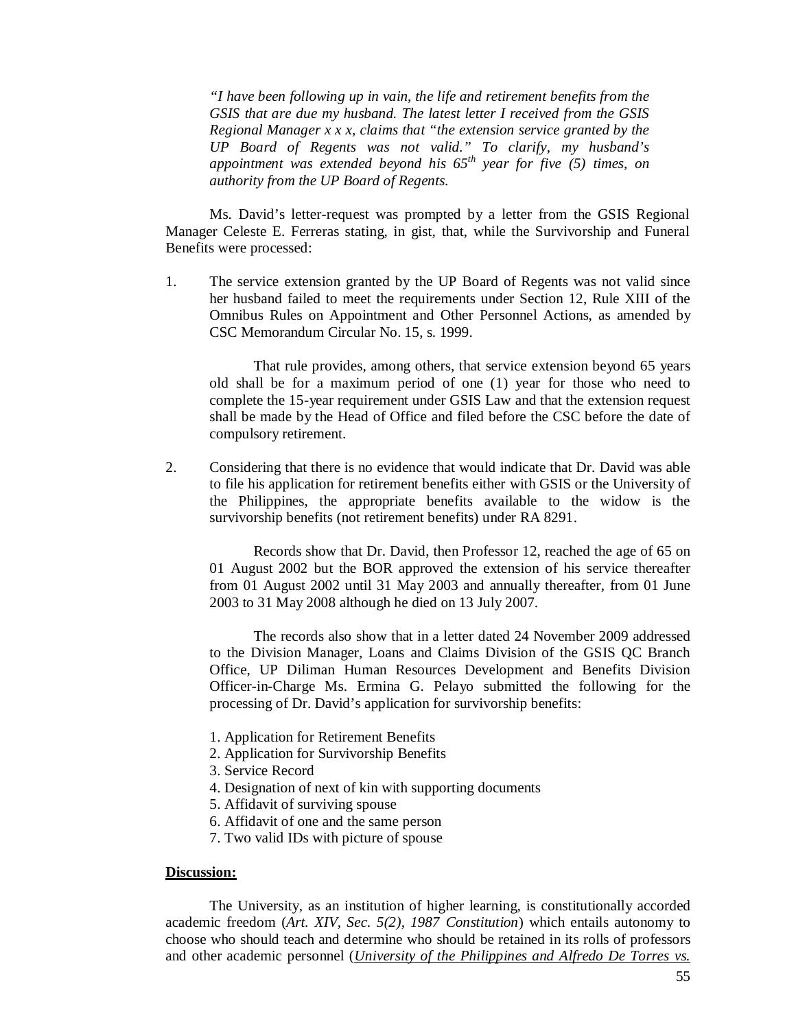*"I have been following up in vain, the life and retirement benefits from the GSIS that are due my husband. The latest letter I received from the GSIS Regional Manager x x x, claims that "the extension service granted by the UP Board of Regents was not valid." To clarify, my husband's appointment was extended beyond his 65th year for five (5) times, on authority from the UP Board of Regents.* 

Ms. David's letter-request was prompted by a letter from the GSIS Regional Manager Celeste E. Ferreras stating, in gist, that, while the Survivorship and Funeral Benefits were processed:

1. The service extension granted by the UP Board of Regents was not valid since her husband failed to meet the requirements under Section 12, Rule XIII of the Omnibus Rules on Appointment and Other Personnel Actions, as amended by CSC Memorandum Circular No. 15, s. 1999.

That rule provides, among others, that service extension beyond 65 years old shall be for a maximum period of one (1) year for those who need to complete the 15-year requirement under GSIS Law and that the extension request shall be made by the Head of Office and filed before the CSC before the date of compulsory retirement.

2. Considering that there is no evidence that would indicate that Dr. David was able to file his application for retirement benefits either with GSIS or the University of the Philippines, the appropriate benefits available to the widow is the survivorship benefits (not retirement benefits) under RA 8291.

Records show that Dr. David, then Professor 12, reached the age of 65 on 01 August 2002 but the BOR approved the extension of his service thereafter from 01 August 2002 until 31 May 2003 and annually thereafter, from 01 June 2003 to 31 May 2008 although he died on 13 July 2007.

The records also show that in a letter dated 24 November 2009 addressed to the Division Manager, Loans and Claims Division of the GSIS QC Branch Office, UP Diliman Human Resources Development and Benefits Division Officer-in-Charge Ms. Ermina G. Pelayo submitted the following for the processing of Dr. David's application for survivorship benefits:

- 1. Application for Retirement Benefits
- 2. Application for Survivorship Benefits
- 3. Service Record
- 4. Designation of next of kin with supporting documents
- 5. Affidavit of surviving spouse
- 6. Affidavit of one and the same person
- 7. Two valid IDs with picture of spouse

## **Discussion:**

The University, as an institution of higher learning, is constitutionally accorded academic freedom (*Art. XIV, Sec. 5(2), 1987 Constitution*) which entails autonomy to choose who should teach and determine who should be retained in its rolls of professors and other academic personnel (*University of the Philippines and Alfredo De Torres vs.*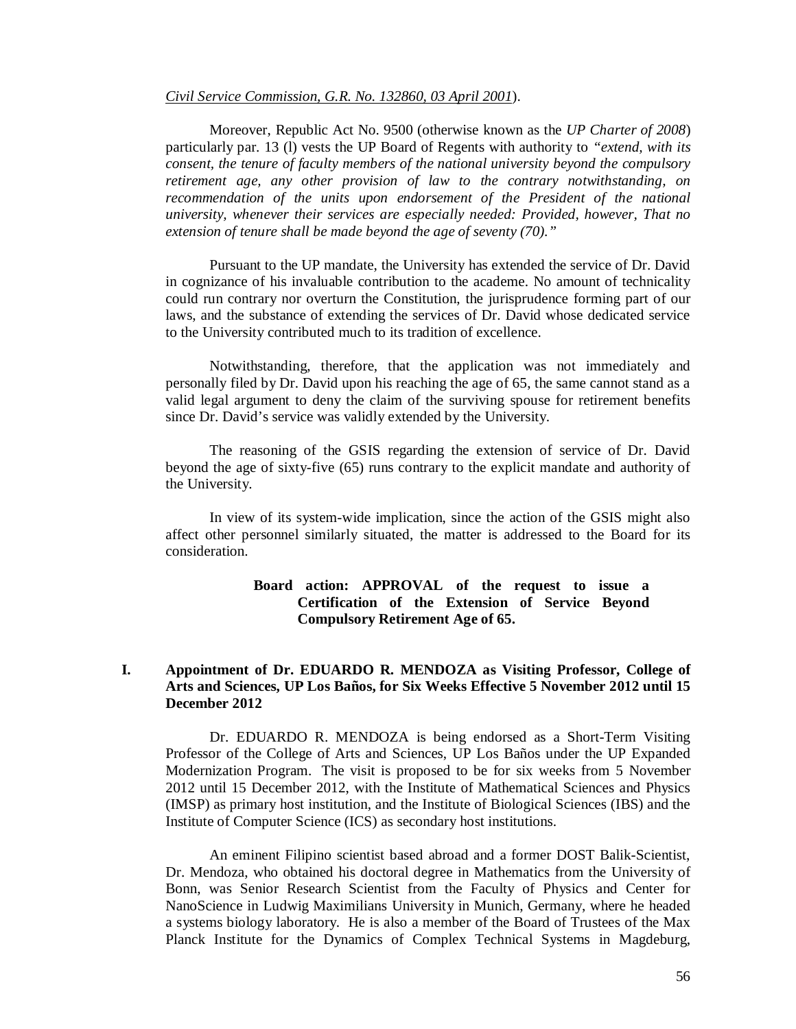#### *Civil Service Commission, G.R. No. 132860, 03 April 2001*).

Moreover, Republic Act No. 9500 (otherwise known as the *UP Charter of 2008*) particularly par. 13 (l) vests the UP Board of Regents with authority to *"extend, with its consent, the tenure of faculty members of the national university beyond the compulsory retirement age, any other provision of law to the contrary notwithstanding, on recommendation of the units upon endorsement of the President of the national university, whenever their services are especially needed: Provided, however, That no extension of tenure shall be made beyond the age of seventy (70)."*

Pursuant to the UP mandate, the University has extended the service of Dr. David in cognizance of his invaluable contribution to the academe. No amount of technicality could run contrary nor overturn the Constitution, the jurisprudence forming part of our laws, and the substance of extending the services of Dr. David whose dedicated service to the University contributed much to its tradition of excellence.

Notwithstanding, therefore, that the application was not immediately and personally filed by Dr. David upon his reaching the age of 65, the same cannot stand as a valid legal argument to deny the claim of the surviving spouse for retirement benefits since Dr. David's service was validly extended by the University.

The reasoning of the GSIS regarding the extension of service of Dr. David beyond the age of sixty-five (65) runs contrary to the explicit mandate and authority of the University.

In view of its system-wide implication, since the action of the GSIS might also affect other personnel similarly situated, the matter is addressed to the Board for its consideration.

# **Board action: APPROVAL of the request to issue a Certification of the Extension of Service Beyond Compulsory Retirement Age of 65.**

# **I. Appointment of Dr. EDUARDO R. MENDOZA as Visiting Professor, College of Arts and Sciences, UP Los Baños, for Six Weeks Effective 5 November 2012 until 15 December 2012**

Dr. EDUARDO R. MENDOZA is being endorsed as a Short-Term Visiting Professor of the College of Arts and Sciences, UP Los Baños under the UP Expanded Modernization Program. The visit is proposed to be for six weeks from 5 November 2012 until 15 December 2012, with the Institute of Mathematical Sciences and Physics (IMSP) as primary host institution, and the Institute of Biological Sciences (IBS) and the Institute of Computer Science (ICS) as secondary host institutions.

An eminent Filipino scientist based abroad and a former DOST Balik-Scientist, Dr. Mendoza, who obtained his doctoral degree in Mathematics from the University of Bonn, was Senior Research Scientist from the Faculty of Physics and Center for NanoScience in Ludwig Maximilians University in Munich, Germany, where he headed a systems biology laboratory. He is also a member of the Board of Trustees of the Max Planck Institute for the Dynamics of Complex Technical Systems in Magdeburg,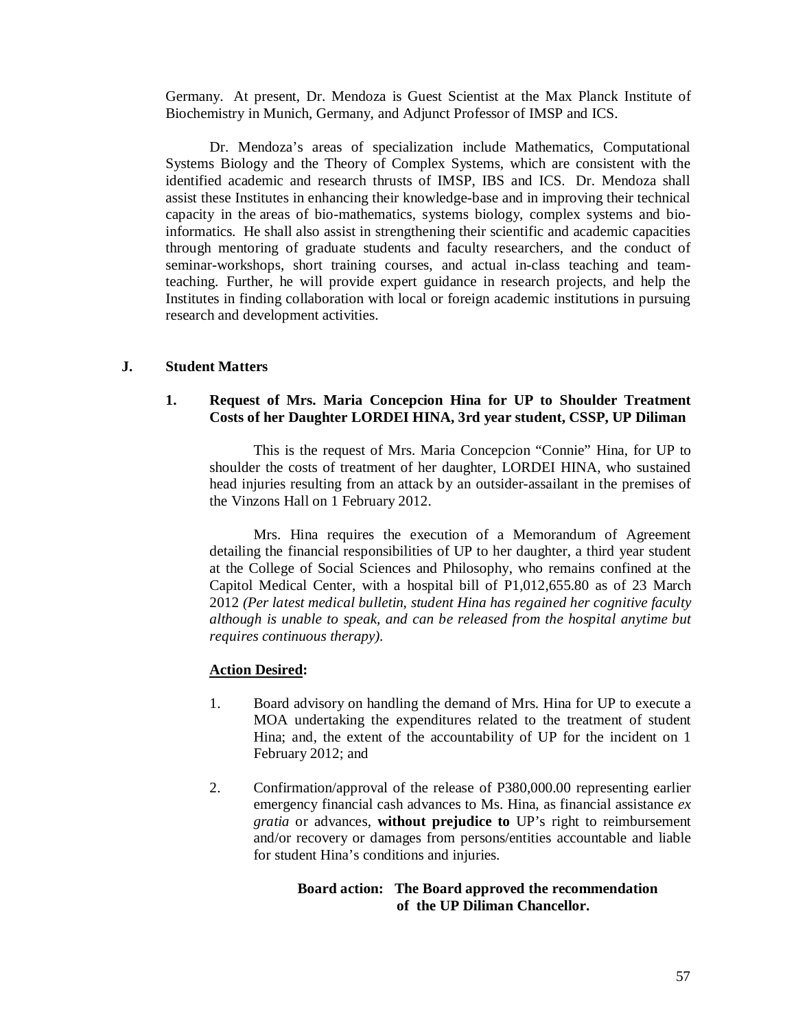Germany. At present, Dr. Mendoza is Guest Scientist at the Max Planck Institute of Biochemistry in Munich, Germany, and Adjunct Professor of IMSP and ICS.

Dr. Mendoza's areas of specialization include Mathematics, Computational Systems Biology and the Theory of Complex Systems, which are consistent with the identified academic and research thrusts of IMSP, IBS and ICS. Dr. Mendoza shall assist these Institutes in enhancing their knowledge-base and in improving their technical capacity in the areas of bio-mathematics, systems biology, complex systems and bioinformatics. He shall also assist in strengthening their scientific and academic capacities through mentoring of graduate students and faculty researchers, and the conduct of seminar-workshops, short training courses, and actual in-class teaching and teamteaching. Further, he will provide expert guidance in research projects, and help the Institutes in finding collaboration with local or foreign academic institutions in pursuing research and development activities.

# **J. Student Matters**

### **1. Request of Mrs. Maria Concepcion Hina for UP to Shoulder Treatment Costs of her Daughter LORDEI HINA, 3rd year student, CSSP, UP Diliman**

This is the request of Mrs. Maria Concepcion "Connie" Hina, for UP to shoulder the costs of treatment of her daughter, LORDEI HINA, who sustained head injuries resulting from an attack by an outsider-assailant in the premises of the Vinzons Hall on 1 February 2012.

Mrs. Hina requires the execution of a Memorandum of Agreement detailing the financial responsibilities of UP to her daughter, a third year student at the College of Social Sciences and Philosophy, who remains confined at the Capitol Medical Center, with a hospital bill of P1,012,655.80 as of 23 March 2012 *(Per latest medical bulletin, student Hina has regained her cognitive faculty although is unable to speak, and can be released from the hospital anytime but requires continuous therapy).*

#### **Action Desired:**

- 1. Board advisory on handling the demand of Mrs. Hina for UP to execute a MOA undertaking the expenditures related to the treatment of student Hina; and, the extent of the accountability of UP for the incident on 1 February 2012; and
- 2. Confirmation/approval of the release of P380,000.00 representing earlier emergency financial cash advances to Ms. Hina, as financial assistance *ex gratia* or advances, **without prejudice to** UP's right to reimbursement and/or recovery or damages from persons/entities accountable and liable for student Hina's conditions and injuries.

# **Board action: The Board approved the recommendation of the UP Diliman Chancellor.**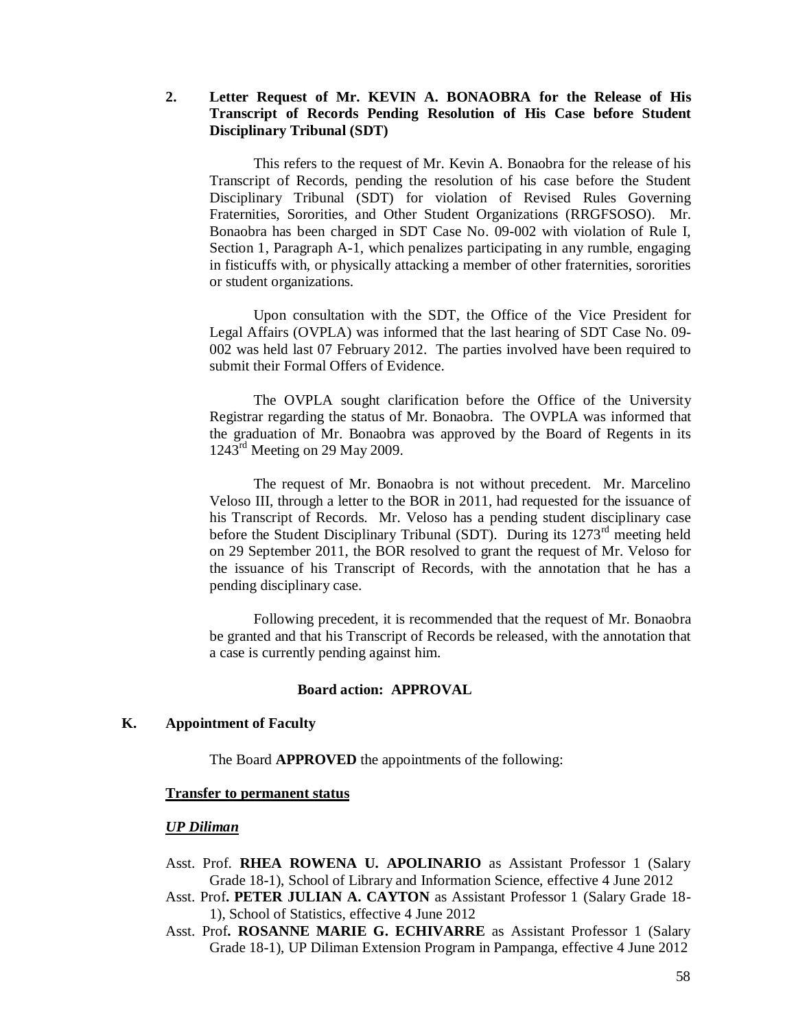# **2. Letter Request of Mr. KEVIN A. BONAOBRA for the Release of His Transcript of Records Pending Resolution of His Case before Student Disciplinary Tribunal (SDT)**

This refers to the request of Mr. Kevin A. Bonaobra for the release of his Transcript of Records, pending the resolution of his case before the Student Disciplinary Tribunal (SDT) for violation of Revised Rules Governing Fraternities, Sororities, and Other Student Organizations (RRGFSOSO). Mr. Bonaobra has been charged in SDT Case No. 09-002 with violation of Rule I, Section 1, Paragraph A-1, which penalizes participating in any rumble, engaging in fisticuffs with, or physically attacking a member of other fraternities, sororities or student organizations.

Upon consultation with the SDT, the Office of the Vice President for Legal Affairs (OVPLA) was informed that the last hearing of SDT Case No. 09- 002 was held last 07 February 2012. The parties involved have been required to submit their Formal Offers of Evidence.

The OVPLA sought clarification before the Office of the University Registrar regarding the status of Mr. Bonaobra. The OVPLA was informed that the graduation of Mr. Bonaobra was approved by the Board of Regents in its  $1243^{\text{rd}}$  Meeting on 29 May 2009.

The request of Mr. Bonaobra is not without precedent. Mr. Marcelino Veloso III, through a letter to the BOR in 2011, had requested for the issuance of his Transcript of Records. Mr. Veloso has a pending student disciplinary case before the Student Disciplinary Tribunal (SDT). During its 1273<sup>rd</sup> meeting held on 29 September 2011, the BOR resolved to grant the request of Mr. Veloso for the issuance of his Transcript of Records, with the annotation that he has a pending disciplinary case.

Following precedent, it is recommended that the request of Mr. Bonaobra be granted and that his Transcript of Records be released, with the annotation that a case is currently pending against him.

#### **Board action: APPROVAL**

# **K. Appointment of Faculty**

The Board **APPROVED** the appointments of the following:

# **Transfer to permanent status**

#### *UP Diliman*

- Asst. Prof. **RHEA ROWENA U. APOLINARIO** as Assistant Professor 1 (Salary Grade 18-1), School of Library and Information Science, effective 4 June 2012
- Asst. Prof**. PETER JULIAN A. CAYTON** as Assistant Professor 1 (Salary Grade 18- 1), School of Statistics, effective 4 June 2012
- Asst. Prof**. ROSANNE MARIE G. ECHIVARRE** as Assistant Professor 1 (Salary Grade 18-1), UP Diliman Extension Program in Pampanga, effective 4 June 2012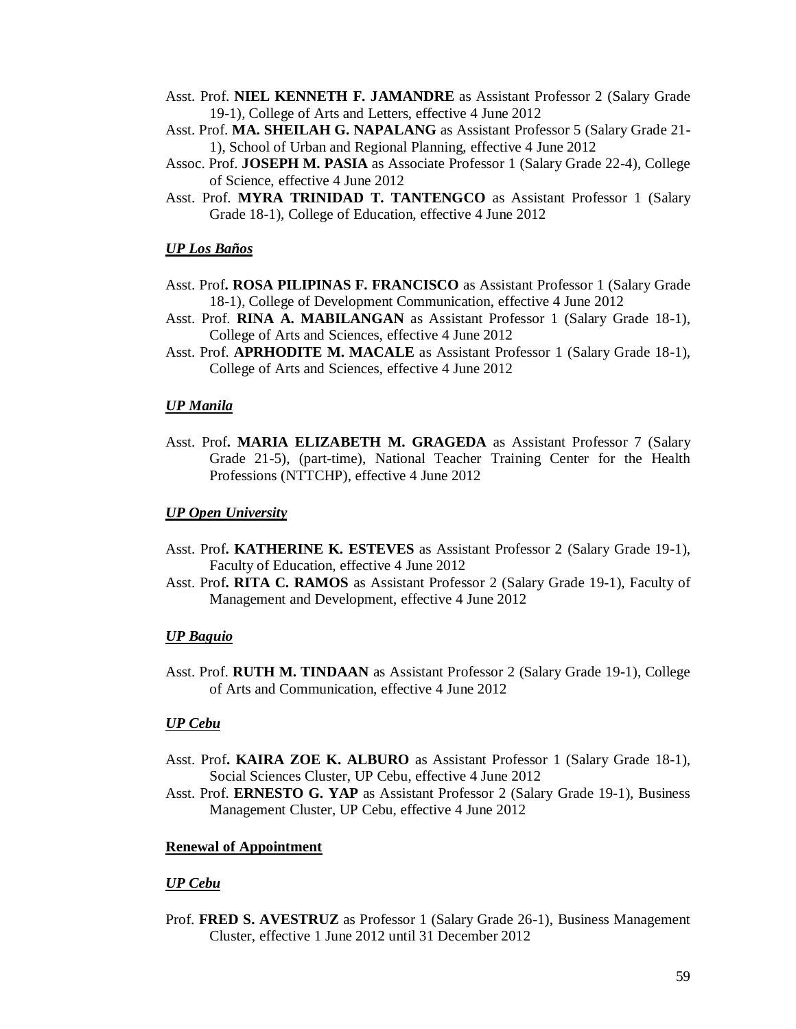- Asst. Prof. **NIEL KENNETH F. JAMANDRE** as Assistant Professor 2 (Salary Grade 19-1), College of Arts and Letters, effective 4 June 2012
- Asst. Prof. **MA. SHEILAH G. NAPALANG** as Assistant Professor 5 (Salary Grade 21- 1), School of Urban and Regional Planning, effective 4 June 2012
- Assoc. Prof. **JOSEPH M. PASIA** as Associate Professor 1 (Salary Grade 22-4), College of Science, effective 4 June 2012
- Asst. Prof. **MYRA TRINIDAD T. TANTENGCO** as Assistant Professor 1 (Salary Grade 18-1), College of Education, effective 4 June 2012

#### *UP Los Baños*

- Asst. Prof**. ROSA PILIPINAS F. FRANCISCO** as Assistant Professor 1 (Salary Grade 18-1), College of Development Communication, effective 4 June 2012
- Asst. Prof. **RINA A. MABILANGAN** as Assistant Professor 1 (Salary Grade 18-1), College of Arts and Sciences, effective 4 June 2012
- Asst. Prof. **APRHODITE M. MACALE** as Assistant Professor 1 (Salary Grade 18-1), College of Arts and Sciences, effective 4 June 2012

#### *UP Manila*

Asst. Prof**. MARIA ELIZABETH M. GRAGEDA** as Assistant Professor 7 (Salary Grade 21-5), (part-time), National Teacher Training Center for the Health Professions (NTTCHP), effective 4 June 2012

#### *UP Open University*

- Asst. Prof**. KATHERINE K. ESTEVES** as Assistant Professor 2 (Salary Grade 19-1), Faculty of Education, effective 4 June 2012
- Asst. Prof**. RITA C. RAMOS** as Assistant Professor 2 (Salary Grade 19-1), Faculty of Management and Development, effective 4 June 2012

#### *UP Baguio*

Asst. Prof. **RUTH M. TINDAAN** as Assistant Professor 2 (Salary Grade 19-1), College of Arts and Communication, effective 4 June 2012

#### *UP Cebu*

- Asst. Prof**. KAIRA ZOE K. ALBURO** as Assistant Professor 1 (Salary Grade 18-1), Social Sciences Cluster, UP Cebu, effective 4 June 2012
- Asst. Prof. **ERNESTO G. YAP** as Assistant Professor 2 (Salary Grade 19-1), Business Management Cluster, UP Cebu, effective 4 June 2012

#### **Renewal of Appointment**

#### *UP Cebu*

Prof. **FRED S. AVESTRUZ** as Professor 1 (Salary Grade 26-1), Business Management Cluster, effective 1 June 2012 until 31 December 2012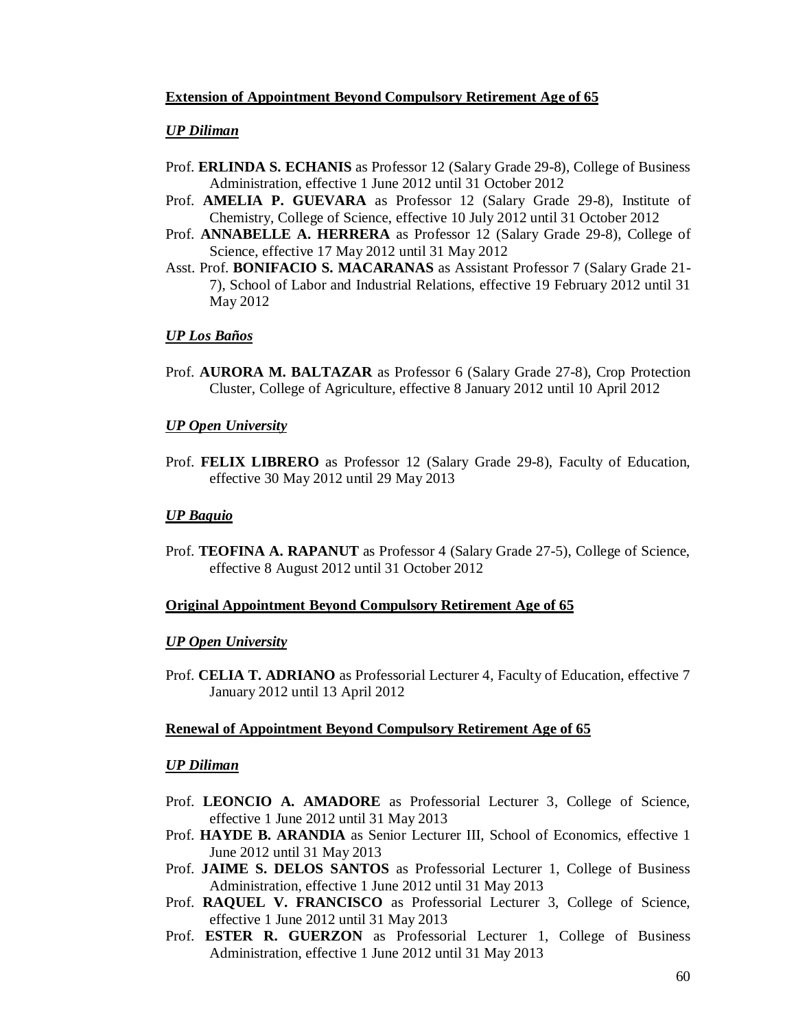# **Extension of Appointment Beyond Compulsory Retirement Age of 65**

# *UP Diliman*

- Prof. **ERLINDA S. ECHANIS** as Professor 12 (Salary Grade 29-8), College of Business Administration, effective 1 June 2012 until 31 October 2012
- Prof. **AMELIA P. GUEVARA** as Professor 12 (Salary Grade 29-8), Institute of Chemistry, College of Science, effective 10 July 2012 until 31 October 2012
- Prof. **ANNABELLE A. HERRERA** as Professor 12 (Salary Grade 29-8), College of Science, effective 17 May 2012 until 31 May 2012
- Asst. Prof. **BONIFACIO S. MACARANAS** as Assistant Professor 7 (Salary Grade 21- 7), School of Labor and Industrial Relations, effective 19 February 2012 until 31 May 2012

# *UP Los Baños*

Prof. **AURORA M. BALTAZAR** as Professor 6 (Salary Grade 27-8), Crop Protection Cluster, College of Agriculture, effective 8 January 2012 until 10 April 2012

# *UP Open University*

Prof. **FELIX LIBRERO** as Professor 12 (Salary Grade 29-8), Faculty of Education, effective 30 May 2012 until 29 May 2013

# *UP Baguio*

Prof. **TEOFINA A. RAPANUT** as Professor 4 (Salary Grade 27-5), College of Science, effective 8 August 2012 until 31 October 2012

# **Original Appointment Beyond Compulsory Retirement Age of 65**

# *UP Open University*

Prof. **CELIA T. ADRIANO** as Professorial Lecturer 4, Faculty of Education, effective 7 January 2012 until 13 April 2012

# **Renewal of Appointment Beyond Compulsory Retirement Age of 65**

# *UP Diliman*

- Prof. **LEONCIO A. AMADORE** as Professorial Lecturer 3, College of Science, effective 1 June 2012 until 31 May 2013
- Prof. **HAYDE B. ARANDIA** as Senior Lecturer III, School of Economics, effective 1 June 2012 until 31 May 2013
- Prof. **JAIME S. DELOS SANTOS** as Professorial Lecturer 1, College of Business Administration, effective 1 June 2012 until 31 May 2013
- Prof. **RAQUEL V. FRANCISCO** as Professorial Lecturer 3, College of Science, effective 1 June 2012 until 31 May 2013
- Prof. **ESTER R. GUERZON** as Professorial Lecturer 1, College of Business Administration, effective 1 June 2012 until 31 May 2013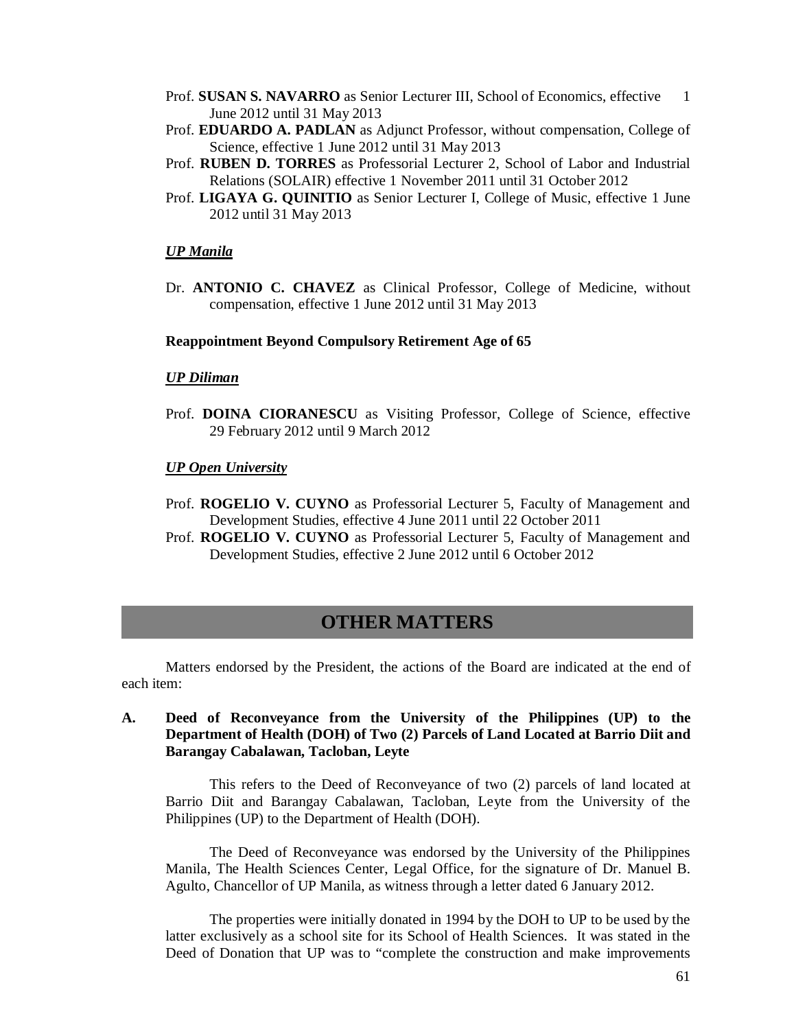- Prof. **SUSAN S. NAVARRO** as Senior Lecturer III, School of Economics, effective 1 June 2012 until 31 May 2013
- Prof. **EDUARDO A. PADLAN** as Adjunct Professor, without compensation, College of Science, effective 1 June 2012 until 31 May 2013
- Prof. **RUBEN D. TORRES** as Professorial Lecturer 2, School of Labor and Industrial Relations (SOLAIR) effective 1 November 2011 until 31 October 2012
- Prof. **LIGAYA G. QUINITIO** as Senior Lecturer I, College of Music, effective 1 June 2012 until 31 May 2013

#### *UP Manila*

Dr. **ANTONIO C. CHAVEZ** as Clinical Professor, College of Medicine, without compensation, effective 1 June 2012 until 31 May 2013

#### **Reappointment Beyond Compulsory Retirement Age of 65**

#### *UP Diliman*

Prof. **DOINA CIORANESCU** as Visiting Professor, College of Science, effective 29 February 2012 until 9 March 2012

#### *UP Open University*

- Prof. **ROGELIO V. CUYNO** as Professorial Lecturer 5, Faculty of Management and Development Studies, effective 4 June 2011 until 22 October 2011
- Prof. **ROGELIO V. CUYNO** as Professorial Lecturer 5, Faculty of Management and Development Studies, effective 2 June 2012 until 6 October 2012

# **OTHER MATTERS**

Matters endorsed by the President, the actions of the Board are indicated at the end of each item:

# **A. Deed of Reconveyance from the University of the Philippines (UP) to the Department of Health (DOH) of Two (2) Parcels of Land Located at Barrio Diit and Barangay Cabalawan, Tacloban, Leyte**

This refers to the Deed of Reconveyance of two (2) parcels of land located at Barrio Diit and Barangay Cabalawan, Tacloban, Leyte from the University of the Philippines (UP) to the Department of Health (DOH).

The Deed of Reconveyance was endorsed by the University of the Philippines Manila, The Health Sciences Center, Legal Office, for the signature of Dr. Manuel B. Agulto, Chancellor of UP Manila, as witness through a letter dated 6 January 2012.

The properties were initially donated in 1994 by the DOH to UP to be used by the latter exclusively as a school site for its School of Health Sciences. It was stated in the Deed of Donation that UP was to "complete the construction and make improvements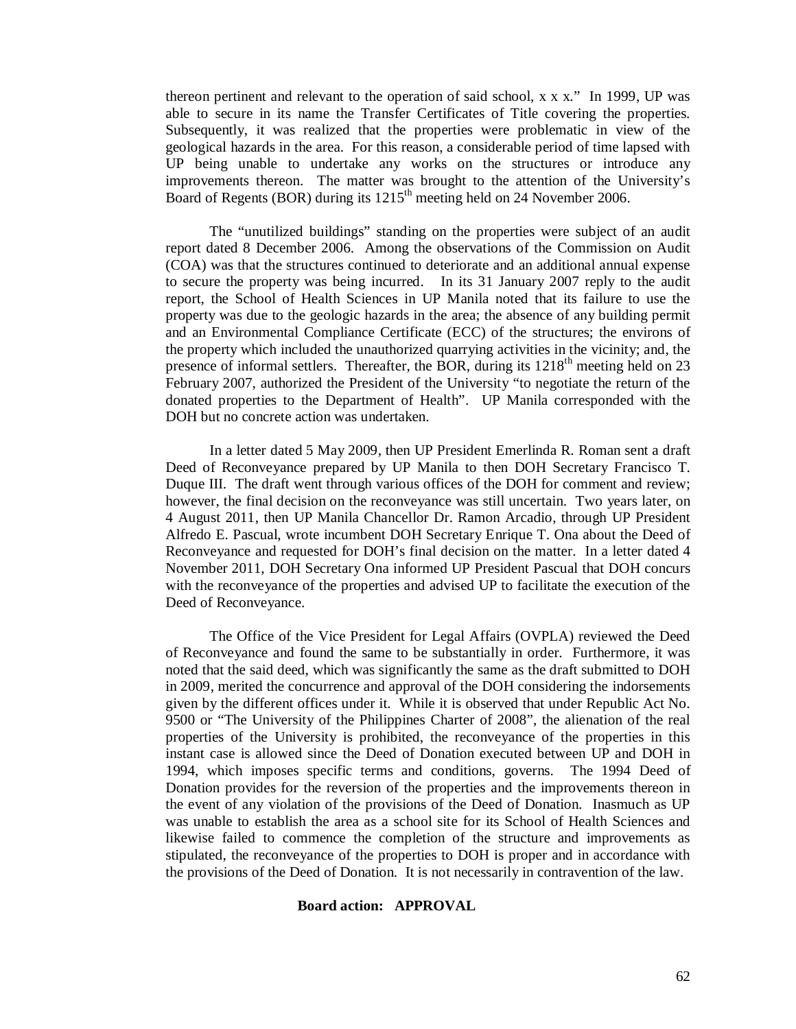thereon pertinent and relevant to the operation of said school, x x x." In 1999, UP was able to secure in its name the Transfer Certificates of Title covering the properties. Subsequently, it was realized that the properties were problematic in view of the geological hazards in the area. For this reason, a considerable period of time lapsed with UP being unable to undertake any works on the structures or introduce any improvements thereon. The matter was brought to the attention of the University's Board of Regents (BOR) during its 1215<sup>th</sup> meeting held on 24 November 2006.

The "unutilized buildings" standing on the properties were subject of an audit report dated 8 December 2006. Among the observations of the Commission on Audit (COA) was that the structures continued to deteriorate and an additional annual expense to secure the property was being incurred. In its 31 January 2007 reply to the audit report, the School of Health Sciences in UP Manila noted that its failure to use the property was due to the geologic hazards in the area; the absence of any building permit and an Environmental Compliance Certificate (ECC) of the structures; the environs of the property which included the unauthorized quarrying activities in the vicinity; and, the presence of informal settlers. Thereafter, the BOR, during its  $1218<sup>th</sup>$  meeting held on 23 February 2007, authorized the President of the University "to negotiate the return of the donated properties to the Department of Health". UP Manila corresponded with the DOH but no concrete action was undertaken.

In a letter dated 5 May 2009, then UP President Emerlinda R. Roman sent a draft Deed of Reconveyance prepared by UP Manila to then DOH Secretary Francisco T. Duque III. The draft went through various offices of the DOH for comment and review; however, the final decision on the reconveyance was still uncertain. Two years later, on 4 August 2011, then UP Manila Chancellor Dr. Ramon Arcadio, through UP President Alfredo E. Pascual, wrote incumbent DOH Secretary Enrique T. Ona about the Deed of Reconveyance and requested for DOH's final decision on the matter. In a letter dated 4 November 2011, DOH Secretary Ona informed UP President Pascual that DOH concurs with the reconveyance of the properties and advised UP to facilitate the execution of the Deed of Reconveyance.

The Office of the Vice President for Legal Affairs (OVPLA) reviewed the Deed of Reconveyance and found the same to be substantially in order. Furthermore, it was noted that the said deed, which was significantly the same as the draft submitted to DOH in 2009, merited the concurrence and approval of the DOH considering the indorsements given by the different offices under it. While it is observed that under Republic Act No. 9500 or "The University of the Philippines Charter of 2008", the alienation of the real properties of the University is prohibited, the reconveyance of the properties in this instant case is allowed since the Deed of Donation executed between UP and DOH in 1994, which imposes specific terms and conditions, governs. The 1994 Deed of Donation provides for the reversion of the properties and the improvements thereon in the event of any violation of the provisions of the Deed of Donation. Inasmuch as UP was unable to establish the area as a school site for its School of Health Sciences and likewise failed to commence the completion of the structure and improvements as stipulated, the reconveyance of the properties to DOH is proper and in accordance with the provisions of the Deed of Donation. It is not necessarily in contravention of the law.

# **Board action: APPROVAL**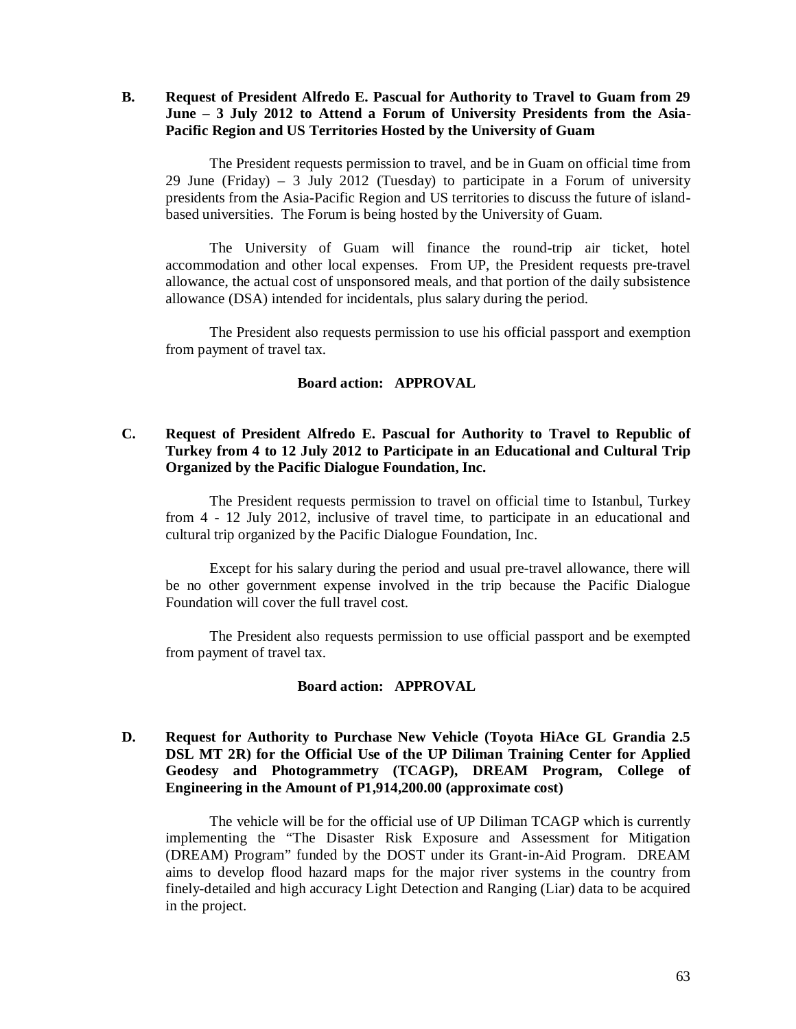**B. Request of President Alfredo E. Pascual for Authority to Travel to Guam from 29 June – 3 July 2012 to Attend a Forum of University Presidents from the Asia-Pacific Region and US Territories Hosted by the University of Guam**

The President requests permission to travel, and be in Guam on official time from 29 June (Friday) – 3 July 2012 (Tuesday) to participate in a Forum of university presidents from the Asia-Pacific Region and US territories to discuss the future of islandbased universities. The Forum is being hosted by the University of Guam.

The University of Guam will finance the round-trip air ticket, hotel accommodation and other local expenses. From UP, the President requests pre-travel allowance, the actual cost of unsponsored meals, and that portion of the daily subsistence allowance (DSA) intended for incidentals, plus salary during the period.

The President also requests permission to use his official passport and exemption from payment of travel tax.

### **Board action: APPROVAL**

# **C. Request of President Alfredo E. Pascual for Authority to Travel to Republic of Turkey from 4 to 12 July 2012 to Participate in an Educational and Cultural Trip Organized by the Pacific Dialogue Foundation, Inc.**

The President requests permission to travel on official time to Istanbul, Turkey from 4 - 12 July 2012, inclusive of travel time, to participate in an educational and cultural trip organized by the Pacific Dialogue Foundation, Inc.

Except for his salary during the period and usual pre-travel allowance, there will be no other government expense involved in the trip because the Pacific Dialogue Foundation will cover the full travel cost.

The President also requests permission to use official passport and be exempted from payment of travel tax.

### **Board action: APPROVAL**

# **D. Request for Authority to Purchase New Vehicle (Toyota HiAce GL Grandia 2.5 DSL MT 2R) for the Official Use of the UP Diliman Training Center for Applied Geodesy and Photogrammetry (TCAGP), DREAM Program, College of Engineering in the Amount of P1,914,200.00 (approximate cost)**

The vehicle will be for the official use of UP Diliman TCAGP which is currently implementing the "The Disaster Risk Exposure and Assessment for Mitigation (DREAM) Program" funded by the DOST under its Grant-in-Aid Program. DREAM aims to develop flood hazard maps for the major river systems in the country from finely-detailed and high accuracy Light Detection and Ranging (Liar) data to be acquired in the project.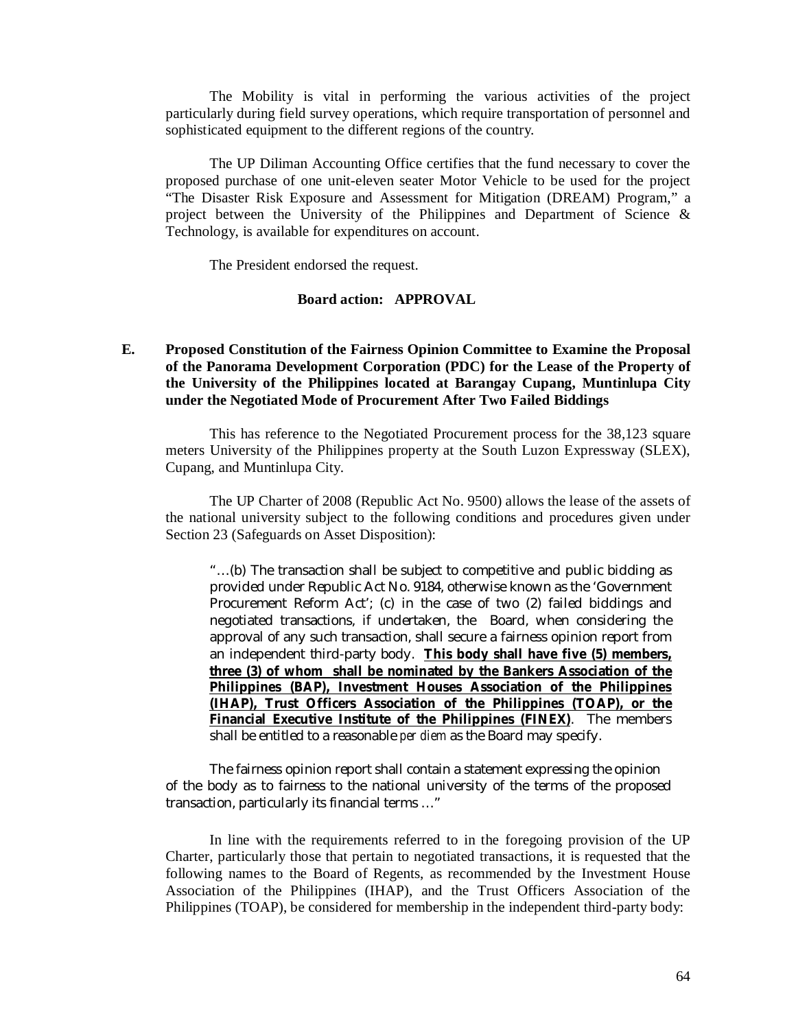The Mobility is vital in performing the various activities of the project particularly during field survey operations, which require transportation of personnel and sophisticated equipment to the different regions of the country.

The UP Diliman Accounting Office certifies that the fund necessary to cover the proposed purchase of one unit-eleven seater Motor Vehicle to be used for the project "The Disaster Risk Exposure and Assessment for Mitigation (DREAM) Program," a project between the University of the Philippines and Department of Science & Technology, is available for expenditures on account.

The President endorsed the request.

### **Board action: APPROVAL**

# **E. Proposed Constitution of the Fairness Opinion Committee to Examine the Proposal of the Panorama Development Corporation (PDC) for the Lease of the Property of the University of the Philippines located at Barangay Cupang, Muntinlupa City under the Negotiated Mode of Procurement After Two Failed Biddings**

This has reference to the Negotiated Procurement process for the 38,123 square meters University of the Philippines property at the South Luzon Expressway (SLEX), Cupang, and Muntinlupa City.

The UP Charter of 2008 (Republic Act No. 9500) allows the lease of the assets of the national university subject to the following conditions and procedures given under Section 23 (Safeguards on Asset Disposition):

"…(b) The transaction shall be subject to competitive and public bidding as provided under Republic Act No. 9184, otherwise known as the 'Government Procurement Reform Act'; (c) in the case of two (2) failed biddings and negotiated transactions, if undertaken, the Board, when considering the approval of any such transaction, shall secure a fairness opinion report from an independent third-party body. **This body shall have five (5) members, three (3) of whom shall be nominated by the Bankers Association of the Philippines (BAP), Investment Houses Association of the Philippines (IHAP), Trust Officers Association of the Philippines (TOAP), or the Financial Executive Institute of the Philippines (FINEX)**. The members shall be entitled to a reasonable *per diem* as the Board may specify.

The fairness opinion report shall contain a statement expressing the opinion of the body as to fairness to the national university of the terms of the proposed transaction, particularly its financial terms …"

In line with the requirements referred to in the foregoing provision of the UP Charter, particularly those that pertain to negotiated transactions, it is requested that the following names to the Board of Regents, as recommended by the Investment House Association of the Philippines (IHAP), and the Trust Officers Association of the Philippines (TOAP), be considered for membership in the independent third-party body: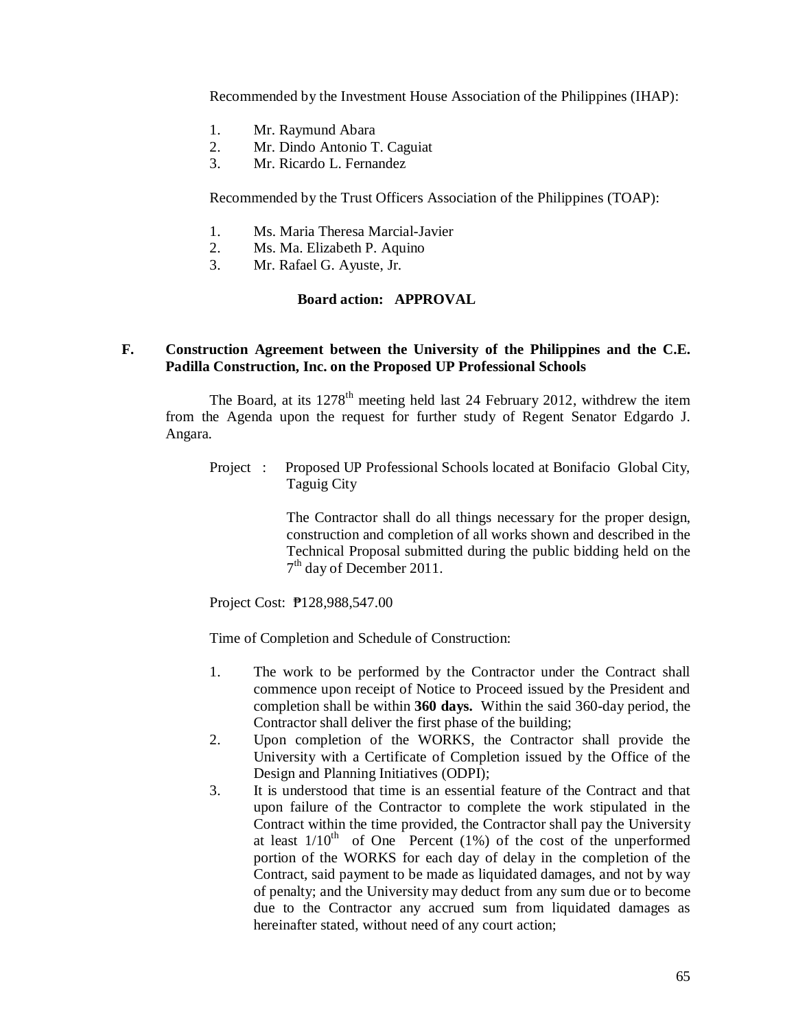Recommended by the Investment House Association of the Philippines (IHAP):

- 1. Mr. Raymund Abara
- 2. Mr. Dindo Antonio T. Caguiat
- 3. Mr. Ricardo L. Fernandez

Recommended by the Trust Officers Association of the Philippines (TOAP):

- 1. Ms. Maria Theresa Marcial-Javier
- 2. Ms. Ma. Elizabeth P. Aquino
- 3. Mr. Rafael G. Ayuste, Jr.

# **Board action: APPROVAL**

### **F. Construction Agreement between the University of the Philippines and the C.E. Padilla Construction, Inc. on the Proposed UP Professional Schools**

The Board, at its  $1278<sup>th</sup>$  meeting held last 24 February 2012, withdrew the item from the Agenda upon the request for further study of Regent Senator Edgardo J. Angara.

Project : Proposed UP Professional Schools located at Bonifacio Global City, Taguig City

> The Contractor shall do all things necessary for the proper design, construction and completion of all works shown and described in the Technical Proposal submitted during the public bidding held on the 7<sup>th</sup> day of December 2011.

Project Cost: ₱128,988,547.00

Time of Completion and Schedule of Construction:

- 1. The work to be performed by the Contractor under the Contract shall commence upon receipt of Notice to Proceed issued by the President and completion shall be within **360 days.** Within the said 360-day period, the Contractor shall deliver the first phase of the building;
- 2. Upon completion of the WORKS, the Contractor shall provide the University with a Certificate of Completion issued by the Office of the Design and Planning Initiatives (ODPI);
- 3. It is understood that time is an essential feature of the Contract and that upon failure of the Contractor to complete the work stipulated in the Contract within the time provided, the Contractor shall pay the University at least  $1/10^{th}$  of One Percent (1%) of the cost of the unperformed portion of the WORKS for each day of delay in the completion of the Contract, said payment to be made as liquidated damages, and not by way of penalty; and the University may deduct from any sum due or to become due to the Contractor any accrued sum from liquidated damages as hereinafter stated, without need of any court action;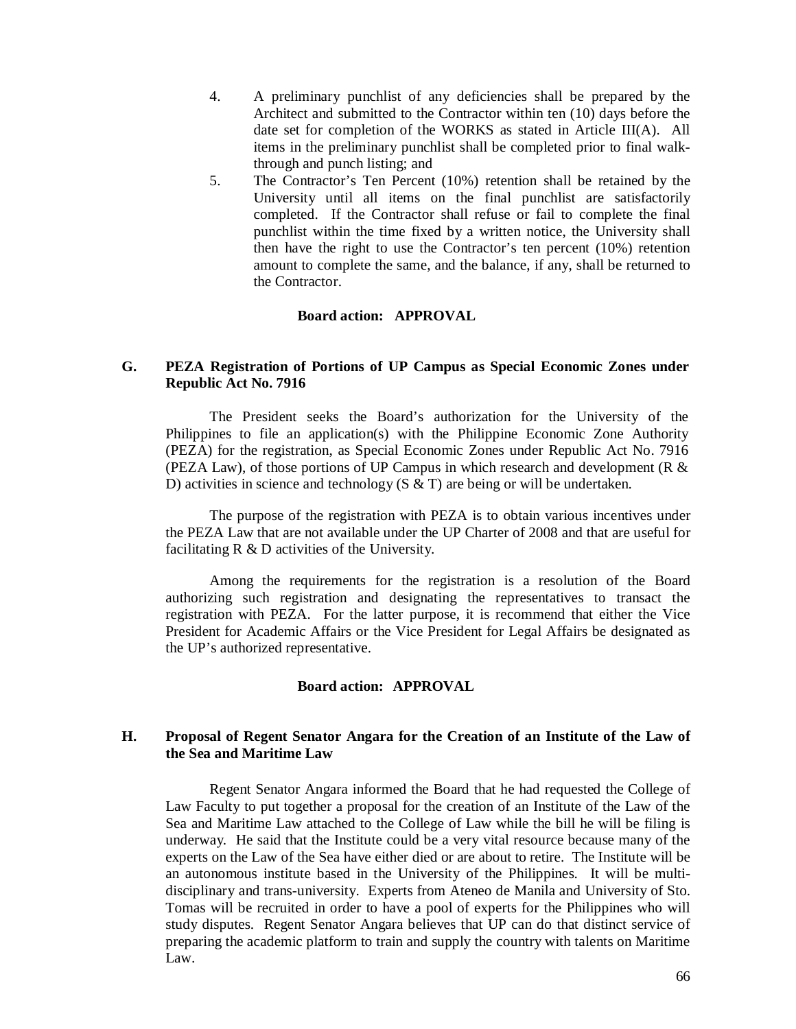- 4. A preliminary punchlist of any deficiencies shall be prepared by the Architect and submitted to the Contractor within ten (10) days before the date set for completion of the WORKS as stated in Article III(A). All items in the preliminary punchlist shall be completed prior to final walkthrough and punch listing; and
- 5. The Contractor's Ten Percent (10%) retention shall be retained by the University until all items on the final punchlist are satisfactorily completed. If the Contractor shall refuse or fail to complete the final punchlist within the time fixed by a written notice, the University shall then have the right to use the Contractor's ten percent (10%) retention amount to complete the same, and the balance, if any, shall be returned to the Contractor.

### **Board action: APPROVAL**

# **G. PEZA Registration of Portions of UP Campus as Special Economic Zones under Republic Act No. 7916**

The President seeks the Board's authorization for the University of the Philippines to file an application(s) with the Philippine Economic Zone Authority (PEZA) for the registration, as Special Economic Zones under Republic Act No. 7916 (PEZA Law), of those portions of UP Campus in which research and development (R & D) activities in science and technology (S & T) are being or will be undertaken.

The purpose of the registration with PEZA is to obtain various incentives under the PEZA Law that are not available under the UP Charter of 2008 and that are useful for facilitating R & D activities of the University.

Among the requirements for the registration is a resolution of the Board authorizing such registration and designating the representatives to transact the registration with PEZA. For the latter purpose, it is recommend that either the Vice President for Academic Affairs or the Vice President for Legal Affairs be designated as the UP's authorized representative.

# **Board action: APPROVAL**

# **H. Proposal of Regent Senator Angara for the Creation of an Institute of the Law of the Sea and Maritime Law**

Regent Senator Angara informed the Board that he had requested the College of Law Faculty to put together a proposal for the creation of an Institute of the Law of the Sea and Maritime Law attached to the College of Law while the bill he will be filing is underway. He said that the Institute could be a very vital resource because many of the experts on the Law of the Sea have either died or are about to retire. The Institute will be an autonomous institute based in the University of the Philippines. It will be multidisciplinary and trans-university. Experts from Ateneo de Manila and University of Sto. Tomas will be recruited in order to have a pool of experts for the Philippines who will study disputes. Regent Senator Angara believes that UP can do that distinct service of preparing the academic platform to train and supply the country with talents on Maritime Law.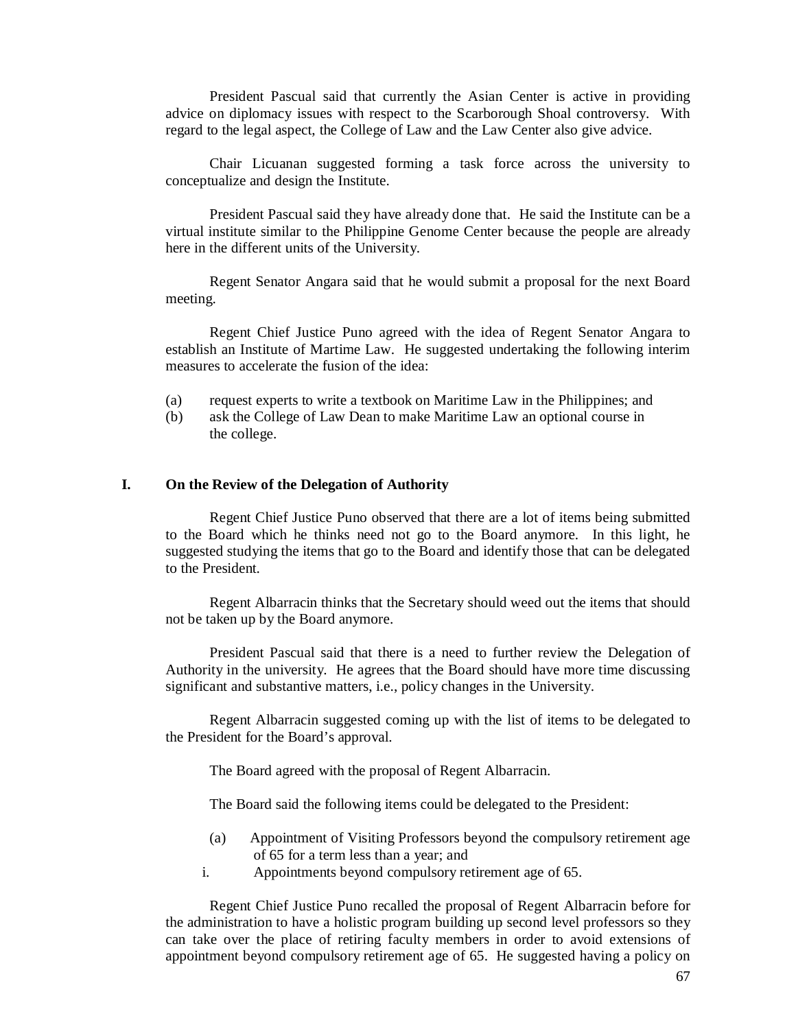President Pascual said that currently the Asian Center is active in providing advice on diplomacy issues with respect to the Scarborough Shoal controversy. With regard to the legal aspect, the College of Law and the Law Center also give advice.

Chair Licuanan suggested forming a task force across the university to conceptualize and design the Institute.

President Pascual said they have already done that. He said the Institute can be a virtual institute similar to the Philippine Genome Center because the people are already here in the different units of the University.

Regent Senator Angara said that he would submit a proposal for the next Board meeting.

Regent Chief Justice Puno agreed with the idea of Regent Senator Angara to establish an Institute of Martime Law. He suggested undertaking the following interim measures to accelerate the fusion of the idea:

- (a) request experts to write a textbook on Maritime Law in the Philippines; and
- (b) ask the College of Law Dean to make Maritime Law an optional course in the college.

#### **I. On the Review of the Delegation of Authority**

Regent Chief Justice Puno observed that there are a lot of items being submitted to the Board which he thinks need not go to the Board anymore. In this light, he suggested studying the items that go to the Board and identify those that can be delegated to the President.

Regent Albarracin thinks that the Secretary should weed out the items that should not be taken up by the Board anymore.

President Pascual said that there is a need to further review the Delegation of Authority in the university. He agrees that the Board should have more time discussing significant and substantive matters, i.e., policy changes in the University.

Regent Albarracin suggested coming up with the list of items to be delegated to the President for the Board's approval.

The Board agreed with the proposal of Regent Albarracin.

The Board said the following items could be delegated to the President:

- (a) Appointment of Visiting Professors beyond the compulsory retirement age of 65 for a term less than a year; and
- i. Appointments beyond compulsory retirement age of 65.

Regent Chief Justice Puno recalled the proposal of Regent Albarracin before for the administration to have a holistic program building up second level professors so they can take over the place of retiring faculty members in order to avoid extensions of appointment beyond compulsory retirement age of 65. He suggested having a policy on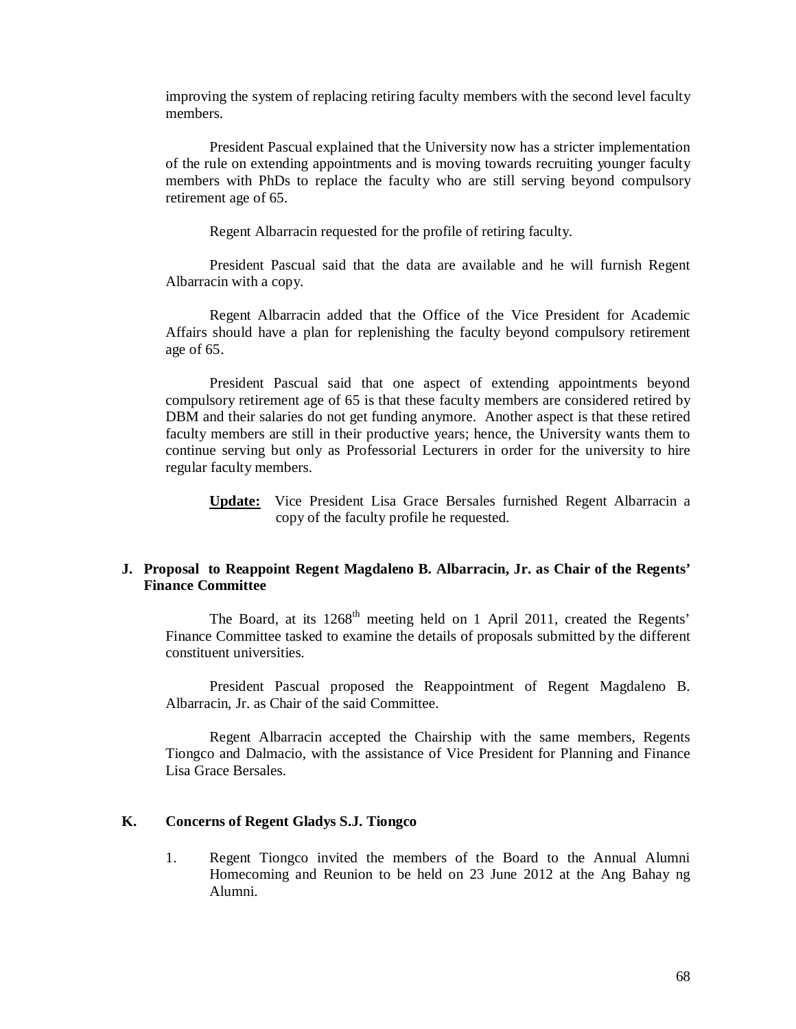improving the system of replacing retiring faculty members with the second level faculty members.

President Pascual explained that the University now has a stricter implementation of the rule on extending appointments and is moving towards recruiting younger faculty members with PhDs to replace the faculty who are still serving beyond compulsory retirement age of 65.

Regent Albarracin requested for the profile of retiring faculty.

President Pascual said that the data are available and he will furnish Regent Albarracin with a copy.

Regent Albarracin added that the Office of the Vice President for Academic Affairs should have a plan for replenishing the faculty beyond compulsory retirement age of 65.

President Pascual said that one aspect of extending appointments beyond compulsory retirement age of 65 is that these faculty members are considered retired by DBM and their salaries do not get funding anymore. Another aspect is that these retired faculty members are still in their productive years; hence, the University wants them to continue serving but only as Professorial Lecturers in order for the university to hire regular faculty members.

**Update:** Vice President Lisa Grace Bersales furnished Regent Albarracin a copy of the faculty profile he requested.

### **J. Proposal to Reappoint Regent Magdaleno B. Albarracin, Jr. as Chair of the Regents' Finance Committee**

The Board, at its 1268<sup>th</sup> meeting held on 1 April 2011, created the Regents' Finance Committee tasked to examine the details of proposals submitted by the different constituent universities.

President Pascual proposed the Reappointment of Regent Magdaleno B. Albarracin, Jr. as Chair of the said Committee.

Regent Albarracin accepted the Chairship with the same members, Regents Tiongco and Dalmacio, with the assistance of Vice President for Planning and Finance Lisa Grace Bersales.

### **K. Concerns of Regent Gladys S.J. Tiongco**

1. Regent Tiongco invited the members of the Board to the Annual Alumni Homecoming and Reunion to be held on 23 June 2012 at the Ang Bahay ng Alumni.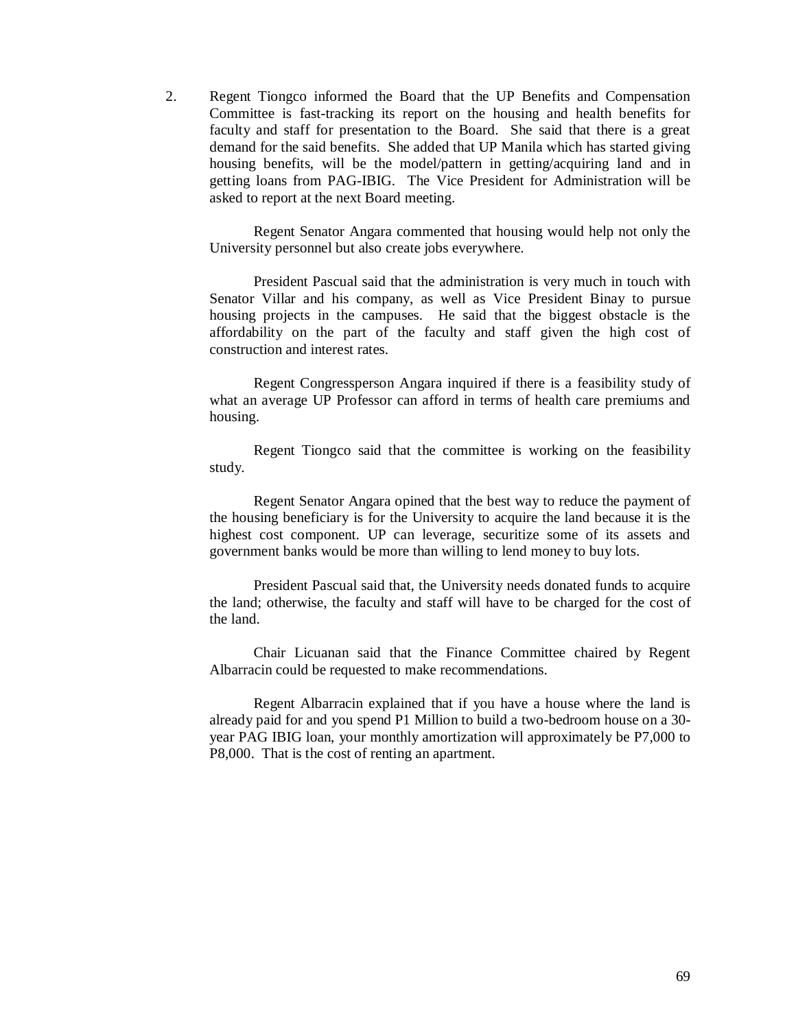2. Regent Tiongco informed the Board that the UP Benefits and Compensation Committee is fast-tracking its report on the housing and health benefits for faculty and staff for presentation to the Board. She said that there is a great demand for the said benefits. She added that UP Manila which has started giving housing benefits, will be the model/pattern in getting/acquiring land and in getting loans from PAG-IBIG. The Vice President for Administration will be asked to report at the next Board meeting.

Regent Senator Angara commented that housing would help not only the University personnel but also create jobs everywhere.

President Pascual said that the administration is very much in touch with Senator Villar and his company, as well as Vice President Binay to pursue housing projects in the campuses. He said that the biggest obstacle is the affordability on the part of the faculty and staff given the high cost of construction and interest rates.

Regent Congressperson Angara inquired if there is a feasibility study of what an average UP Professor can afford in terms of health care premiums and housing.

Regent Tiongco said that the committee is working on the feasibility study.

Regent Senator Angara opined that the best way to reduce the payment of the housing beneficiary is for the University to acquire the land because it is the highest cost component. UP can leverage, securitize some of its assets and government banks would be more than willing to lend money to buy lots.

President Pascual said that, the University needs donated funds to acquire the land; otherwise, the faculty and staff will have to be charged for the cost of the land.

Chair Licuanan said that the Finance Committee chaired by Regent Albarracin could be requested to make recommendations.

Regent Albarracin explained that if you have a house where the land is already paid for and you spend P1 Million to build a two-bedroom house on a 30 year PAG IBIG loan, your monthly amortization will approximately be P7,000 to P8,000. That is the cost of renting an apartment.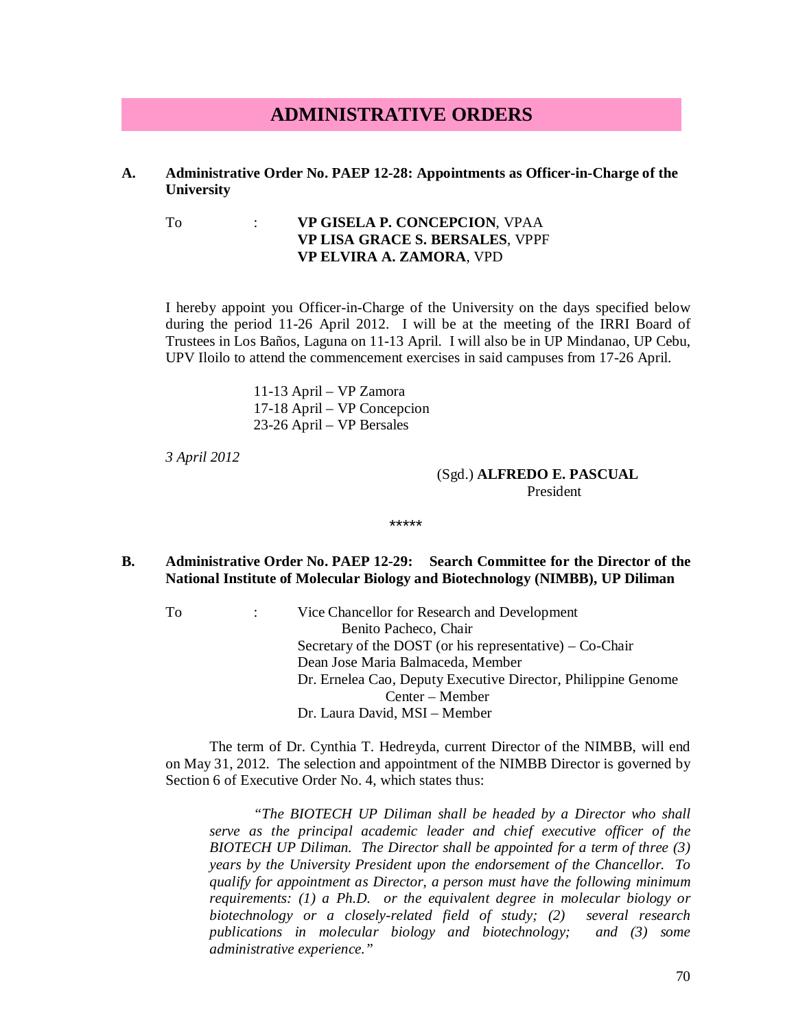# **ADMINISTRATIVE ORDERS**

### **A. Administrative Order No. PAEP 12-28: Appointments as Officer-in-Charge of the University**

# To : **VP GISELA P. CONCEPCION**, VPAA **VP LISA GRACE S. BERSALES**, VPPF **VP ELVIRA A. ZAMORA**, VPD

I hereby appoint you Officer-in-Charge of the University on the days specified below during the period 11-26 April 2012. I will be at the meeting of the IRRI Board of Trustees in Los Baños, Laguna on 11-13 April. I will also be in UP Mindanao, UP Cebu, UPV Iloilo to attend the commencement exercises in said campuses from 17-26 April.

> 11-13 April – VP Zamora 17-18 April – VP Concepcion 23-26 April – VP Bersales

*3 April 2012*

#### (Sgd.) **ALFREDO E. PASCUAL** President

# **B. Administrative Order No. PAEP 12-29: Search Committee for the Director of the National Institute of Molecular Biology and Biotechnology (NIMBB), UP Diliman**

\*\*\*\*\*

To : Vice Chancellor for Research and Development Benito Pacheco, Chair Secretary of the DOST (or his representative) – Co-Chair Dean Jose Maria Balmaceda, Member Dr. Ernelea Cao, Deputy Executive Director, Philippine Genome Center – Member Dr. Laura David, MSI – Member

The term of Dr. Cynthia T. Hedreyda, current Director of the NIMBB, will end on May 31, 2012. The selection and appointment of the NIMBB Director is governed by Section 6 of Executive Order No. 4, which states thus:

*"The BIOTECH UP Diliman shall be headed by a Director who shall serve as the principal academic leader and chief executive officer of the BIOTECH UP Diliman. The Director shall be appointed for a term of three (3) years by the University President upon the endorsement of the Chancellor. To qualify for appointment as Director, a person must have the following minimum requirements: (1) a Ph.D. or the equivalent degree in molecular biology or biotechnology or a closely-related field of study; (2) several research publications in molecular biology and biotechnology; and (3) some administrative experience."*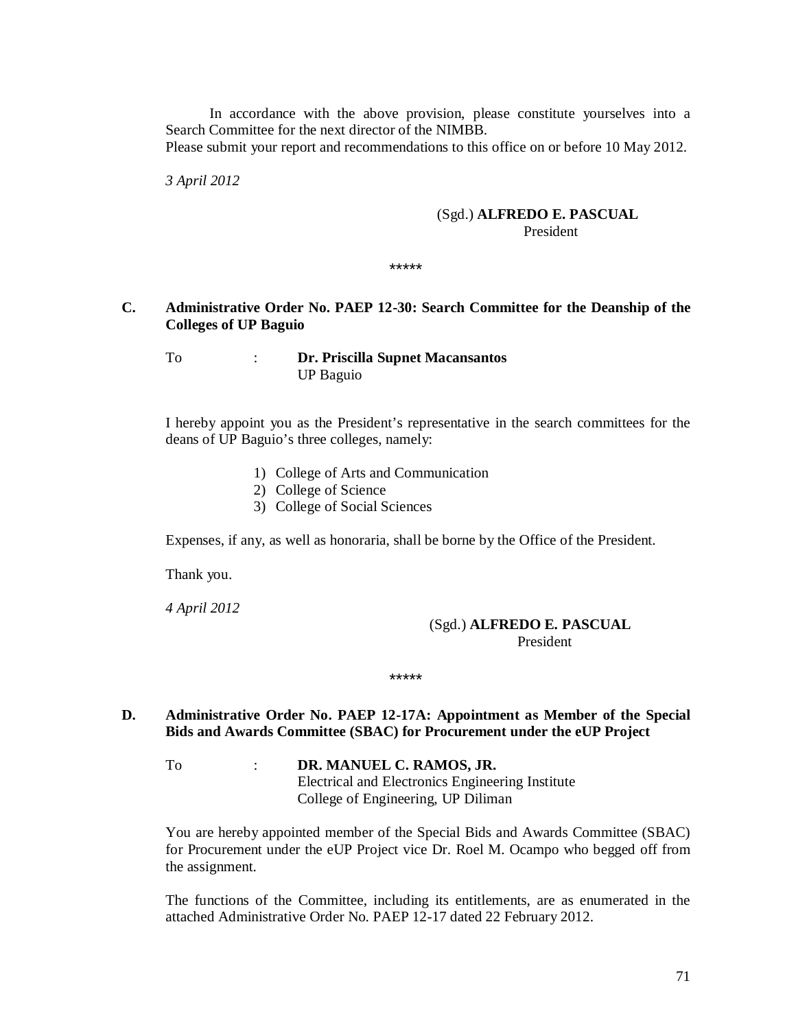In accordance with the above provision, please constitute yourselves into a Search Committee for the next director of the NIMBB.

Please submit your report and recommendations to this office on or before 10 May 2012.

*3 April 2012*

#### (Sgd.) **ALFREDO E. PASCUAL** President

\*\*\*\*\*

# **C. Administrative Order No. PAEP 12-30: Search Committee for the Deanship of the Colleges of UP Baguio**

# To : **Dr. Priscilla Supnet Macansantos** UP Baguio

I hereby appoint you as the President's representative in the search committees for the deans of UP Baguio's three colleges, namely:

- 1) College of Arts and Communication
- 2) College of Science
- 3) College of Social Sciences

Expenses, if any, as well as honoraria, shall be borne by the Office of the President.

Thank you.

*4 April 2012*

# (Sgd.) **ALFREDO E. PASCUAL** President President

# **D. Administrative Order No. PAEP 12-17A: Appointment as Member of the Special Bids and Awards Committee (SBAC) for Procurement under the eUP Project**

\*\*\*\*\*

To : **DR. MANUEL C. RAMOS, JR.** Electrical and Electronics Engineering Institute College of Engineering, UP Diliman

You are hereby appointed member of the Special Bids and Awards Committee (SBAC) for Procurement under the eUP Project vice Dr. Roel M. Ocampo who begged off from the assignment.

The functions of the Committee, including its entitlements, are as enumerated in the attached Administrative Order No. PAEP 12-17 dated 22 February 2012.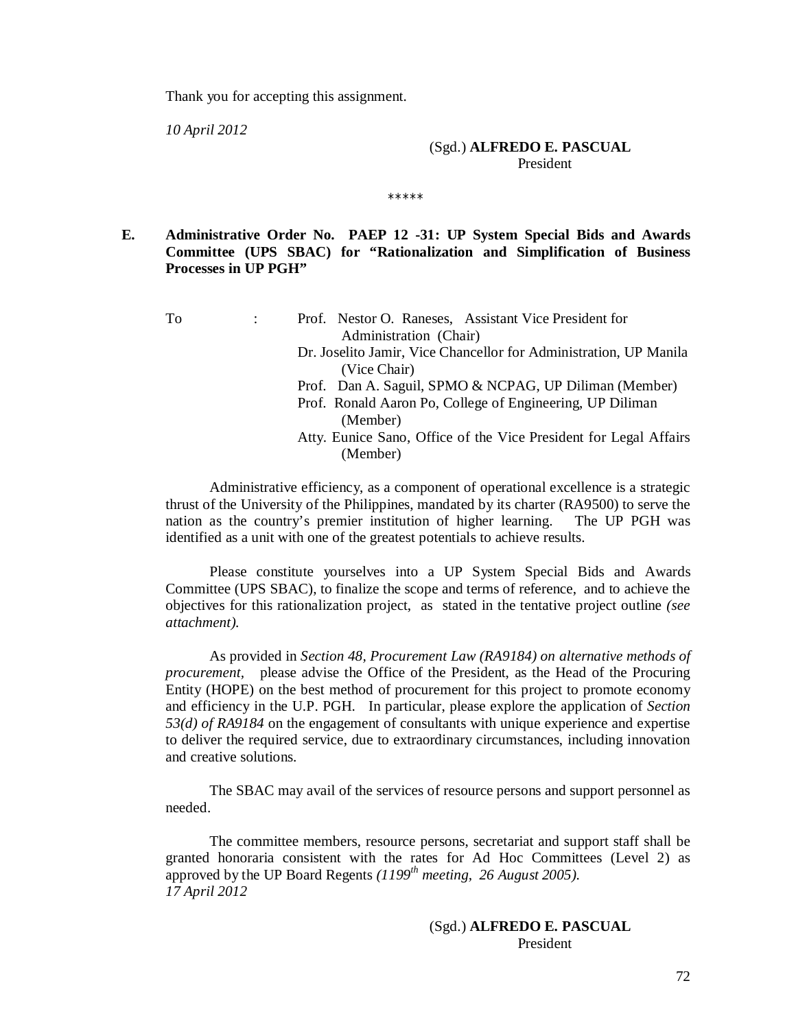Thank you for accepting this assignment.

*10 April 2012*

#### (Sgd.) **ALFREDO E. PASCUAL** President

**E. Administrative Order No. PAEP 12 -31: UP System Special Bids and Awards Committee (UPS SBAC) for "Rationalization and Simplification of Business Processes in UP PGH"**

\*\*\*\*\*

To : Prof. Nestor O. Raneses, Assistant Vice President for Administration (Chair) Dr. Joselito Jamir, Vice Chancellor for Administration, UP Manila (Vice Chair) Prof. Dan A. Saguil, SPMO & NCPAG, UP Diliman (Member) Prof. Ronald Aaron Po, College of Engineering, UP Diliman (Member) Atty. Eunice Sano, Office of the Vice President for Legal Affairs

Administrative efficiency, as a component of operational excellence is a strategic thrust of the University of the Philippines, mandated by its charter (RA9500) to serve the nation as the country's premier institution of higher learning. The UP PGH was identified as a unit with one of the greatest potentials to achieve results.

(Member)

Please constitute yourselves into a UP System Special Bids and Awards Committee (UPS SBAC), to finalize the scope and terms of reference, and to achieve the objectives for this rationalization project, as stated in the tentative project outline *(see attachment).*

As provided in *Section 48, Procurement Law (RA9184) on alternative methods of procurement,* please advise the Office of the President, as the Head of the Procuring Entity (HOPE) on the best method of procurement for this project to promote economy and efficiency in the U.P. PGH. In particular, please explore the application of *Section 53(d) of RA9184* on the engagement of consultants with unique experience and expertise to deliver the required service, due to extraordinary circumstances, including innovation and creative solutions.

The SBAC may avail of the services of resource persons and support personnel as needed.

The committee members, resource persons, secretariat and support staff shall be granted honoraria consistent with the rates for Ad Hoc Committees (Level 2) as approved by the UP Board Regents *(1199th meeting, 26 August 2005). 17 April 2012*

# (Sgd.) **ALFREDO E. PASCUAL** President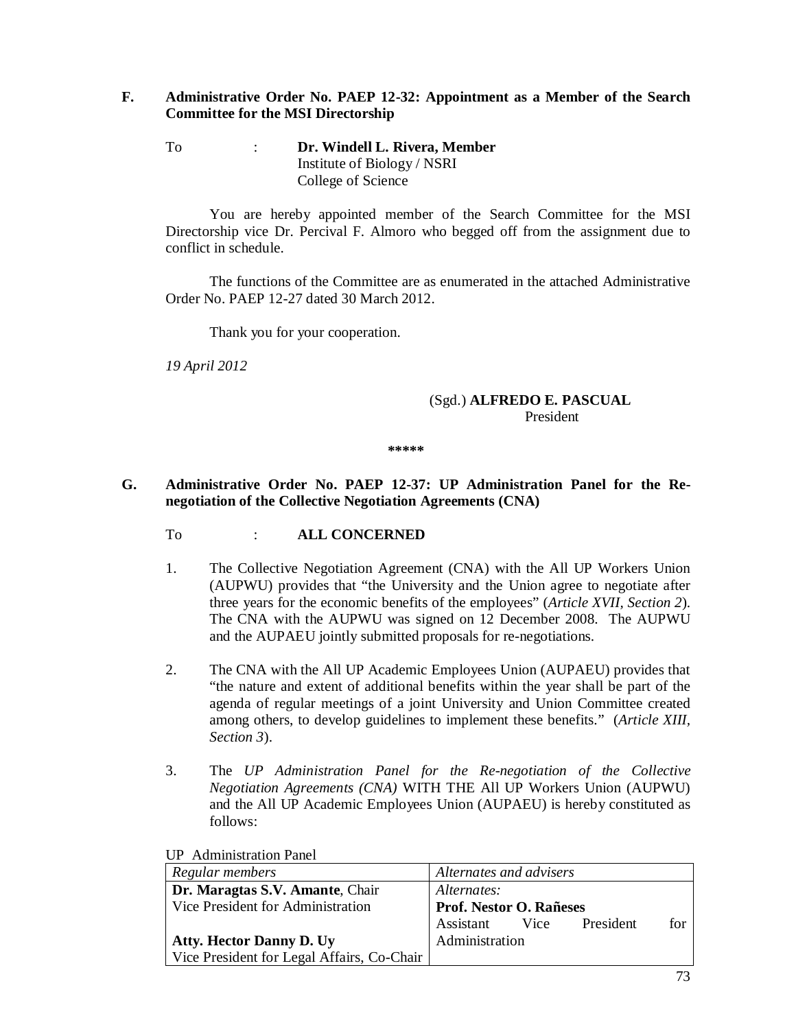# **F. Administrative Order No. PAEP 12-32: Appointment as a Member of the Search Committee for the MSI Directorship**

To : **Dr. Windell L. Rivera, Member** Institute of Biology / NSRI College of Science

You are hereby appointed member of the Search Committee for the MSI Directorship vice Dr. Percival F. Almoro who begged off from the assignment due to conflict in schedule.

The functions of the Committee are as enumerated in the attached Administrative Order No. PAEP 12-27 dated 30 March 2012.

Thank you for your cooperation.

*19 April 2012*

# (Sgd.) **ALFREDO E. PASCUAL** President

**\*\*\*\*\***

## **G. Administrative Order No. PAEP 12-37: UP Administration Panel for the Renegotiation of the Collective Negotiation Agreements (CNA)**

- To : **ALL CONCERNED**
- 1. The Collective Negotiation Agreement (CNA) with the All UP Workers Union (AUPWU) provides that "the University and the Union agree to negotiate after three years for the economic benefits of the employees" (*Article XVII, Section 2*). The CNA with the AUPWU was signed on 12 December 2008. The AUPWU and the AUPAEU jointly submitted proposals for re-negotiations.
- 2. The CNA with the All UP Academic Employees Union (AUPAEU) provides that "the nature and extent of additional benefits within the year shall be part of the agenda of regular meetings of a joint University and Union Committee created among others, to develop guidelines to implement these benefits." (*Article XIII, Section 3*).
- 3. The *UP Administration Panel for the Re-negotiation of the Collective Negotiation Agreements (CNA)* WITH THE All UP Workers Union (AUPWU) and the All UP Academic Employees Union (AUPAEU) is hereby constituted as follows:

| Regular members                            | Alternates and advisers               |  |
|--------------------------------------------|---------------------------------------|--|
| Dr. Maragtas S.V. Amante, Chair            | Alternates:                           |  |
| Vice President for Administration          | <b>Prof. Nestor O. Rañeses</b>        |  |
|                                            | Assistant<br>Vice<br>President<br>for |  |
| <b>Atty. Hector Danny D. Uy</b>            | Administration                        |  |
| Vice President for Legal Affairs, Co-Chair |                                       |  |

# UP Administration Panel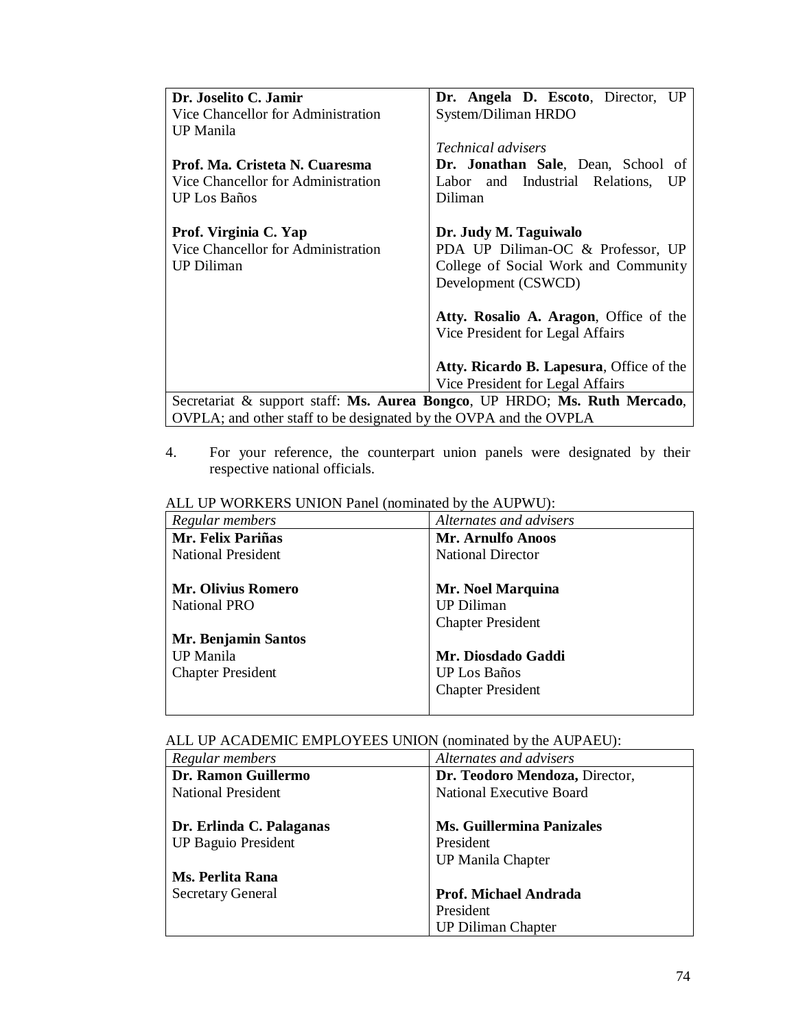| Dr. Joselito C. Jamir                                                     | Dr. Angela D. Escoto, Director, UP       |  |
|---------------------------------------------------------------------------|------------------------------------------|--|
| Vice Chancellor for Administration                                        | System/Diliman HRDO                      |  |
| UP Manila                                                                 |                                          |  |
|                                                                           | <i>Technical advisers</i>                |  |
| Prof. Ma. Cristeta N. Cuaresma                                            | Dr. Jonathan Sale, Dean, School of       |  |
| Vice Chancellor for Administration                                        | Labor and Industrial Relations, UP       |  |
| <b>UP</b> Los Baños                                                       | Diliman                                  |  |
|                                                                           |                                          |  |
| Prof. Virginia C. Yap                                                     | Dr. Judy M. Taguiwalo                    |  |
| Vice Chancellor for Administration                                        | PDA UP Diliman-OC & Professor, UP        |  |
| <b>UP Diliman</b>                                                         | College of Social Work and Community     |  |
|                                                                           | Development (CSWCD)                      |  |
|                                                                           |                                          |  |
|                                                                           | Atty. Rosalio A. Aragon, Office of the   |  |
|                                                                           | Vice President for Legal Affairs         |  |
|                                                                           |                                          |  |
|                                                                           | Atty. Ricardo B. Lapesura, Office of the |  |
|                                                                           |                                          |  |
|                                                                           | Vice President for Legal Affairs         |  |
| Secretariat & support staff: Ms. Aurea Bongco, UP HRDO; Ms. Ruth Mercado, |                                          |  |
| OVPLA; and other staff to be designated by the OVPA and the OVPLA         |                                          |  |

4. For your reference, the counterpart union panels were designated by their respective national officials.

| TELE OF $\pi$ orthology of $\pi$ of $\pi$ and $\pi$ indifficult $\sigma$ and $\pi$ or $\sigma$ . |                          |
|--------------------------------------------------------------------------------------------------|--------------------------|
| Regular members                                                                                  | Alternates and advisers  |
| Mr. Felix Pariñas                                                                                | Mr. Arnulfo Anoos        |
| <b>National President</b>                                                                        | <b>National Director</b> |
|                                                                                                  |                          |
| <b>Mr. Olivius Romero</b>                                                                        | Mr. Noel Marquina        |
| <b>National PRO</b>                                                                              | <b>UP Diliman</b>        |
|                                                                                                  | <b>Chapter President</b> |
| Mr. Benjamin Santos                                                                              |                          |
| <b>UP</b> Manila                                                                                 | Mr. Diosdado Gaddi       |
| <b>Chapter President</b>                                                                         | UP Los Baños             |
|                                                                                                  | <b>Chapter President</b> |
|                                                                                                  |                          |

# ALL UP WORKERS UNION Panel (nominated by the AUPWU):

# ALL UP ACADEMIC EMPLOYEES UNION (nominated by the AUPAEU):

| Regular members            | Alternates and advisers          |
|----------------------------|----------------------------------|
| Dr. Ramon Guillermo        | Dr. Teodoro Mendoza, Director,   |
| <b>National President</b>  | <b>National Executive Board</b>  |
|                            |                                  |
| Dr. Erlinda C. Palaganas   | <b>Ms. Guillermina Panizales</b> |
| <b>UP Baguio President</b> | President                        |
|                            | <b>UP Manila Chapter</b>         |
| Ms. Perlita Rana           |                                  |
| <b>Secretary General</b>   | Prof. Michael Andrada            |
|                            | President                        |
|                            | <b>UP Diliman Chapter</b>        |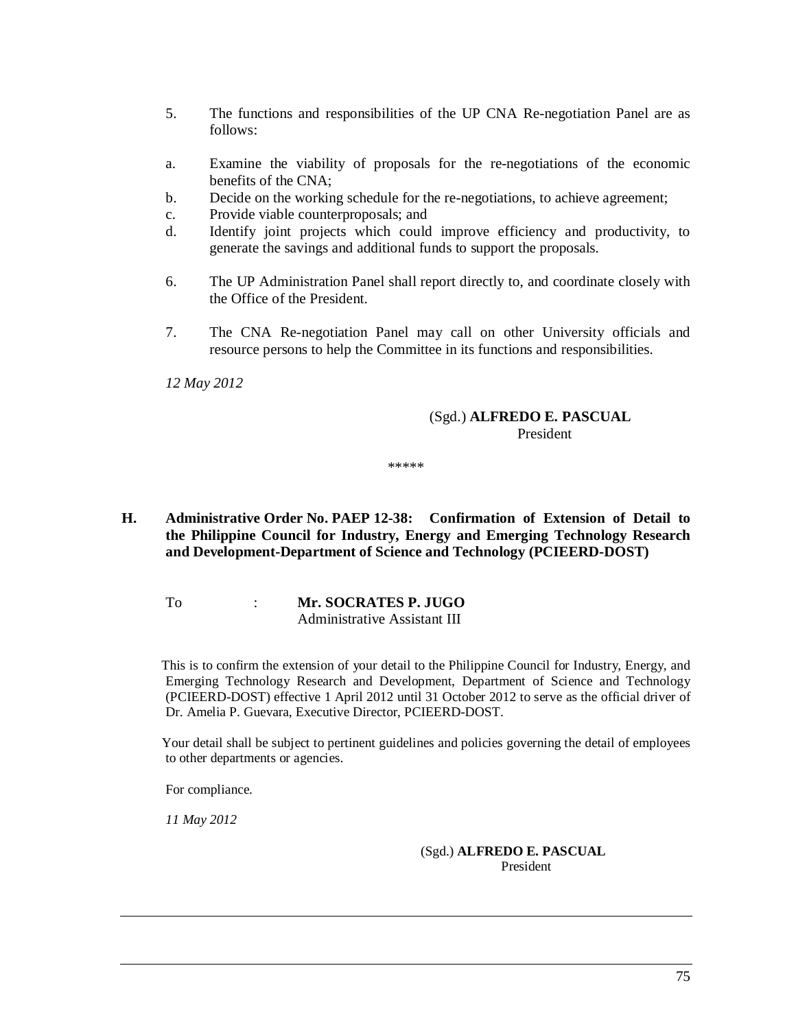- 5. The functions and responsibilities of the UP CNA Re-negotiation Panel are as follows:
- a. Examine the viability of proposals for the re-negotiations of the economic benefits of the CNA;
- b. Decide on the working schedule for the re-negotiations, to achieve agreement;
- c. Provide viable counterproposals; and
- d. Identify joint projects which could improve efficiency and productivity, to generate the savings and additional funds to support the proposals.
- 6. The UP Administration Panel shall report directly to, and coordinate closely with the Office of the President.
- 7. The CNA Re-negotiation Panel may call on other University officials and resource persons to help the Committee in its functions and responsibilities.

*12 May 2012*

## (Sgd.) **ALFREDO E. PASCUAL** President

\*\*\*\*\*

- **H. Administrative Order No. PAEP 12-38: Confirmation of Extension of Detail to the Philippine Council for Industry, Energy and Emerging Technology Research and Development-Department of Science and Technology (PCIEERD-DOST)**
	- To : **Mr. SOCRATES P. JUGO** Administrative Assistant III

 This is to confirm the extension of your detail to the Philippine Council for Industry, Energy, and Emerging Technology Research and Development, Department of Science and Technology (PCIEERD-DOST) effective 1 April 2012 until 31 October 2012 to serve as the official driver of Dr. Amelia P. Guevara, Executive Director, PCIEERD-DOST.

 Your detail shall be subject to pertinent guidelines and policies governing the detail of employees to other departments or agencies.

For compliance.

*11 May 2012*

 (Sgd.) **ALFREDO E. PASCUAL** President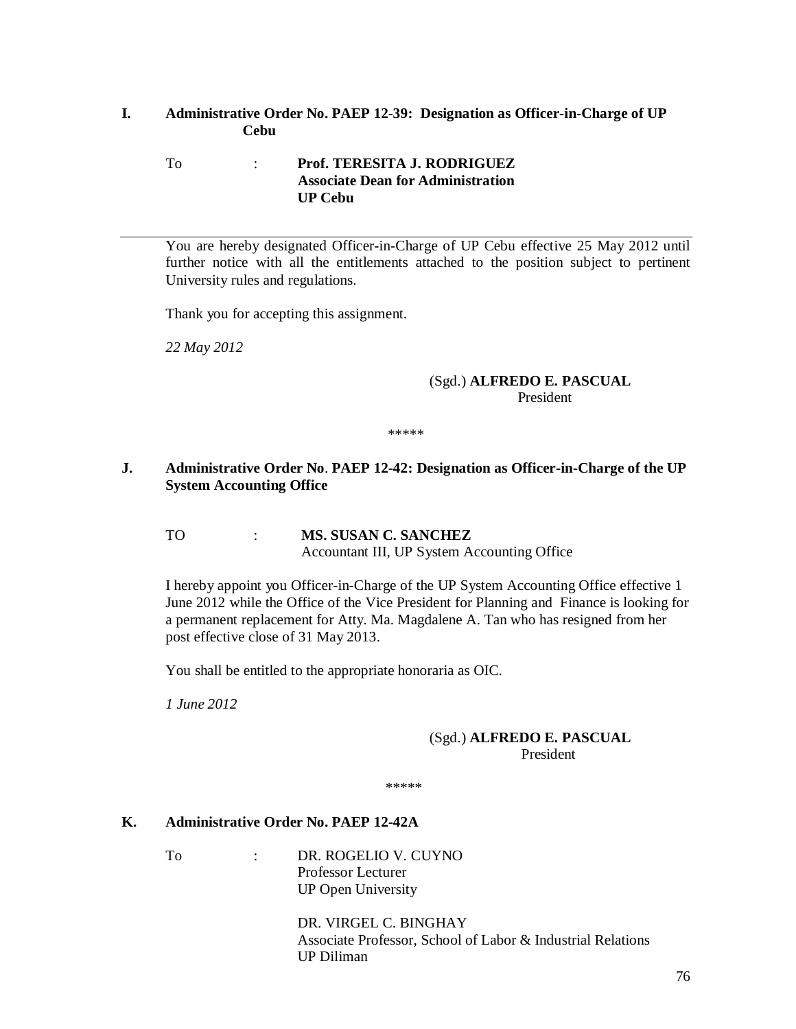## **I. Administrative Order No. PAEP 12-39: Designation as Officer-in-Charge of UP Cebu**

### To : **Prof. TERESITA J. RODRIGUEZ Associate Dean for Administration UP Cebu**

You are hereby designated Officer-in-Charge of UP Cebu effective 25 May 2012 until further notice with all the entitlements attached to the position subject to pertinent University rules and regulations.

Thank you for accepting this assignment.

*22 May 2012*

### (Sgd.) **ALFREDO E. PASCUAL** President

\*\*\*\*\*

# **J. Administrative Order No**. **PAEP 12-42: Designation as Officer-in-Charge of the UP System Accounting Office**

TO : **MS. SUSAN C. SANCHEZ** Accountant III, UP System Accounting Office

I hereby appoint you Officer-in-Charge of the UP System Accounting Office effective 1 June 2012 while the Office of the Vice President for Planning and Finance is looking for a permanent replacement for Atty. Ma. Magdalene A. Tan who has resigned from her post effective close of 31 May 2013.

You shall be entitled to the appropriate honoraria as OIC.

*1 June 2012*

## (Sgd.) **ALFREDO E. PASCUAL** President

\*\*\*\*\*

# **K. Administrative Order No. PAEP 12-42A**

To : DR. ROGELIO V. CUYNO Professor Lecturer UP Open University

> DR. VIRGEL C. BINGHAY Associate Professor, School of Labor & Industrial Relations UP Diliman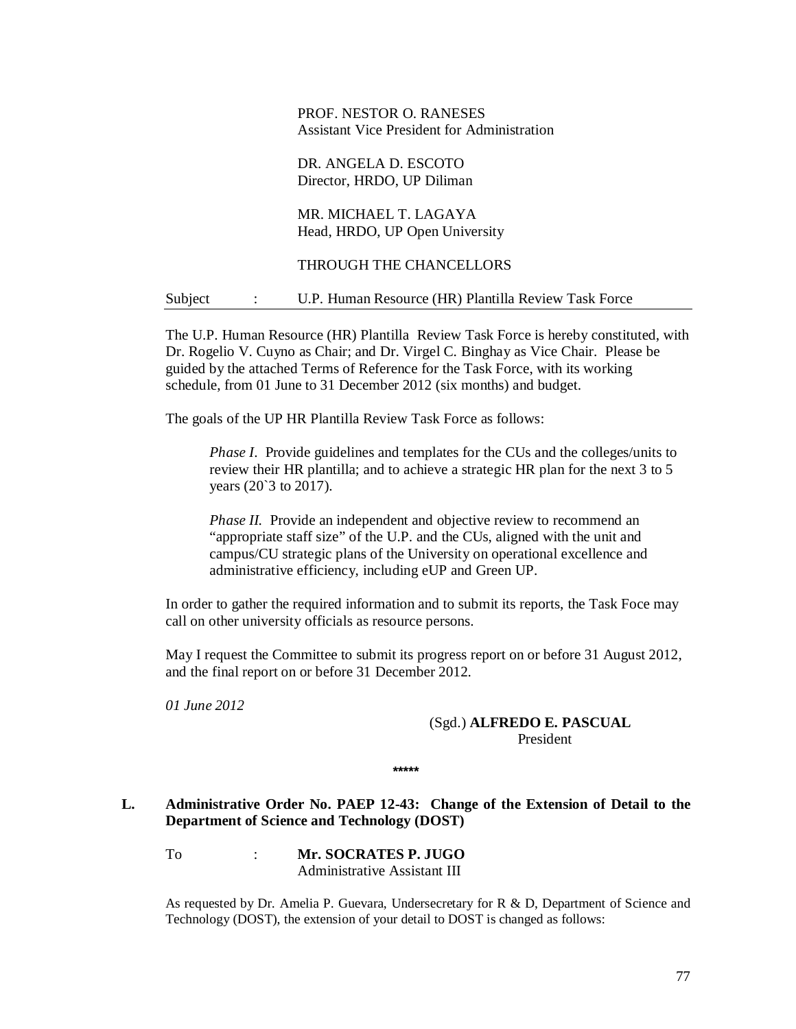## PROF. NESTOR O. RANESES Assistant Vice President for Administration

### DR. ANGELA D. ESCOTO Director, HRDO, UP Diliman

MR. MICHAEL T. LAGAYA Head, HRDO, UP Open University

## THROUGH THE CHANCELLORS

### Subject : U.P. Human Resource (HR) Plantilla Review Task Force

The U.P. Human Resource (HR) Plantilla Review Task Force is hereby constituted, with Dr. Rogelio V. Cuyno as Chair; and Dr. Virgel C. Binghay as Vice Chair. Please be guided by the attached Terms of Reference for the Task Force, with its working schedule, from 01 June to 31 December 2012 (six months) and budget.

The goals of the UP HR Plantilla Review Task Force as follows:

*Phase I.* Provide guidelines and templates for the CUs and the colleges/units to review their HR plantilla; and to achieve a strategic HR plan for the next 3 to 5 years (20`3 to 2017).

*Phase II.* Provide an independent and objective review to recommend an "appropriate staff size" of the U.P. and the CUs, aligned with the unit and campus/CU strategic plans of the University on operational excellence and administrative efficiency, including eUP and Green UP.

In order to gather the required information and to submit its reports, the Task Foce may call on other university officials as resource persons.

May I request the Committee to submit its progress report on or before 31 August 2012, and the final report on or before 31 December 2012.

*01 June 2012*

# (Sgd.) **ALFREDO E. PASCUAL** President

**\*\*\*\*\***

## **L. Administrative Order No. PAEP 12-43: Change of the Extension of Detail to the Department of Science and Technology (DOST)**

To : **Mr. SOCRATES P. JUGO** Administrative Assistant III

As requested by Dr. Amelia P. Guevara, Undersecretary for R & D, Department of Science and Technology (DOST), the extension of your detail to DOST is changed as follows: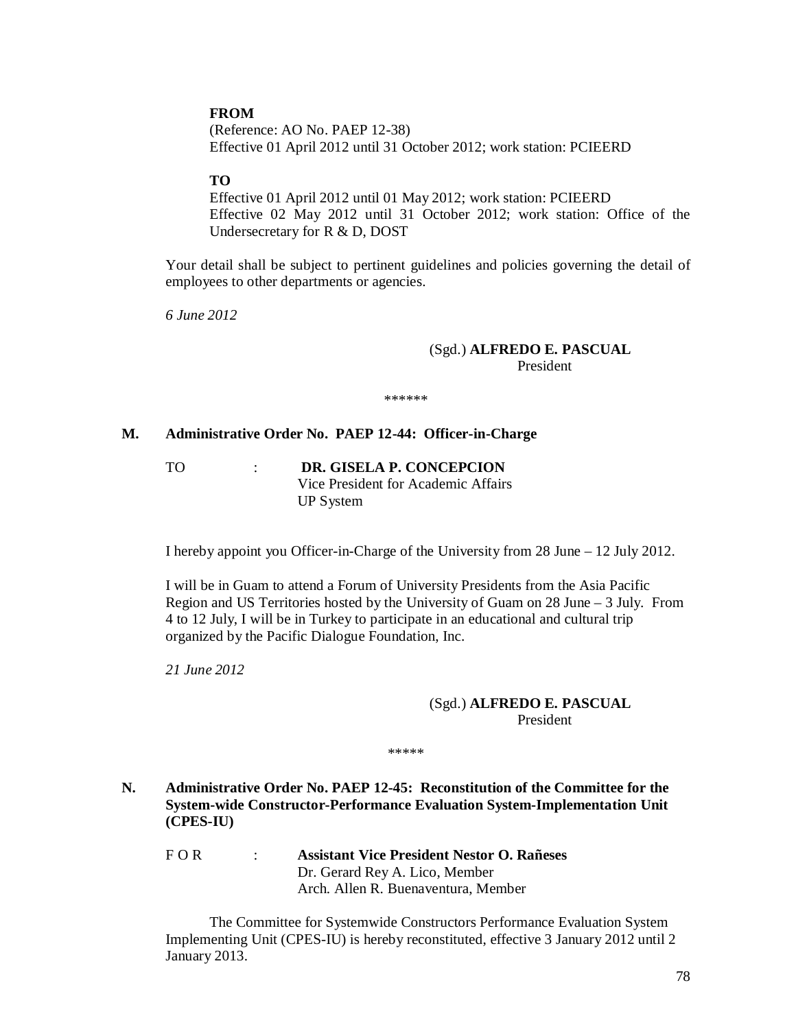## **FROM**

(Reference: AO No. PAEP 12-38) Effective 01 April 2012 until 31 October 2012; work station: PCIEERD

### **TO**

Effective 01 April 2012 until 01 May 2012; work station: PCIEERD Effective 02 May 2012 until 31 October 2012; work station: Office of the Undersecretary for R & D, DOST

Your detail shall be subject to pertinent guidelines and policies governing the detail of employees to other departments or agencies.

*6 June 2012*

### (Sgd.) **ALFREDO E. PASCUAL** President

\*\*\*\*\*\*

#### **M. Administrative Order No. PAEP 12-44: Officer-in-Charge**

TO : **DR. GISELA P. CONCEPCION** Vice President for Academic Affairs UP System

I hereby appoint you Officer-in-Charge of the University from 28 June – 12 July 2012.

I will be in Guam to attend a Forum of University Presidents from the Asia Pacific Region and US Territories hosted by the University of Guam on 28 June – 3 July. From 4 to 12 July, I will be in Turkey to participate in an educational and cultural trip organized by the Pacific Dialogue Foundation, Inc.

*21 June 2012*

### (Sgd.) **ALFREDO E. PASCUAL** President

\*\*\*\*\*

**N. Administrative Order No. PAEP 12-45: Reconstitution of the Committee for the System-wide Constructor-Performance Evaluation System-Implementation Unit (CPES-IU)**

F O R : **Assistant Vice President Nestor O. Rañeses** Dr. Gerard Rey A. Lico, Member Arch. Allen R. Buenaventura, Member

The Committee for Systemwide Constructors Performance Evaluation System Implementing Unit (CPES-IU) is hereby reconstituted, effective 3 January 2012 until 2 January 2013.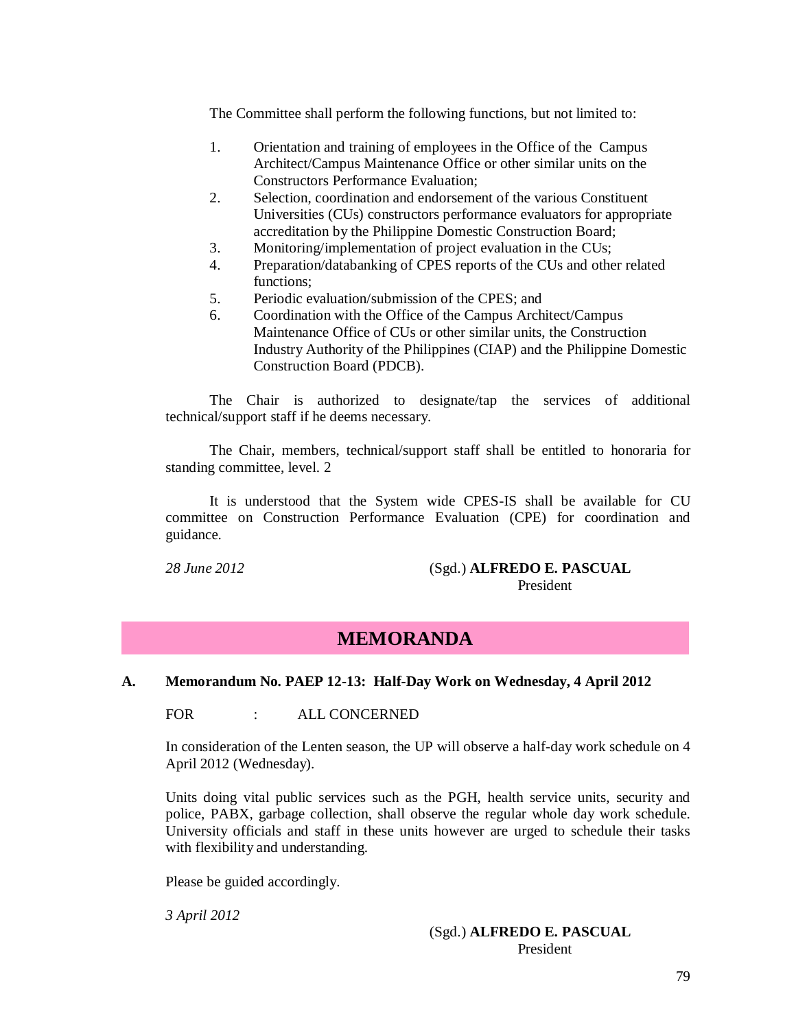The Committee shall perform the following functions, but not limited to:

- 1. Orientation and training of employees in the Office of the Campus Architect/Campus Maintenance Office or other similar units on the Constructors Performance Evaluation;
- 2. Selection, coordination and endorsement of the various Constituent Universities (CUs) constructors performance evaluators for appropriate accreditation by the Philippine Domestic Construction Board;
- 3. Monitoring/implementation of project evaluation in the CUs;
- 4. Preparation/databanking of CPES reports of the CUs and other related functions;
- 5. Periodic evaluation/submission of the CPES; and
- 6. Coordination with the Office of the Campus Architect/Campus Maintenance Office of CUs or other similar units, the Construction Industry Authority of the Philippines (CIAP) and the Philippine Domestic Construction Board (PDCB).

The Chair is authorized to designate/tap the services of additional technical/support staff if he deems necessary.

The Chair, members, technical/support staff shall be entitled to honoraria for standing committee, level. 2

It is understood that the System wide CPES-IS shall be available for CU committee on Construction Performance Evaluation (CPE) for coordination and guidance.

### *28 June 2012* (Sgd.) **ALFREDO E. PASCUAL** President

# **MEMORANDA**

## **A. Memorandum No. PAEP 12-13: Half-Day Work on Wednesday, 4 April 2012**

FOR : ALL CONCERNED

In consideration of the Lenten season, the UP will observe a half-day work schedule on 4 April 2012 (Wednesday).

Units doing vital public services such as the PGH, health service units, security and police, PABX, garbage collection, shall observe the regular whole day work schedule. University officials and staff in these units however are urged to schedule their tasks with flexibility and understanding.

Please be guided accordingly.

*3 April 2012*

## (Sgd.) **ALFREDO E. PASCUAL** President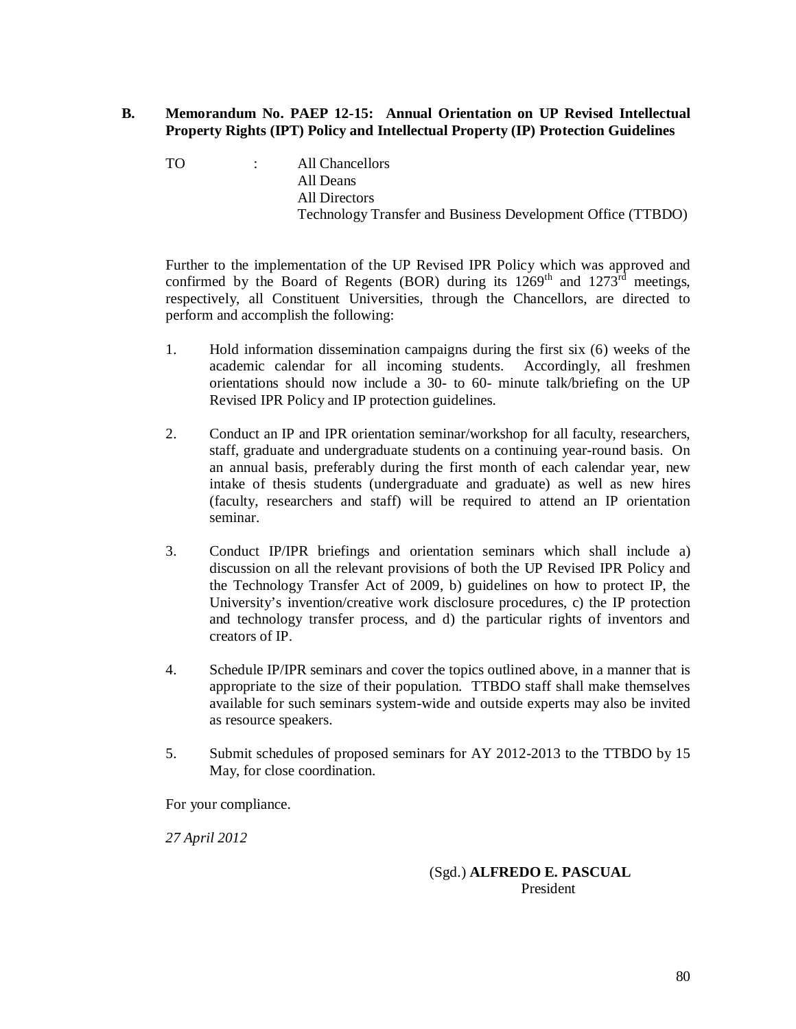## **B. Memorandum No. PAEP 12-15: Annual Orientation on UP Revised Intellectual Property Rights (IPT) Policy and Intellectual Property (IP) Protection Guidelines**

TO : All Chancellors All Deans All Directors Technology Transfer and Business Development Office (TTBDO)

Further to the implementation of the UP Revised IPR Policy which was approved and confirmed by the Board of Regents (BOR) during its  $1269<sup>th</sup>$  and  $1273<sup>rd</sup>$  meetings, respectively, all Constituent Universities, through the Chancellors, are directed to perform and accomplish the following:

- 1. Hold information dissemination campaigns during the first six (6) weeks of the academic calendar for all incoming students. Accordingly, all freshmen orientations should now include a 30- to 60- minute talk/briefing on the UP Revised IPR Policy and IP protection guidelines.
- 2. Conduct an IP and IPR orientation seminar/workshop for all faculty, researchers, staff, graduate and undergraduate students on a continuing year-round basis. On an annual basis, preferably during the first month of each calendar year, new intake of thesis students (undergraduate and graduate) as well as new hires (faculty, researchers and staff) will be required to attend an IP orientation seminar.
- 3. Conduct IP/IPR briefings and orientation seminars which shall include a) discussion on all the relevant provisions of both the UP Revised IPR Policy and the Technology Transfer Act of 2009, b) guidelines on how to protect IP, the University's invention/creative work disclosure procedures, c) the IP protection and technology transfer process, and d) the particular rights of inventors and creators of IP.
- 4. Schedule IP/IPR seminars and cover the topics outlined above, in a manner that is appropriate to the size of their population. TTBDO staff shall make themselves available for such seminars system-wide and outside experts may also be invited as resource speakers.
- 5. Submit schedules of proposed seminars for AY 2012-2013 to the TTBDO by 15 May, for close coordination.

For your compliance.

*27 April 2012*

## (Sgd.) **ALFREDO E. PASCUAL** President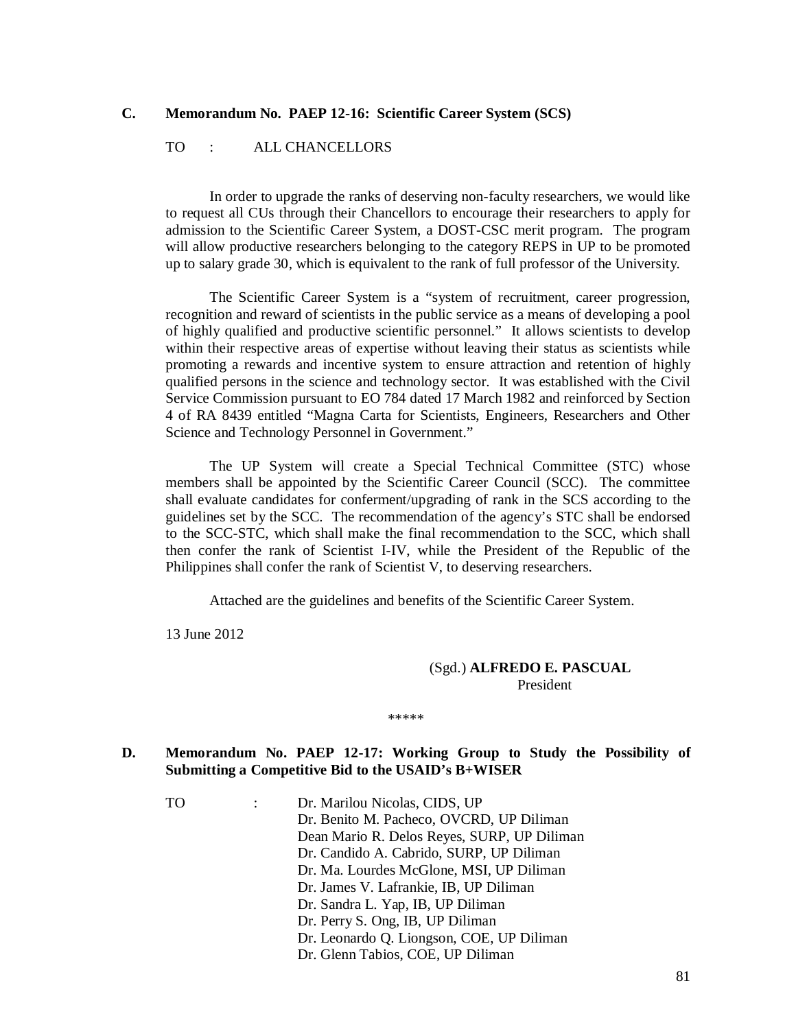### **C. Memorandum No. PAEP 12-16: Scientific Career System (SCS)**

### TO : ALL CHANCELLORS

In order to upgrade the ranks of deserving non-faculty researchers, we would like to request all CUs through their Chancellors to encourage their researchers to apply for admission to the Scientific Career System, a DOST-CSC merit program. The program will allow productive researchers belonging to the category REPS in UP to be promoted up to salary grade 30, which is equivalent to the rank of full professor of the University.

The Scientific Career System is a "system of recruitment, career progression, recognition and reward of scientists in the public service as a means of developing a pool of highly qualified and productive scientific personnel." It allows scientists to develop within their respective areas of expertise without leaving their status as scientists while promoting a rewards and incentive system to ensure attraction and retention of highly qualified persons in the science and technology sector. It was established with the Civil Service Commission pursuant to EO 784 dated 17 March 1982 and reinforced by Section 4 of RA 8439 entitled "Magna Carta for Scientists, Engineers, Researchers and Other Science and Technology Personnel in Government."

The UP System will create a Special Technical Committee (STC) whose members shall be appointed by the Scientific Career Council (SCC). The committee shall evaluate candidates for conferment/upgrading of rank in the SCS according to the guidelines set by the SCC. The recommendation of the agency's STC shall be endorsed to the SCC-STC, which shall make the final recommendation to the SCC, which shall then confer the rank of Scientist I-IV, while the President of the Republic of the Philippines shall confer the rank of Scientist V, to deserving researchers.

Attached are the guidelines and benefits of the Scientific Career System.

13 June 2012

### (Sgd.) **ALFREDO E. PASCUAL** President

\*\*\*\*\*

## **D. Memorandum No. PAEP 12-17: Working Group to Study the Possibility of Submitting a Competitive Bid to the USAID's B+WISER**

TO : Dr. Marilou Nicolas, CIDS, UP Dr. Benito M. Pacheco, OVCRD, UP Diliman Dean Mario R. Delos Reyes, SURP, UP Diliman Dr. Candido A. Cabrido, SURP, UP Diliman Dr. Ma. Lourdes McGlone, MSI, UP Diliman Dr. James V. Lafrankie, IB, UP Diliman Dr. Sandra L. Yap, IB, UP Diliman Dr. Perry S. Ong, IB, UP Diliman Dr. Leonardo Q. Liongson, COE, UP Diliman Dr. Glenn Tabios, COE, UP Diliman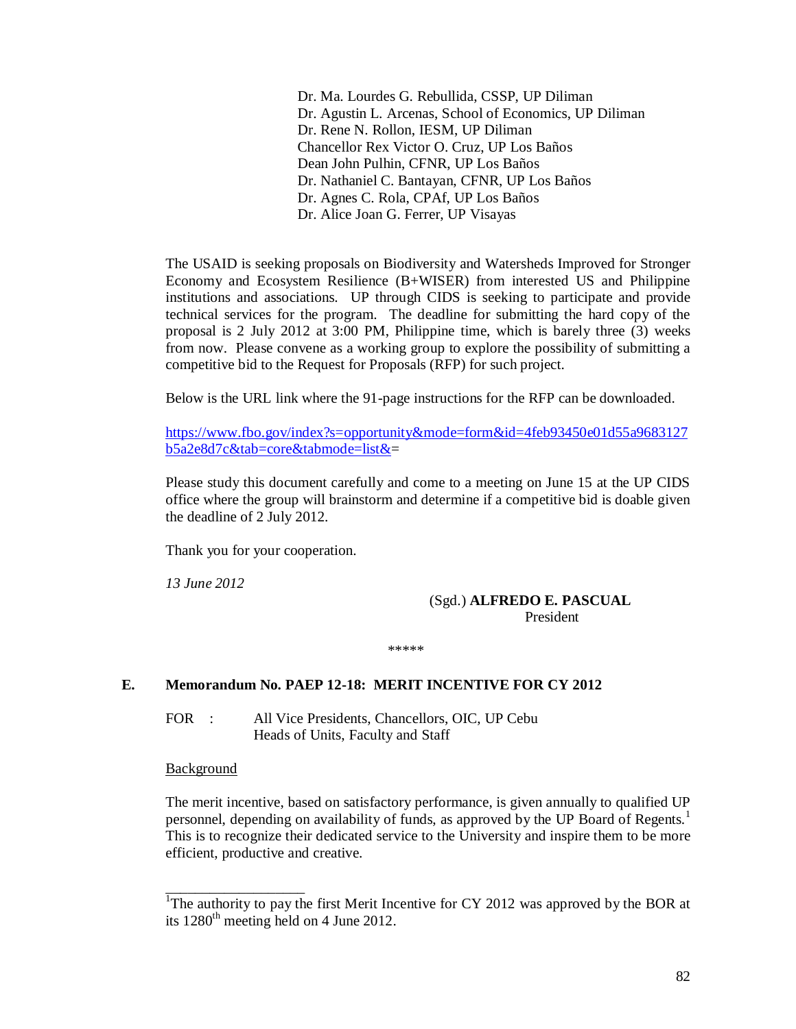Dr. Ma. Lourdes G. Rebullida, CSSP, UP Diliman Dr. Agustin L. Arcenas, School of Economics, UP Diliman Dr. Rene N. Rollon, IESM, UP Diliman Chancellor Rex Victor O. Cruz, UP Los Baños Dean John Pulhin, CFNR, UP Los Baños Dr. Nathaniel C. Bantayan, CFNR, UP Los Baños Dr. Agnes C. Rola, CPAf, UP Los Baños Dr. Alice Joan G. Ferrer, UP Visayas

The USAID is seeking proposals on Biodiversity and Watersheds Improved for Stronger Economy and Ecosystem Resilience (B+WISER) from interested US and Philippine institutions and associations. UP through CIDS is seeking to participate and provide technical services for the program. The deadline for submitting the hard copy of the proposal is 2 July 2012 at 3:00 PM, Philippine time, which is barely three (3) weeks from now. Please convene as a working group to explore the possibility of submitting a competitive bid to the Request for Proposals (RFP) for such project.

Below is the URL link where the 91-page instructions for the RFP can be downloaded.

https://www.fbo.gov/index?s=opportunity&mode=form&id=4feb93450e01d55a9683127 b5a2e8d7c&tab=core&tabmode=list&=

Please study this document carefully and come to a meeting on June 15 at the UP CIDS office where the group will brainstorm and determine if a competitive bid is doable given the deadline of 2 July 2012.

Thank you for your cooperation.

*13 June 2012*

### (Sgd.) **ALFREDO E. PASCUAL** President

\*\*\*\*\*

## **E. Memorandum No. PAEP 12-18: MERIT INCENTIVE FOR CY 2012**

FOR : All Vice Presidents, Chancellors, OIC, UP Cebu Heads of Units, Faculty and Staff

**Background** 

\_\_\_\_\_\_\_\_\_\_\_\_\_\_\_\_\_\_\_

The merit incentive, based on satisfactory performance, is given annually to qualified UP personnel, depending on availability of funds, as approved by the UP Board of Regents.<sup>1</sup> This is to recognize their dedicated service to the University and inspire them to be more efficient, productive and creative.

<sup>&</sup>lt;sup>1</sup>The authority to pay the first Merit Incentive for CY 2012 was approved by the BOR at its  $1280<sup>th</sup>$  meeting held on 4 June 2012.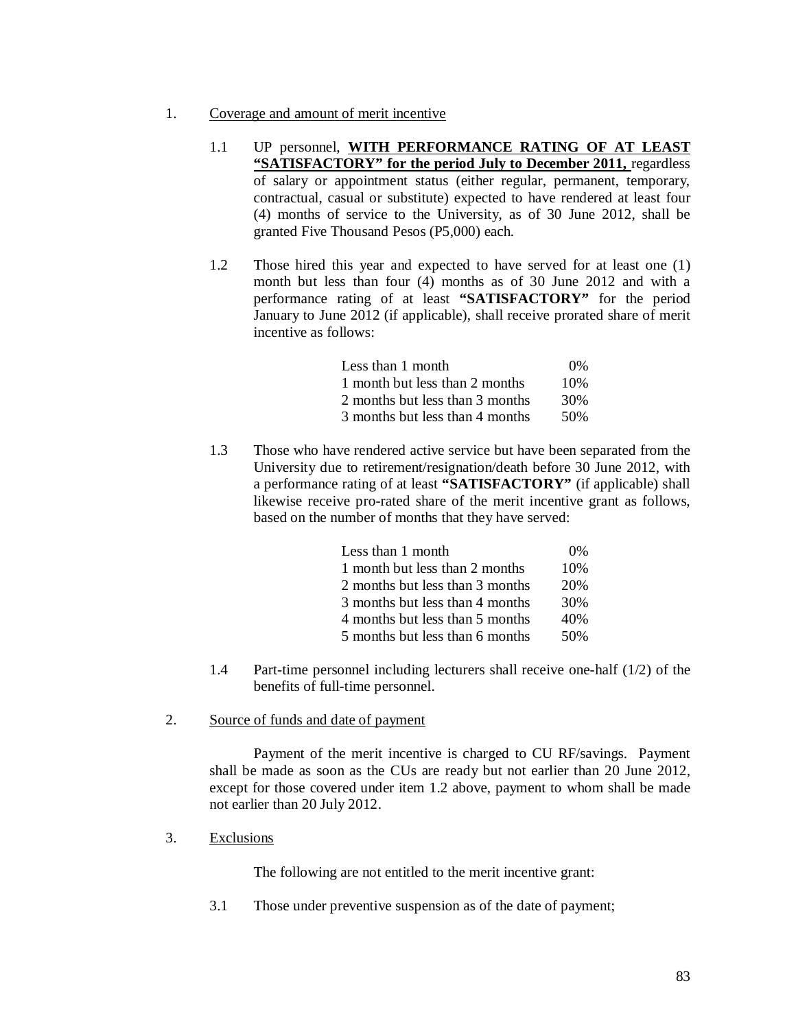- 1. Coverage and amount of merit incentive
	- 1.1 UP personnel, **WITH PERFORMANCE RATING OF AT LEAST "SATISFACTORY" for the period July to December 2011,** regardless of salary or appointment status (either regular, permanent, temporary, contractual, casual or substitute) expected to have rendered at least four (4) months of service to the University, as of 30 June 2012, shall be granted Five Thousand Pesos (P5,000) each.
	- 1.2 Those hired this year and expected to have served for at least one (1) month but less than four (4) months as of 30 June 2012 and with a performance rating of at least **"SATISFACTORY"** for the period January to June 2012 (if applicable), shall receive prorated share of merit incentive as follows:

| Less than 1 month               | $0\%$ |
|---------------------------------|-------|
| 1 month but less than 2 months  | 10%   |
| 2 months but less than 3 months | 30%   |
| 3 months but less than 4 months | 50%   |

1.3 Those who have rendered active service but have been separated from the University due to retirement/resignation/death before 30 June 2012, with a performance rating of at least **"SATISFACTORY"** (if applicable) shall likewise receive pro-rated share of the merit incentive grant as follows, based on the number of months that they have served:

| Less than 1 month               | $0\%$ |
|---------------------------------|-------|
| 1 month but less than 2 months  | 10%   |
| 2 months but less than 3 months | 20%   |
| 3 months but less than 4 months | 30%   |
| 4 months but less than 5 months | 40%   |
| 5 months but less than 6 months | 50%   |

- 1.4 Part-time personnel including lecturers shall receive one-half (1/2) of the benefits of full-time personnel.
- 2. Source of funds and date of payment

Payment of the merit incentive is charged to CU RF/savings. Payment shall be made as soon as the CUs are ready but not earlier than 20 June 2012, except for those covered under item 1.2 above, payment to whom shall be made not earlier than 20 July 2012.

3. Exclusions

The following are not entitled to the merit incentive grant:

3.1 Those under preventive suspension as of the date of payment;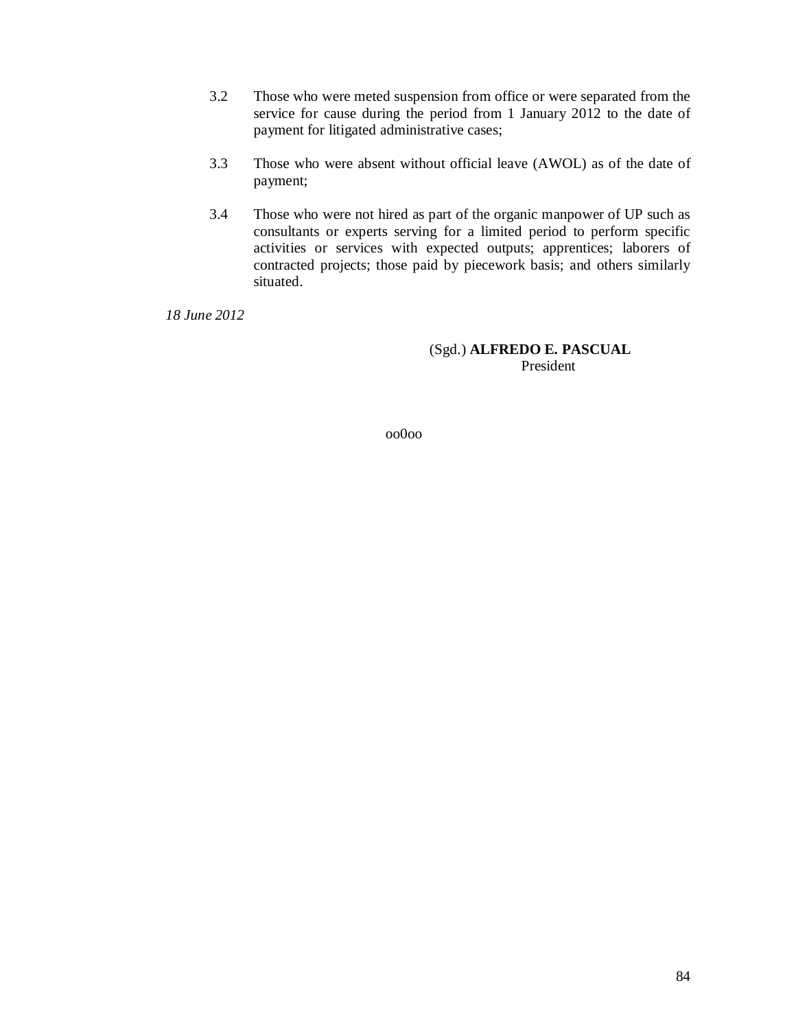- 3.2 Those who were meted suspension from office or were separated from the service for cause during the period from 1 January 2012 to the date of payment for litigated administrative cases;
- 3.3 Those who were absent without official leave (AWOL) as of the date of payment;
- 3.4 Those who were not hired as part of the organic manpower of UP such as consultants or experts serving for a limited period to perform specific activities or services with expected outputs; apprentices; laborers of contracted projects; those paid by piecework basis; and others similarly situated.

*18 June 2012*

### (Sgd.) **ALFREDO E. PASCUAL** President

oo0oo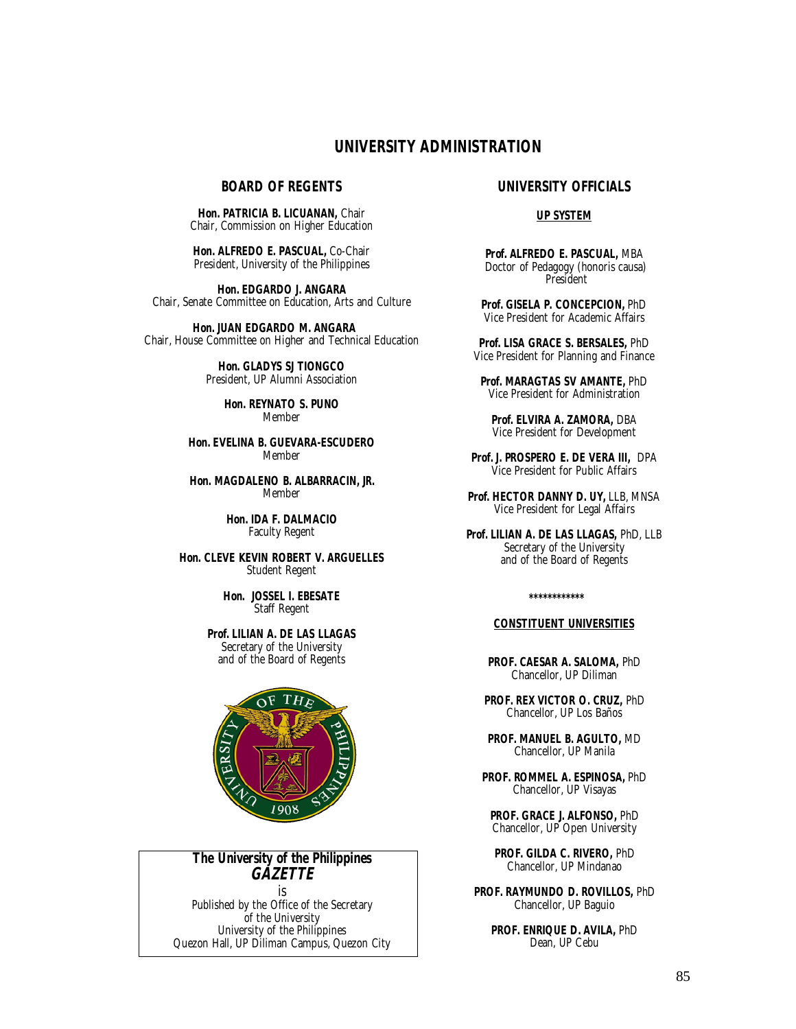# **UNIVERSITY ADMINISTRATION**

### **BOARD OF REGENTS**

**Hon. PATRICIA B. LICUANAN,** Chair Chair, Commission on Higher Education

**Hon. ALFREDO E. PASCUAL,** Co-Chair President, University of the Philippines

**Hon. EDGARDO J. ANGARA** Chair, Senate Committee on Education, Arts and Culture

 **Hon. JUAN EDGARDO M. ANGARA** Chair, House Committee on Higher and Technical Education

> **Hon. GLADYS SJ TIONGCO** President, UP Alumni Association

> > **Hon. REYNATO S. PUNO** Member

**Hon. EVELINA B. GUEVARA-ESCUDERO** Member

**Hon. MAGDALENO B. ALBARRACIN, JR.** Member

> **Hon. IDA F. DALMACIO** Faculty Regent

**Hon. CLEVE KEVIN ROBERT V. ARGUELLES** Student Regent

> **Hon. JOSSEL I. EBESATE** Staff Regent

**Prof. LILIAN A. DE LAS LLAGAS** Secretary of the University and of the Board of Regents



# **The University of the Philippines**  *GAZETTE*

is Published by the Office of the Secretary of the University University of the Philippines Quezon Hall, UP Diliman Campus, Quezon City

### **UNIVERSITY OFFICIALS**

#### **UP SYSTEM**

**Prof. ALFREDO E. PASCUAL,** MBA Doctor of Pedagogy (*honoris causa*) President

**Prof. GISELA P. CONCEPCION,** PhD Vice President for Academic Affairs

**Prof. LISA GRACE S. BERSALES,** PhD Vice President for Planning and Finance

**Prof. MARAGTAS SV AMANTE,** PhD Vice President for Administration

**Prof. ELVIRA A. ZAMORA,** DBA Vice President for Development

**Prof. J. PROSPERO E. DE VERA III,** DPA Vice President for Public Affairs

Prof. HECTOR DANNY D. UY, LLB, MNSA Vice President for Legal Affairs

**Prof. LILIAN A. DE LAS LLAGAS,** PhD, LLB Secretary of the University and of the Board of Regents

 **\*\*\*\*\*\*\*\*\*\*\*\***

#### **CONSTITUENT UNIVERSITIES**

**PROF. CAESAR A. SALOMA,** PhD Chancellor, UP Diliman

**PROF. REX VICTOR O. CRUZ,** PhD Chancellor, UP Los Baños

**PROF. MANUEL B. AGULTO,** MD Chancellor, UP Manila

**PROF. ROMMEL A. ESPINOSA,** PhD Chancellor, UP Visayas

**PROF. GRACE J. ALFONSO,** PhD Chancellor, UP Open University

**PROF. GILDA C. RIVERO,** PhD Chancellor, UP Mindanao

**PROF. RAYMUNDO D. ROVILLOS,** PhD Chancellor, UP Baguio

> **PROF. ENRIQUE D. AVILA,** PhD Dean, UP Cebu